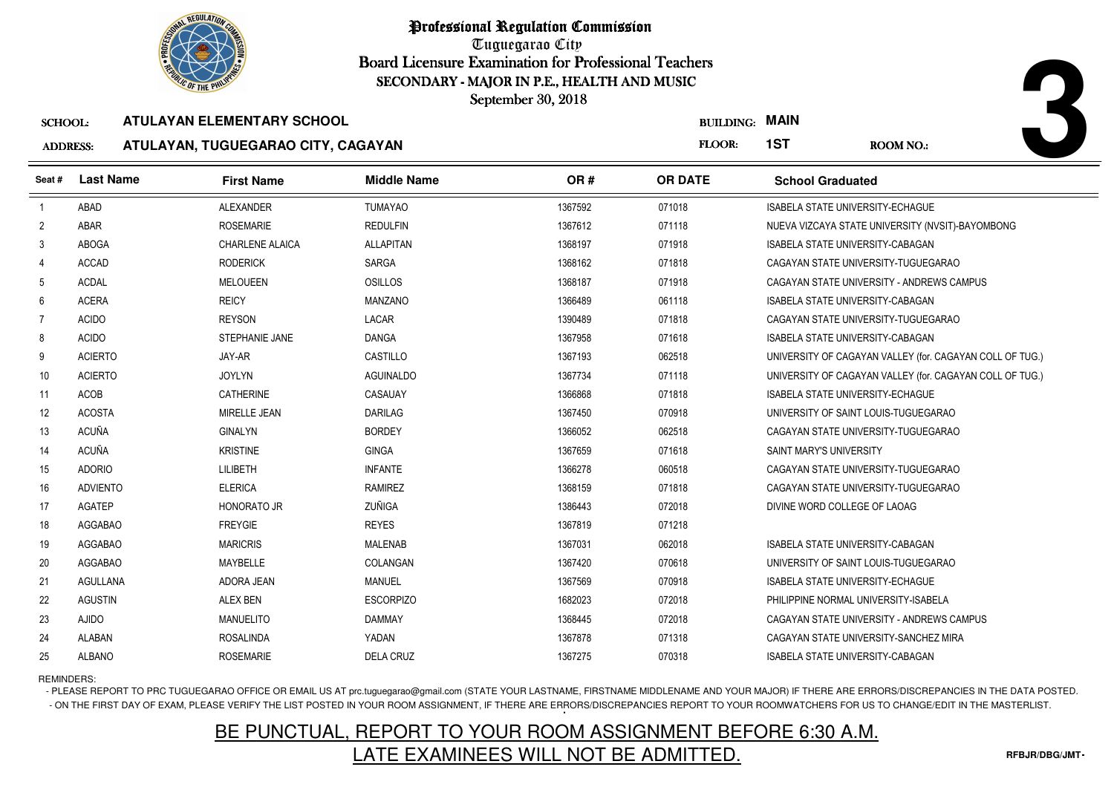

Tuguegarao City Board Licensure Examination for Professional Teachers September 30, 2018

## ADDRESS:**ATULAYAN, TUGUEGARAO CITY, CAGAYAN**

| <b><i>OLIC OF THE PHILIP</i></b><br>SECONDARY - MAJOR IN P.E., HEALTH AND MUSIC |                    |                                    |                    |         |                       |                                         |                                                          |
|---------------------------------------------------------------------------------|--------------------|------------------------------------|--------------------|---------|-----------------------|-----------------------------------------|----------------------------------------------------------|
|                                                                                 | September 30, 2018 |                                    |                    |         |                       |                                         |                                                          |
| <b>SCHOOL:</b>                                                                  |                    | <b>ATULAYAN ELEMENTARY SCHOOL</b>  |                    |         | <b>BUILDING: MAIN</b> |                                         |                                                          |
| <b>ADDRESS:</b>                                                                 |                    | ATULAYAN, TUGUEGARAO CITY, CAGAYAN |                    |         | FLOOR:                | 1ST                                     | <b>ROOM NO.:</b>                                         |
| Seat #                                                                          | <b>Last Name</b>   | <b>First Name</b>                  | <b>Middle Name</b> | OR#     | <b>OR DATE</b>        | <b>School Graduated</b>                 |                                                          |
| $\overline{1}$                                                                  | <b>ABAD</b>        | <b>ALEXANDER</b>                   | <b>TUMAYAO</b>     | 1367592 | 071018                | ISABELA STATE UNIVERSITY-ECHAGUE        |                                                          |
| $\overline{2}$                                                                  | <b>ABAR</b>        | <b>ROSEMARIE</b>                   | <b>REDULFIN</b>    | 1367612 | 071118                |                                         | NUEVA VIZCAYA STATE UNIVERSITY (NVSIT)-BAYOMBONG         |
| 3                                                                               | <b>ABOGA</b>       | CHARLENE ALAICA                    | <b>ALLAPITAN</b>   | 1368197 | 071918                | ISABELA STATE UNIVERSITY-CABAGAN        |                                                          |
| 4                                                                               | <b>ACCAD</b>       | <b>RODERICK</b>                    | <b>SARGA</b>       | 1368162 | 071818                |                                         | CAGAYAN STATE UNIVERSITY-TUGUEGARAO                      |
| 5                                                                               | <b>ACDAL</b>       | <b>MELOUEEN</b>                    | <b>OSILLOS</b>     | 1368187 | 071918                |                                         | CAGAYAN STATE UNIVERSITY - ANDREWS CAMPUS                |
| 6                                                                               | <b>ACERA</b>       | <b>REICY</b>                       | <b>MANZANO</b>     | 1366489 | 061118                | ISABELA STATE UNIVERSITY-CABAGAN        |                                                          |
| 7                                                                               | <b>ACIDO</b>       | <b>REYSON</b>                      | LACAR              | 1390489 | 071818                |                                         | CAGAYAN STATE UNIVERSITY-TUGUEGARAO                      |
| 8                                                                               | <b>ACIDO</b>       | STEPHANIE JANE                     | <b>DANGA</b>       | 1367958 | 071618                | ISABELA STATE UNIVERSITY-CABAGAN        |                                                          |
| 9                                                                               | <b>ACIERTO</b>     | JAY-AR                             | CASTILLO           | 1367193 | 062518                |                                         | UNIVERSITY OF CAGAYAN VALLEY (for. CAGAYAN COLL OF TUG.) |
| 10                                                                              | <b>ACIERTO</b>     | <b>JOYLYN</b>                      | <b>AGUINALDO</b>   | 1367734 | 071118                |                                         | UNIVERSITY OF CAGAYAN VALLEY (for. CAGAYAN COLL OF TUG.) |
| 11                                                                              | ACOB               | <b>CATHERINE</b>                   | CASAUAY            | 1366868 | 071818                | <b>ISABELA STATE UNIVERSITY-ECHAGUE</b> |                                                          |
| 12                                                                              | <b>ACOSTA</b>      | MIRELLE JEAN                       | <b>DARILAG</b>     | 1367450 | 070918                | UNIVERSITY OF SAINT LOUIS-TUGUEGARAO    |                                                          |
| 13                                                                              | <b>ACUÑA</b>       | <b>GINALYN</b>                     | <b>BORDEY</b>      | 1366052 | 062518                |                                         | CAGAYAN STATE UNIVERSITY-TUGUEGARAO                      |
| 14                                                                              | ACUÑA              | <b>KRISTINE</b>                    | <b>GINGA</b>       | 1367659 | 071618                | SAINT MARY'S UNIVERSITY                 |                                                          |
| 15                                                                              | <b>ADORIO</b>      | LILIBETH                           | <b>INFANTE</b>     | 1366278 | 060518                |                                         | CAGAYAN STATE UNIVERSITY-TUGUEGARAO                      |
| 16                                                                              | <b>ADVIENTO</b>    | <b>ELERICA</b>                     | <b>RAMIREZ</b>     | 1368159 | 071818                |                                         | CAGAYAN STATE UNIVERSITY-TUGUEGARAO                      |
| 17                                                                              | <b>AGATEP</b>      | <b>HONORATO JR</b>                 | ZUÑIGA             | 1386443 | 072018                | DIVINE WORD COLLEGE OF LAOAG            |                                                          |
| 18                                                                              | AGGABAO            | <b>FREYGIE</b>                     | <b>REYES</b>       | 1367819 | 071218                |                                         |                                                          |
| 19                                                                              | AGGABAO            | <b>MARICRIS</b>                    | MALENAB            | 1367031 | 062018                | ISABELA STATE UNIVERSITY-CABAGAN        |                                                          |
| 20                                                                              | AGGABAO            | MAYBELLE                           | COLANGAN           | 1367420 | 070618                | UNIVERSITY OF SAINT LOUIS-TUGUEGARAO    |                                                          |
| 21                                                                              | <b>AGULLANA</b>    | ADORA JEAN                         | <b>MANUEL</b>      | 1367569 | 070918                | ISABELA STATE UNIVERSITY-ECHAGUE        |                                                          |
| 22                                                                              | <b>AGUSTIN</b>     | <b>ALEX BEN</b>                    | <b>ESCORPIZO</b>   | 1682023 | 072018                | PHILIPPINE NORMAL UNIVERSITY-ISABELA    |                                                          |
| 23                                                                              | <b>AJIDO</b>       | <b>MANUELITO</b>                   | <b>DAMMAY</b>      | 1368445 | 072018                |                                         | CAGAYAN STATE UNIVERSITY - ANDREWS CAMPUS                |
| 24                                                                              | <b>ALABAN</b>      | <b>ROSALINDA</b>                   | YADAN              | 1367878 | 071318                |                                         | CAGAYAN STATE UNIVERSITY-SANCHEZ MIRA                    |
| 25                                                                              | <b>ALBANO</b>      | <b>ROSEMARIE</b>                   | <b>DELA CRUZ</b>   | 1367275 | 070318                | ISABELA STATE UNIVERSITY-CABAGAN        |                                                          |

REMINDERS:

- PLEASE REPORT TO PRC TUGUEGARAO OFFICE OR EMAIL US AT prc.tuguegarao@gmail.com (STATE YOUR LASTNAME, FIRSTNAME MIDDLENAME AND YOUR MAJOR) IF THERE ARE ERRORS/DISCREPANCIES IN THE DATA POSTED. - ON THE FIRST DAY OF EXAM, PLEASE VERIFY THE LIST POSTED IN YOUR ROOM ASSIGNMENT, IF THERE ARE ERRORS/DISCREPANCIES REPORT TO YOUR ROOMWATCHERS FOR US TO CHANGE/EDIT IN THE MASTERLIST.

## BE PUNCTUAL, REPORT TO YOUR ROOM ASSIGNMENT BEFORE 6:30 A.M.LATE EXAMINEES WILL NOT BE ADMITTED.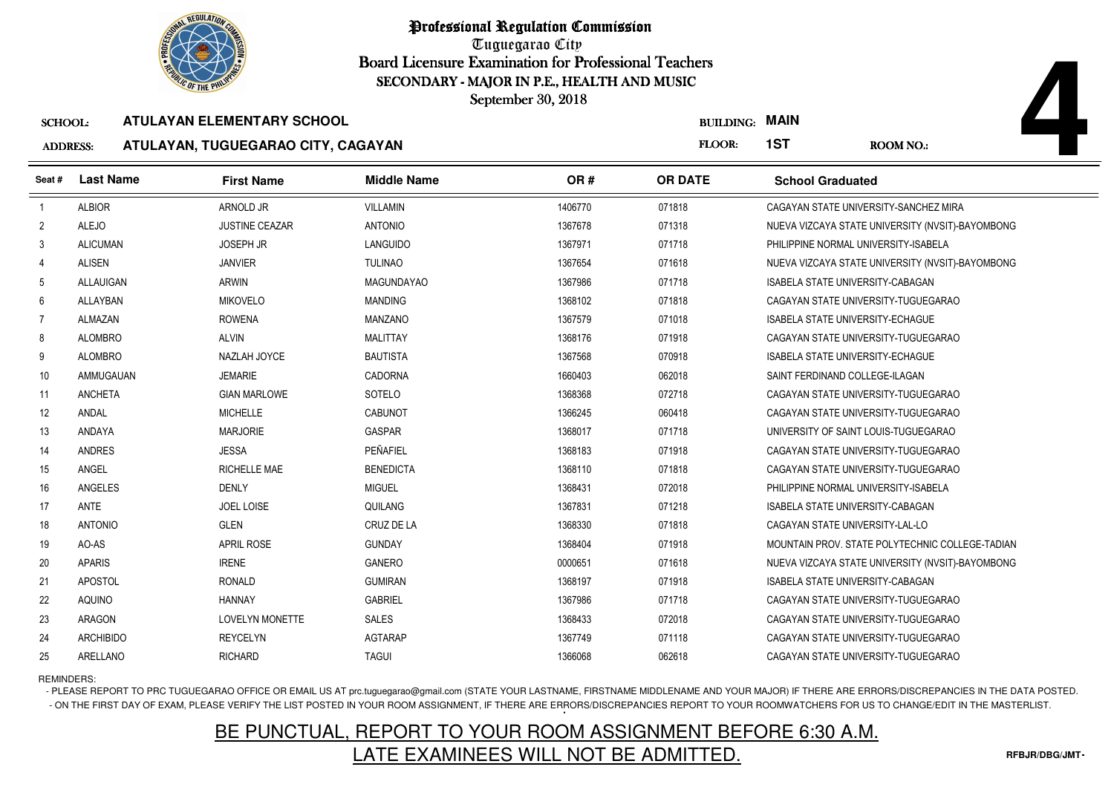

Tuguegarao City Board Licensure Examination for Professional Teachers September 30, 2018

## ADDRESS:**ATULAYAN, TUGUEGARAO CITY, CAGAYAN**

| <b><i>OLIC OF THE PHILIP</i></b><br>SECONDARY - MAJOR IN P.E., HEALTH AND MUSIC |                  |                                    |                    |         |                       |                                         |                                                  |
|---------------------------------------------------------------------------------|------------------|------------------------------------|--------------------|---------|-----------------------|-----------------------------------------|--------------------------------------------------|
| September 30, 2018                                                              |                  |                                    |                    |         |                       |                                         |                                                  |
| <b>SCHOOL:</b>                                                                  |                  | <b>ATULAYAN ELEMENTARY SCHOOL</b>  |                    |         | <b>BUILDING: MAIN</b> |                                         |                                                  |
| <b>ADDRESS:</b>                                                                 |                  | ATULAYAN, TUGUEGARAO CITY, CAGAYAN |                    |         | FLOOR:                | 1ST                                     | <b>ROOM NO.:</b>                                 |
| Seat #                                                                          | <b>Last Name</b> | <b>First Name</b>                  | <b>Middle Name</b> | OR#     | <b>OR DATE</b>        | <b>School Graduated</b>                 |                                                  |
| $\overline{1}$                                                                  | <b>ALBIOR</b>    | ARNOLD JR                          | <b>VILLAMIN</b>    | 1406770 | 071818                |                                         | CAGAYAN STATE UNIVERSITY-SANCHEZ MIRA            |
| $\overline{2}$                                                                  | <b>ALEJO</b>     | <b>JUSTINE CEAZAR</b>              | <b>ANTONIO</b>     | 1367678 | 071318                |                                         | NUEVA VIZCAYA STATE UNIVERSITY (NVSIT)-BAYOMBONG |
| 3                                                                               | <b>ALICUMAN</b>  | <b>JOSEPH JR</b>                   | LANGUIDO           | 1367971 | 071718                | PHILIPPINE NORMAL UNIVERSITY-ISABELA    |                                                  |
| $\overline{4}$                                                                  | <b>ALISEN</b>    | <b>JANVIER</b>                     | <b>TULINAO</b>     | 1367654 | 071618                |                                         | NUEVA VIZCAYA STATE UNIVERSITY (NVSIT)-BAYOMBONG |
| 5                                                                               | <b>ALLAUIGAN</b> | <b>ARWIN</b>                       | <b>MAGUNDAYAO</b>  | 1367986 | 071718                | ISABELA STATE UNIVERSITY-CABAGAN        |                                                  |
| 6                                                                               | ALLAYBAN         | <b>MIKOVELO</b>                    | <b>MANDING</b>     | 1368102 | 071818                | CAGAYAN STATE UNIVERSITY-TUGUEGARAO     |                                                  |
| 7                                                                               | ALMAZAN          | <b>ROWENA</b>                      | <b>MANZANO</b>     | 1367579 | 071018                | <b>ISABELA STATE UNIVERSITY-ECHAGUE</b> |                                                  |
| 8                                                                               | <b>ALOMBRO</b>   | <b>ALVIN</b>                       | <b>MALITTAY</b>    | 1368176 | 071918                |                                         | CAGAYAN STATE UNIVERSITY-TUGUEGARAO              |
| 9                                                                               | <b>ALOMBRO</b>   | NAZLAH JOYCE                       | <b>BAUTISTA</b>    | 1367568 | 070918                | <b>ISABELA STATE UNIVERSITY-ECHAGUE</b> |                                                  |
| 10                                                                              | AMMUGAUAN        | <b>JEMARIE</b>                     | <b>CADORNA</b>     | 1660403 | 062018                | SAINT FERDINAND COLLEGE-ILAGAN          |                                                  |
| 11                                                                              | <b>ANCHETA</b>   | <b>GIAN MARLOWE</b>                | <b>SOTELO</b>      | 1368368 | 072718                |                                         | CAGAYAN STATE UNIVERSITY-TUGUEGARAO              |
| 12                                                                              | ANDAL            | <b>MICHELLE</b>                    | CABUNOT            | 1366245 | 060418                | CAGAYAN STATE UNIVERSITY-TUGUEGARAO     |                                                  |
| 13                                                                              | ANDAYA           | <b>MARJORIE</b>                    | <b>GASPAR</b>      | 1368017 | 071718                | UNIVERSITY OF SAINT LOUIS-TUGUEGARAO    |                                                  |
| 14                                                                              | <b>ANDRES</b>    | <b>JESSA</b>                       | PEÑAFIEL           | 1368183 | 071918                |                                         | CAGAYAN STATE UNIVERSITY-TUGUEGARAO              |
| 15                                                                              | ANGEL            | RICHELLE MAE                       | <b>BENEDICTA</b>   | 1368110 | 071818                |                                         | CAGAYAN STATE UNIVERSITY-TUGUEGARAO              |
| 16                                                                              | ANGELES          | <b>DENLY</b>                       | <b>MIGUEL</b>      | 1368431 | 072018                | PHILIPPINE NORMAL UNIVERSITY-ISABELA    |                                                  |
| 17                                                                              | ANTE             | <b>JOEL LOISE</b>                  | QUILANG            | 1367831 | 071218                | <b>ISABELA STATE UNIVERSITY-CABAGAN</b> |                                                  |
| 18                                                                              | <b>ANTONIO</b>   | <b>GLEN</b>                        | CRUZ DE LA         | 1368330 | 071818                | CAGAYAN STATE UNIVERSITY-LAL-LO         |                                                  |
| 19                                                                              | AO-AS            | <b>APRIL ROSE</b>                  | <b>GUNDAY</b>      | 1368404 | 071918                |                                         | MOUNTAIN PROV. STATE POLYTECHNIC COLLEGE-TADIAN  |
| 20                                                                              | <b>APARIS</b>    | <b>IRENE</b>                       | <b>GANERO</b>      | 0000651 | 071618                |                                         | NUEVA VIZCAYA STATE UNIVERSITY (NVSIT)-BAYOMBONG |
| 21                                                                              | APOSTOL          | <b>RONALD</b>                      | <b>GUMIRAN</b>     | 1368197 | 071918                | ISABELA STATE UNIVERSITY-CABAGAN        |                                                  |
| 22                                                                              | AQUINO           | <b>HANNAY</b>                      | <b>GABRIEL</b>     | 1367986 | 071718                |                                         | CAGAYAN STATE UNIVERSITY-TUGUEGARAO              |
| 23                                                                              | <b>ARAGON</b>    | <b>LOVELYN MONETTE</b>             | <b>SALES</b>       | 1368433 | 072018                |                                         | CAGAYAN STATE UNIVERSITY-TUGUEGARAO              |
| 24                                                                              | <b>ARCHIBIDO</b> | <b>REYCELYN</b>                    | <b>AGTARAP</b>     | 1367749 | 071118                |                                         | CAGAYAN STATE UNIVERSITY-TUGUEGARAO              |
| 25                                                                              | ARELLANO         | <b>RICHARD</b>                     | <b>TAGUI</b>       | 1366068 | 062618                |                                         | CAGAYAN STATE UNIVERSITY-TUGUEGARAO              |

REMINDERS:

- PLEASE REPORT TO PRC TUGUEGARAO OFFICE OR EMAIL US AT prc.tuguegarao@gmail.com (STATE YOUR LASTNAME, FIRSTNAME MIDDLENAME AND YOUR MAJOR) IF THERE ARE ERRORS/DISCREPANCIES IN THE DATA POSTED. - ON THE FIRST DAY OF EXAM, PLEASE VERIFY THE LIST POSTED IN YOUR ROOM ASSIGNMENT, IF THERE ARE ERRORS/DISCREPANCIES REPORT TO YOUR ROOMWATCHERS FOR US TO CHANGE/EDIT IN THE MASTERLIST.

## BE PUNCTUAL, REPORT TO YOUR ROOM ASSIGNMENT BEFORE 6:30 A.M.LATE EXAMINEES WILL NOT BE ADMITTED.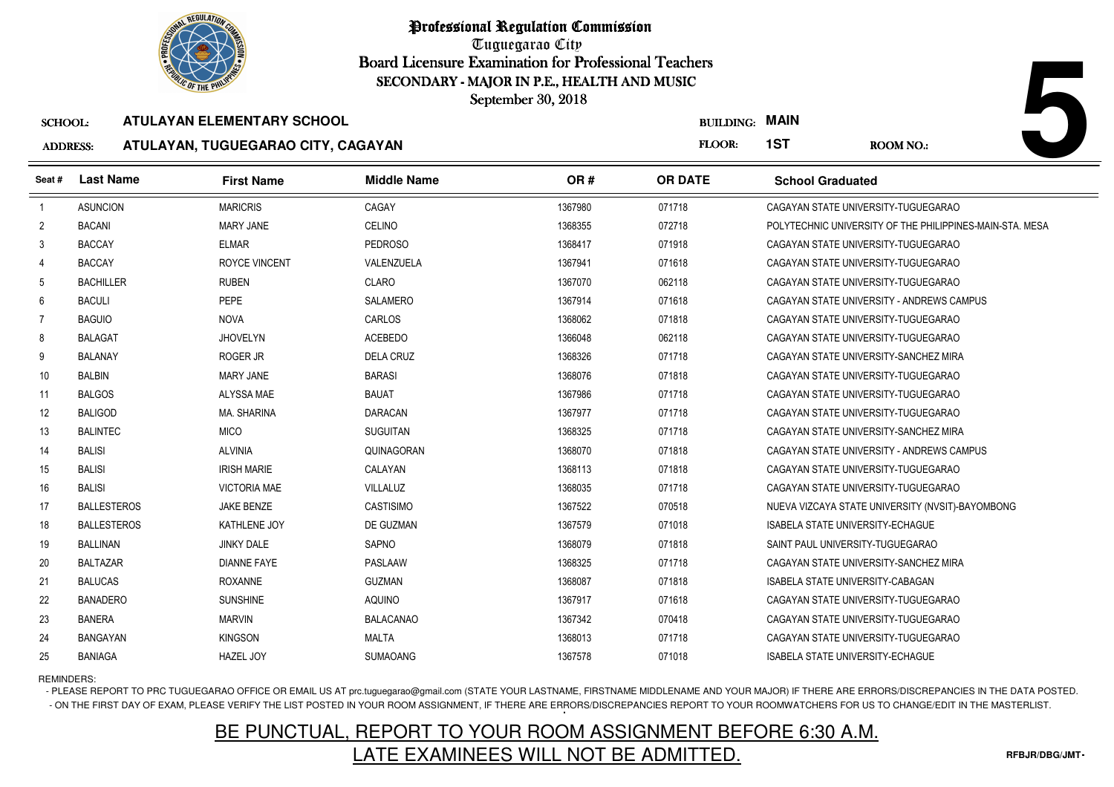

Tuguegarao City Board Licensure Examination for Professional Teachers September 30, 2018

### ADDRESS:**ATULAYAN, TUGUEGARAO CITY, CAGAYAN**

5 BANIAGA HAZEL JOY SUMAOANG

| <b><i>OLIC OF THE PHILIP</i></b><br>SECONDARY - MAJOR IN P.E., HEALTH AND MUSIC<br>September 30, 2018 |                    |                                    |                    |         |                  |                                                          |  |
|-------------------------------------------------------------------------------------------------------|--------------------|------------------------------------|--------------------|---------|------------------|----------------------------------------------------------|--|
| <b>SCHOOL:</b>                                                                                        |                    | <b>ATULAYAN ELEMENTARY SCHOOL</b>  |                    |         | <b>BUILDING:</b> | <b>MAIN</b>                                              |  |
| <b>ADDRESS:</b>                                                                                       |                    | ATULAYAN, TUGUEGARAO CITY, CAGAYAN |                    |         | FLOOR:           | 1ST<br><b>ROOM NO.:</b>                                  |  |
| Seat#                                                                                                 | <b>Last Name</b>   | <b>First Name</b>                  | <b>Middle Name</b> | OR#     | <b>OR DATE</b>   | <b>School Graduated</b>                                  |  |
| $\overline{1}$                                                                                        | <b>ASUNCION</b>    | <b>MARICRIS</b>                    | CAGAY              | 1367980 | 071718           | CAGAYAN STATE UNIVERSITY-TUGUEGARAO                      |  |
| $\overline{2}$                                                                                        | <b>BACANI</b>      | <b>MARY JANE</b>                   | CELINO             | 1368355 | 072718           | POLYTECHNIC UNIVERSITY OF THE PHILIPPINES-MAIN-STA. MESA |  |
| 3                                                                                                     | <b>BACCAY</b>      | <b>ELMAR</b>                       | <b>PEDROSO</b>     | 1368417 | 071918           | CAGAYAN STATE UNIVERSITY-TUGUEGARAO                      |  |
|                                                                                                       | <b>BACCAY</b>      | <b>ROYCE VINCENT</b>               | VALENZUELA         | 1367941 | 071618           | CAGAYAN STATE UNIVERSITY-TUGUEGARAO                      |  |
| 5                                                                                                     | <b>BACHILLER</b>   | <b>RUBEN</b>                       | CLARO              | 1367070 | 062118           | CAGAYAN STATE UNIVERSITY-TUGUEGARAO                      |  |
| 6                                                                                                     | <b>BACULI</b>      | <b>PEPE</b>                        | <b>SALAMERO</b>    | 1367914 | 071618           | CAGAYAN STATE UNIVERSITY - ANDREWS CAMPUS                |  |
| $\overline{7}$                                                                                        | <b>BAGUIO</b>      | <b>NOVA</b>                        | CARLOS             | 1368062 | 071818           | CAGAYAN STATE UNIVERSITY-TUGUEGARAO                      |  |
| 8                                                                                                     | <b>BALAGAT</b>     | <b>JHOVELYN</b>                    | ACEBEDO            | 1366048 | 062118           | CAGAYAN STATE UNIVERSITY-TUGUEGARAO                      |  |
| 9                                                                                                     | <b>BALANAY</b>     | <b>ROGER JR</b>                    | <b>DELA CRUZ</b>   | 1368326 | 071718           | CAGAYAN STATE UNIVERSITY-SANCHEZ MIRA                    |  |
| 10                                                                                                    | <b>BALBIN</b>      | <b>MARY JANE</b>                   | <b>BARASI</b>      | 1368076 | 071818           | CAGAYAN STATE UNIVERSITY-TUGUEGARAO                      |  |
| 11                                                                                                    | <b>BALGOS</b>      | ALYSSA MAE                         | <b>BAUAT</b>       | 1367986 | 071718           | CAGAYAN STATE UNIVERSITY-TUGUEGARAO                      |  |
| 12                                                                                                    | <b>BALIGOD</b>     | <b>MA. SHARINA</b>                 | <b>DARACAN</b>     | 1367977 | 071718           | CAGAYAN STATE UNIVERSITY-TUGUEGARAO                      |  |
| 13                                                                                                    | <b>BALINTEC</b>    | <b>MICO</b>                        | <b>SUGUITAN</b>    | 1368325 | 071718           | CAGAYAN STATE UNIVERSITY-SANCHEZ MIRA                    |  |
| 14                                                                                                    | <b>BALISI</b>      | <b>ALVINIA</b>                     | QUINAGORAN         | 1368070 | 071818           | CAGAYAN STATE UNIVERSITY - ANDREWS CAMPUS                |  |
| 15                                                                                                    | <b>BALISI</b>      | <b>IRISH MARIE</b>                 | CALAYAN            | 1368113 | 071818           | CAGAYAN STATE UNIVERSITY-TUGUEGARAO                      |  |
| 16                                                                                                    | <b>BALISI</b>      | <b>VICTORIA MAE</b>                | VILLALUZ           | 1368035 | 071718           | CAGAYAN STATE UNIVERSITY-TUGUEGARAO                      |  |
| 17                                                                                                    | <b>BALLESTEROS</b> | <b>JAKE BENZE</b>                  | <b>CASTISIMO</b>   | 1367522 | 070518           | NUEVA VIZCAYA STATE UNIVERSITY (NVSIT)-BAYOMBONG         |  |
| 18                                                                                                    | <b>BALLESTEROS</b> | KATHLENE JOY                       | DE GUZMAN          | 1367579 | 071018           | <b>ISABELA STATE UNIVERSITY-ECHAGUE</b>                  |  |
| 19                                                                                                    | BALLINAN           | <b>JINKY DALE</b>                  | SAPNO              | 1368079 | 071818           | SAINT PAUL UNIVERSITY-TUGUEGARAO                         |  |
| 20                                                                                                    | <b>BALTAZAR</b>    | <b>DIANNE FAYE</b>                 | PASLAAW            | 1368325 | 071718           | CAGAYAN STATE UNIVERSITY-SANCHEZ MIRA                    |  |
| 21                                                                                                    | <b>BALUCAS</b>     | <b>ROXANNE</b>                     | <b>GUZMAN</b>      | 1368087 | 071818           | ISABELA STATE UNIVERSITY-CABAGAN                         |  |
| 22                                                                                                    | <b>BANADERO</b>    | <b>SUNSHINE</b>                    | <b>AQUINO</b>      | 1367917 | 071618           | CAGAYAN STATE UNIVERSITY-TUGUEGARAO                      |  |
| 23                                                                                                    | <b>BANERA</b>      | <b>MARVIN</b>                      | <b>BALACANAO</b>   | 1367342 | 070418           | CAGAYAN STATE UNIVERSITY-TUGUEGARAO                      |  |
| 24                                                                                                    | <b>BANGAYAN</b>    | <b>KINGSON</b>                     | <b>MALTA</b>       | 1368013 | 071718           | CAGAYAN STATE UNIVERSITY-TUGUEGARAO                      |  |

REMINDERS:

25

- PLEASE REPORT TO PRC TUGUEGARAO OFFICE OR EMAIL US AT prc.tuguegarao@gmail.com (STATE YOUR LASTNAME, FIRSTNAME MIDDLENAME AND YOUR MAJOR) IF THERE ARE ERRORS/DISCREPANCIES IN THE DATA POSTED. - ON THE FIRST DAY OF EXAM, PLEASE VERIFY THE LIST POSTED IN YOUR ROOM ASSIGNMENT, IF THERE ARE ERRORS/DISCREPANCIES REPORT TO YOUR ROOMWATCHERS FOR US TO CHANGE/EDIT IN THE MASTERLIST.

<sup>1367578</sup> <sup>071018</sup> ISABELA STATE UNIVERSITY-ECHAGUE

## BE PUNCTUAL, REPORT TO YOUR ROOM ASSIGNMENT BEFORE 6:30 A.M.LATE EXAMINEES WILL NOT BE ADMITTED.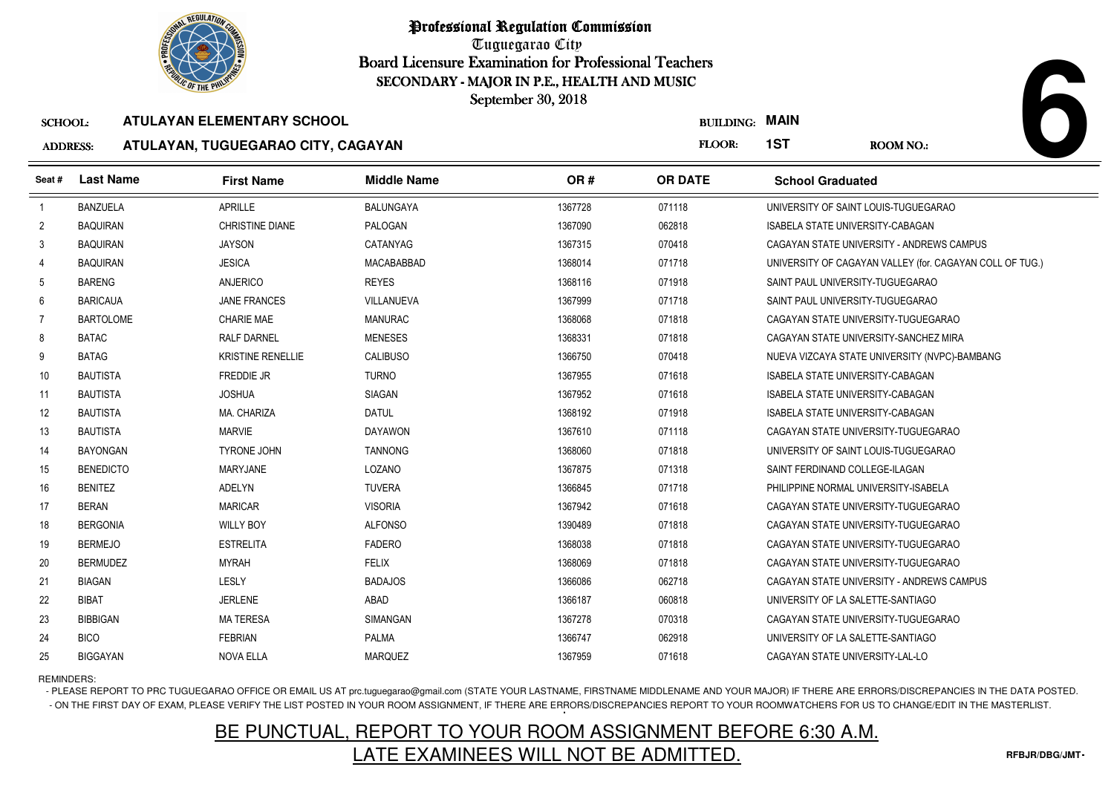

Tuguegarao City Board Licensure Examination for Professional Teachers September 30, 2018

### SCHOOL:**ATULAYAN ELEMENTARY SCHOOL**

### ADDRESS:**ATULAYAN, TUGUEGARAO CITY, CAGAYAN**

| <b>OLIC OF THE PHILIP</b><br>SECONDARY - MAJOR IN P.E., HEALTH AND MUSIC |                  |                                    |                    |         |                       |                                      |                                                          |
|--------------------------------------------------------------------------|------------------|------------------------------------|--------------------|---------|-----------------------|--------------------------------------|----------------------------------------------------------|
|                                                                          |                  |                                    | September 30, 2018 |         |                       |                                      |                                                          |
| <b>SCHOOL:</b>                                                           |                  | <b>ATULAYAN ELEMENTARY SCHOOL</b>  |                    |         | <b>BUILDING: MAIN</b> |                                      |                                                          |
| <b>ADDRESS:</b>                                                          |                  | ATULAYAN, TUGUEGARAO CITY, CAGAYAN |                    |         | FLOOR:                | 1ST                                  | ROOM NO.:                                                |
| Seat #                                                                   | <b>Last Name</b> | <b>First Name</b>                  | <b>Middle Name</b> | OR#     | <b>OR DATE</b>        | <b>School Graduated</b>              |                                                          |
| -1                                                                       | <b>BANZUELA</b>  | <b>APRILLE</b>                     | <b>BALUNGAYA</b>   | 1367728 | 071118                | UNIVERSITY OF SAINT LOUIS-TUGUEGARAO |                                                          |
| $\overline{2}$                                                           | <b>BAQUIRAN</b>  | <b>CHRISTINE DIANE</b>             | PALOGAN            | 1367090 | 062818                | ISABELA STATE UNIVERSITY-CABAGAN     |                                                          |
| 3                                                                        | <b>BAQUIRAN</b>  | <b>JAYSON</b>                      | CATANYAG           | 1367315 | 070418                |                                      | CAGAYAN STATE UNIVERSITY - ANDREWS CAMPUS                |
| 4                                                                        | <b>BAQUIRAN</b>  | <b>JESICA</b>                      | MACABABBAD         | 1368014 | 071718                |                                      | UNIVERSITY OF CAGAYAN VALLEY (for. CAGAYAN COLL OF TUG.) |
| 5                                                                        | <b>BARENG</b>    | ANJERICO                           | <b>REYES</b>       | 1368116 | 071918                | SAINT PAUL UNIVERSITY-TUGUEGARAO     |                                                          |
| 6                                                                        | <b>BARICAUA</b>  | <b>JANE FRANCES</b>                | <b>VILLANUEVA</b>  | 1367999 | 071718                | SAINT PAUL UNIVERSITY-TUGUEGARAO     |                                                          |
| 7                                                                        | <b>BARTOLOME</b> | <b>CHARIE MAE</b>                  | <b>MANURAC</b>     | 1368068 | 071818                |                                      | CAGAYAN STATE UNIVERSITY-TUGUEGARAO                      |
| 8                                                                        | <b>BATAC</b>     | <b>RALF DARNEL</b>                 | <b>MENESES</b>     | 1368331 | 071818                |                                      | CAGAYAN STATE UNIVERSITY-SANCHEZ MIRA                    |
| 9                                                                        | <b>BATAG</b>     | <b>KRISTINE RENELLIE</b>           | <b>CALIBUSO</b>    | 1366750 | 070418                |                                      | NUEVA VIZCAYA STATE UNIVERSITY (NVPC)-BAMBANG            |
| 10                                                                       | <b>BAUTISTA</b>  | <b>FREDDIE JR</b>                  | <b>TURNO</b>       | 1367955 | 071618                | ISABELA STATE UNIVERSITY-CABAGAN     |                                                          |
| 11                                                                       | <b>BAUTISTA</b>  | <b>JOSHUA</b>                      | <b>SIAGAN</b>      | 1367952 | 071618                | ISABELA STATE UNIVERSITY-CABAGAN     |                                                          |
| 12                                                                       | <b>BAUTISTA</b>  | MA. CHARIZA                        | <b>DATUL</b>       | 1368192 | 071918                | ISABELA STATE UNIVERSITY-CABAGAN     |                                                          |
| 13                                                                       | <b>BAUTISTA</b>  | <b>MARVIE</b>                      | <b>DAYAWON</b>     | 1367610 | 071118                |                                      | CAGAYAN STATE UNIVERSITY-TUGUEGARAO                      |
| 14                                                                       | <b>BAYONGAN</b>  | <b>TYRONE JOHN</b>                 | <b>TANNONG</b>     | 1368060 | 071818                | UNIVERSITY OF SAINT LOUIS-TUGUEGARAO |                                                          |
| 15                                                                       | <b>BENEDICTO</b> | MARYJANE                           | LOZANO             | 1367875 | 071318                | SAINT FERDINAND COLLEGE-ILAGAN       |                                                          |
| 16                                                                       | <b>BENITEZ</b>   | <b>ADELYN</b>                      | <b>TUVERA</b>      | 1366845 | 071718                | PHILIPPINE NORMAL UNIVERSITY-ISABELA |                                                          |
| 17                                                                       | <b>BERAN</b>     | <b>MARICAR</b>                     | <b>VISORIA</b>     | 1367942 | 071618                |                                      | CAGAYAN STATE UNIVERSITY-TUGUEGARAO                      |
| 18                                                                       | <b>BERGONIA</b>  | <b>WILLY BOY</b>                   | <b>ALFONSO</b>     | 1390489 | 071818                |                                      | CAGAYAN STATE UNIVERSITY-TUGUEGARAO                      |
| 19                                                                       | <b>BERMEJO</b>   | <b>ESTRELITA</b>                   | <b>FADERO</b>      | 1368038 | 071818                |                                      | CAGAYAN STATE UNIVERSITY-TUGUEGARAO                      |
| 20                                                                       | <b>BERMUDEZ</b>  | <b>MYRAH</b>                       | <b>FELIX</b>       | 1368069 | 071818                |                                      | CAGAYAN STATE UNIVERSITY-TUGUEGARAO                      |
| 21                                                                       | <b>BIAGAN</b>    | LESLY                              | <b>BADAJOS</b>     | 1366086 | 062718                |                                      | CAGAYAN STATE UNIVERSITY - ANDREWS CAMPUS                |
| 22                                                                       | BIBAT            | <b>JERLENE</b>                     | ABAD               | 1366187 | 060818                | UNIVERSITY OF LA SALETTE-SANTIAGO    |                                                          |
| 23                                                                       | <b>BIBBIGAN</b>  | <b>MA TERESA</b>                   | <b>SIMANGAN</b>    | 1367278 | 070318                |                                      | CAGAYAN STATE UNIVERSITY-TUGUEGARAO                      |
| 24                                                                       | <b>BICO</b>      | <b>FEBRIAN</b>                     | PALMA              | 1366747 | 062918                | UNIVERSITY OF LA SALETTE-SANTIAGO    |                                                          |
| 25                                                                       | <b>BIGGAYAN</b>  | <b>NOVA ELLA</b>                   | <b>MARQUEZ</b>     | 1367959 | 071618                | CAGAYAN STATE UNIVERSITY-LAL-LO      |                                                          |

REMINDERS:

- PLEASE REPORT TO PRC TUGUEGARAO OFFICE OR EMAIL US AT prc.tuguegarao@gmail.com (STATE YOUR LASTNAME, FIRSTNAME MIDDLENAME AND YOUR MAJOR) IF THERE ARE ERRORS/DISCREPANCIES IN THE DATA POSTED. - ON THE FIRST DAY OF EXAM, PLEASE VERIFY THE LIST POSTED IN YOUR ROOM ASSIGNMENT, IF THERE ARE ERRORS/DISCREPANCIES REPORT TO YOUR ROOMWATCHERS FOR US TO CHANGE/EDIT IN THE MASTERLIST.

# BE PUNCTUAL, REPORT TO YOUR ROOM ASSIGNMENT BEFORE 6:30 A.M.LATE EXAMINEES WILL NOT BE ADMITTED.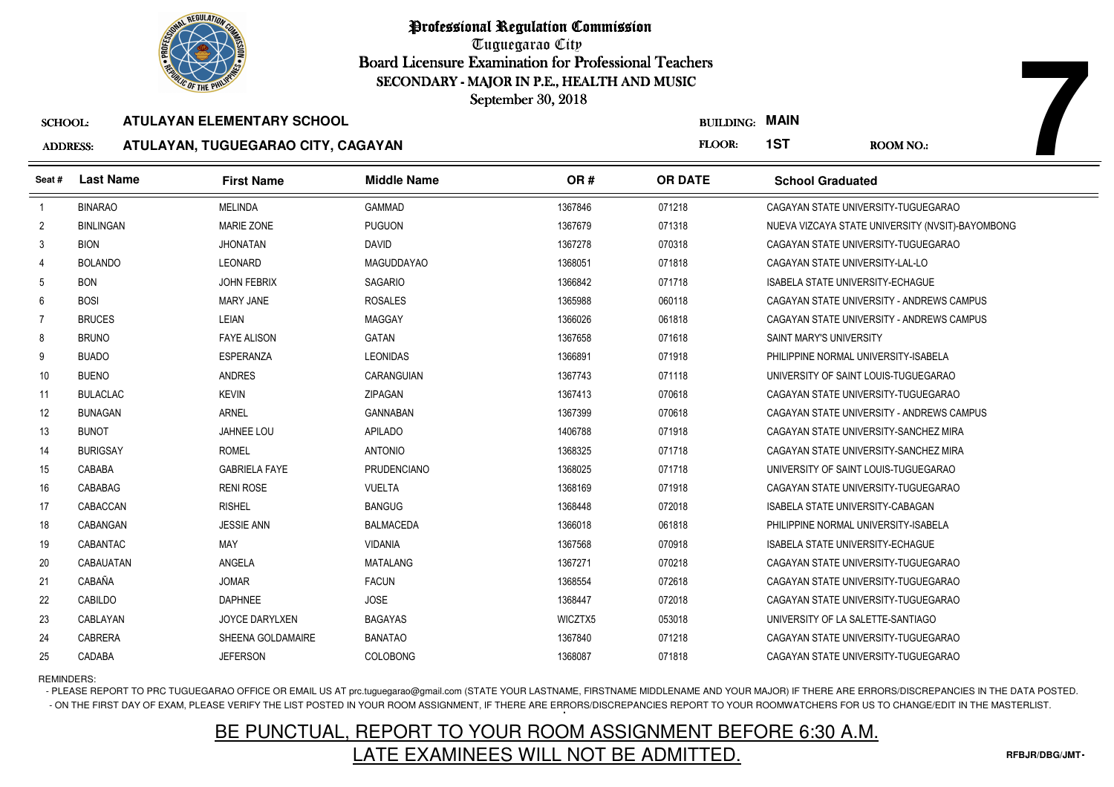

Tuguegarao City Board Licensure Examination for Professional Teachers September 30, 2018

## ADDRESS:**ATULAYAN, TUGUEGARAO CITY, CAGAYAN**

| <b><i>OLIC OF THE PHILIP</i></b><br>SECONDARY - MAJOR IN P.E., HEALTH AND MUSIC |                  |                                    |                    |         |                  |                                         |                                                  |
|---------------------------------------------------------------------------------|------------------|------------------------------------|--------------------|---------|------------------|-----------------------------------------|--------------------------------------------------|
|                                                                                 |                  |                                    | September 30, 2018 |         |                  |                                         |                                                  |
| <b>SCHOOL:</b>                                                                  |                  | <b>ATULAYAN ELEMENTARY SCHOOL</b>  |                    |         | <b>BUILDING:</b> | <b>MAIN</b>                             |                                                  |
| <b>ADDRESS:</b>                                                                 |                  | ATULAYAN, TUGUEGARAO CITY, CAGAYAN |                    |         | FLOOR:           | 1ST                                     | <b>ROOM NO.:</b>                                 |
| Seat #                                                                          | <b>Last Name</b> | <b>First Name</b>                  | <b>Middle Name</b> | OR#     | <b>OR DATE</b>   | <b>School Graduated</b>                 |                                                  |
| $\overline{1}$                                                                  | <b>BINARAO</b>   | <b>MELINDA</b>                     | <b>GAMMAD</b>      | 1367846 | 071218           |                                         | CAGAYAN STATE UNIVERSITY-TUGUEGARAO              |
| $\overline{2}$                                                                  | <b>BINLINGAN</b> | <b>MARIE ZONE</b>                  | <b>PUGUON</b>      | 1367679 | 071318           |                                         | NUEVA VIZCAYA STATE UNIVERSITY (NVSIT)-BAYOMBONG |
| 3                                                                               | <b>BION</b>      | <b>JHONATAN</b>                    | <b>DAVID</b>       | 1367278 | 070318           |                                         | CAGAYAN STATE UNIVERSITY-TUGUEGARAO              |
| 4                                                                               | <b>BOLANDO</b>   | LEONARD                            | <b>MAGUDDAYAO</b>  | 1368051 | 071818           | CAGAYAN STATE UNIVERSITY-LAL-LO         |                                                  |
| 5                                                                               | <b>BON</b>       | <b>JOHN FEBRIX</b>                 | SAGARIO            | 1366842 | 071718           | ISABELA STATE UNIVERSITY-ECHAGUE        |                                                  |
| 6                                                                               | <b>BOSI</b>      | <b>MARY JANE</b>                   | <b>ROSALES</b>     | 1365988 | 060118           |                                         | CAGAYAN STATE UNIVERSITY - ANDREWS CAMPUS        |
| $\overline{7}$                                                                  | <b>BRUCES</b>    | LEIAN                              | <b>MAGGAY</b>      | 1366026 | 061818           |                                         | CAGAYAN STATE UNIVERSITY - ANDREWS CAMPUS        |
| 8                                                                               | <b>BRUNO</b>     | <b>FAYE ALISON</b>                 | GATAN              | 1367658 | 071618           | SAINT MARY'S UNIVERSITY                 |                                                  |
| 9                                                                               | <b>BUADO</b>     | <b>ESPERANZA</b>                   | <b>LEONIDAS</b>    | 1366891 | 071918           | PHILIPPINE NORMAL UNIVERSITY-ISABELA    |                                                  |
| 10                                                                              | <b>BUENO</b>     | <b>ANDRES</b>                      | CARANGUIAN         | 1367743 | 071118           |                                         | UNIVERSITY OF SAINT LOUIS-TUGUEGARAO             |
| 11                                                                              | <b>BULACLAC</b>  | <b>KEVIN</b>                       | <b>ZIPAGAN</b>     | 1367413 | 070618           |                                         | CAGAYAN STATE UNIVERSITY-TUGUEGARAO              |
| 12                                                                              | <b>BUNAGAN</b>   | <b>ARNEL</b>                       | <b>GANNABAN</b>    | 1367399 | 070618           |                                         | CAGAYAN STATE UNIVERSITY - ANDREWS CAMPUS        |
| 13                                                                              | <b>BUNOT</b>     | <b>JAHNEE LOU</b>                  | <b>APILADO</b>     | 1406788 | 071918           |                                         | CAGAYAN STATE UNIVERSITY-SANCHEZ MIRA            |
| 14                                                                              | <b>BURIGSAY</b>  | <b>ROMEL</b>                       | <b>ANTONIO</b>     | 1368325 | 071718           |                                         | CAGAYAN STATE UNIVERSITY-SANCHEZ MIRA            |
| 15                                                                              | CABABA           | <b>GABRIELA FAYE</b>               | <b>PRUDENCIANO</b> | 1368025 | 071718           |                                         | UNIVERSITY OF SAINT LOUIS-TUGUEGARAO             |
| 16                                                                              | CABABAG          | <b>RENI ROSE</b>                   | <b>VUELTA</b>      | 1368169 | 071918           |                                         | CAGAYAN STATE UNIVERSITY-TUGUEGARAO              |
| 17                                                                              | CABACCAN         | <b>RISHEL</b>                      | <b>BANGUG</b>      | 1368448 | 072018           | ISABELA STATE UNIVERSITY-CABAGAN        |                                                  |
| 18                                                                              | CABANGAN         | <b>JESSIE ANN</b>                  | <b>BALMACEDA</b>   | 1366018 | 061818           | PHILIPPINE NORMAL UNIVERSITY-ISABELA    |                                                  |
| 19                                                                              | CABANTAC         | MAY                                | <b>VIDANIA</b>     | 1367568 | 070918           | <b>ISABELA STATE UNIVERSITY-ECHAGUE</b> |                                                  |
| 20                                                                              | <b>CABAUATAN</b> | ANGELA                             | <b>MATALANG</b>    | 1367271 | 070218           |                                         | CAGAYAN STATE UNIVERSITY-TUGUEGARAO              |
| 21                                                                              | CABAÑA           | <b>JOMAR</b>                       | <b>FACUN</b>       | 1368554 | 072618           |                                         | CAGAYAN STATE UNIVERSITY-TUGUEGARAO              |
| 22                                                                              | CABILDO          | <b>DAPHNEE</b>                     | <b>JOSE</b>        | 1368447 | 072018           |                                         | CAGAYAN STATE UNIVERSITY-TUGUEGARAO              |
| 23                                                                              | CABLAYAN         | <b>JOYCE DARYLXEN</b>              | <b>BAGAYAS</b>     | WICZTX5 | 053018           | UNIVERSITY OF LA SALETTE-SANTIAGO       |                                                  |
| 24                                                                              | CABRERA          | SHEENA GOLDAMAIRE                  | <b>BANATAO</b>     | 1367840 | 071218           |                                         | CAGAYAN STATE UNIVERSITY-TUGUEGARAO              |
| 25                                                                              | CADABA           | <b>JEFERSON</b>                    | <b>COLOBONG</b>    | 1368087 | 071818           |                                         | CAGAYAN STATE UNIVERSITY-TUGUEGARAO              |

REMINDERS:

- PLEASE REPORT TO PRC TUGUEGARAO OFFICE OR EMAIL US AT prc.tuguegarao@gmail.com (STATE YOUR LASTNAME, FIRSTNAME MIDDLENAME AND YOUR MAJOR) IF THERE ARE ERRORS/DISCREPANCIES IN THE DATA POSTED. - ON THE FIRST DAY OF EXAM, PLEASE VERIFY THE LIST POSTED IN YOUR ROOM ASSIGNMENT, IF THERE ARE ERRORS/DISCREPANCIES REPORT TO YOUR ROOMWATCHERS FOR US TO CHANGE/EDIT IN THE MASTERLIST.

# BE PUNCTUAL, REPORT TO YOUR ROOM ASSIGNMENT BEFORE 6:30 A.M.LATE EXAMINEES WILL NOT BE ADMITTED.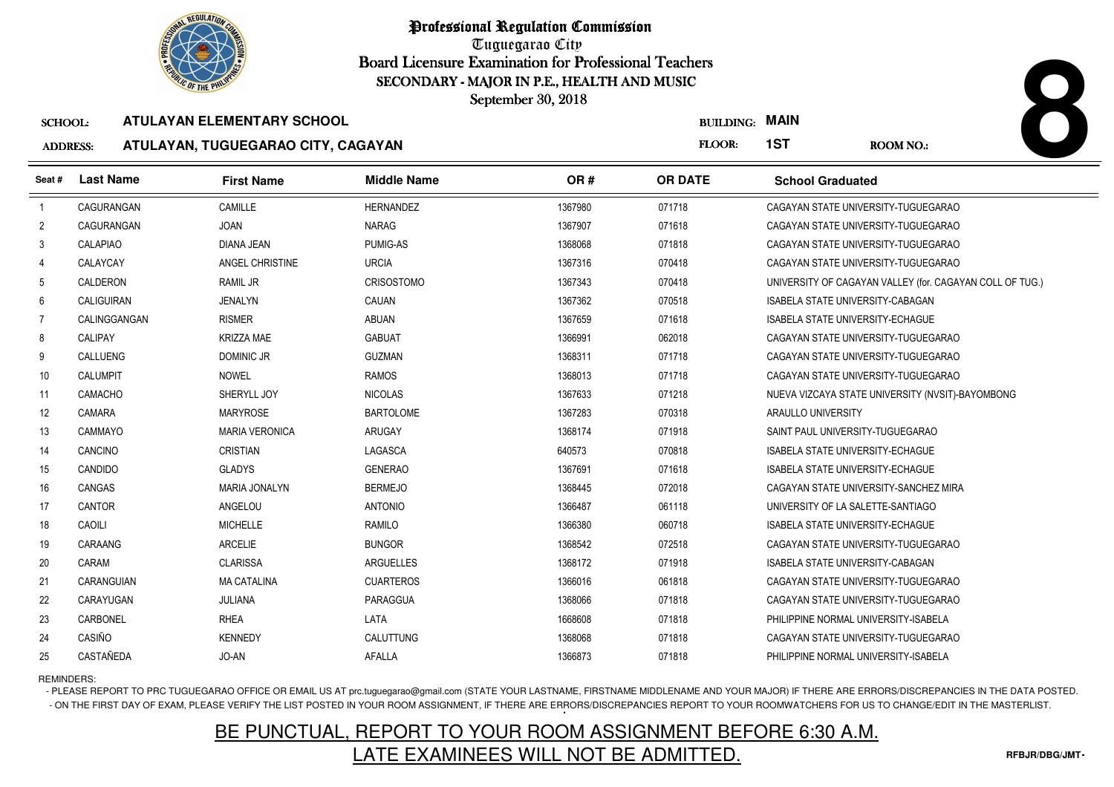

Tuguegarao City Board Licensure Examination for Professional Teachers September 30, 2018

### SCHOOL:**ATULAYAN ELEMENTARY SCHOOL**

### ADDRESS:**ATULAYAN, TUGUEGARAO CITY, CAGAYAN**

| <b><i>OLIC OF THE PHILIP</i></b><br>SECONDARY - MAJOR IN P.E., HEALTH AND MUSIC |                  |                                    |                    |         |                  |                                         |                                                          |
|---------------------------------------------------------------------------------|------------------|------------------------------------|--------------------|---------|------------------|-----------------------------------------|----------------------------------------------------------|
|                                                                                 |                  |                                    | September 30, 2018 |         |                  |                                         |                                                          |
| <b>SCHOOL:</b>                                                                  |                  | <b>ATULAYAN ELEMENTARY SCHOOL</b>  |                    |         | <b>BUILDING:</b> | <b>MAIN</b>                             |                                                          |
| <b>ADDRESS:</b>                                                                 |                  | ATULAYAN, TUGUEGARAO CITY, CAGAYAN |                    |         | <b>FLOOR:</b>    | 1ST                                     | <b>ROOM NO.:</b>                                         |
| Seat #                                                                          | <b>Last Name</b> | <b>First Name</b>                  | <b>Middle Name</b> | OR#     | <b>OR DATE</b>   | <b>School Graduated</b>                 |                                                          |
| $\overline{1}$                                                                  | CAGURANGAN       | CAMILLE                            | <b>HERNANDEZ</b>   | 1367980 | 071718           |                                         | CAGAYAN STATE UNIVERSITY-TUGUEGARAO                      |
| $\overline{2}$                                                                  | CAGURANGAN       | <b>JOAN</b>                        | NARAG              | 1367907 | 071618           |                                         | CAGAYAN STATE UNIVERSITY-TUGUEGARAO                      |
| 3                                                                               | CALAPIAO         | <b>DIANA JEAN</b>                  | <b>PUMIG-AS</b>    | 1368068 | 071818           |                                         | CAGAYAN STATE UNIVERSITY-TUGUEGARAO                      |
| 4                                                                               | CALAYCAY         | <b>ANGEL CHRISTINE</b>             | <b>URCIA</b>       | 1367316 | 070418           |                                         | CAGAYAN STATE UNIVERSITY-TUGUEGARAO                      |
| 5                                                                               | CALDERON         | RAMIL JR                           | <b>CRISOSTOMO</b>  | 1367343 | 070418           |                                         | UNIVERSITY OF CAGAYAN VALLEY (for. CAGAYAN COLL OF TUG.) |
| 6                                                                               | CALIGUIRAN       | <b>JENALYN</b>                     | CAUAN              | 1367362 | 070518           | ISABELA STATE UNIVERSITY-CABAGAN        |                                                          |
| $\overline{7}$                                                                  | CALINGGANGAN     | <b>RISMER</b>                      | ABUAN              | 1367659 | 071618           | <b>ISABELA STATE UNIVERSITY-ECHAGUE</b> |                                                          |
| 8                                                                               | CALIPAY          | <b>KRIZZA MAE</b>                  | <b>GABUAT</b>      | 1366991 | 062018           |                                         | CAGAYAN STATE UNIVERSITY-TUGUEGARAO                      |
| 9                                                                               | <b>CALLUENG</b>  | <b>DOMINIC JR</b>                  | <b>GUZMAN</b>      | 1368311 | 071718           |                                         | CAGAYAN STATE UNIVERSITY-TUGUEGARAO                      |
| 10 <sup>°</sup>                                                                 | <b>CALUMPIT</b>  | <b>NOWEL</b>                       | <b>RAMOS</b>       | 1368013 | 071718           |                                         | CAGAYAN STATE UNIVERSITY-TUGUEGARAO                      |
| 11                                                                              | <b>CAMACHO</b>   | SHERYLL JOY                        | <b>NICOLAS</b>     | 1367633 | 071218           |                                         | NUEVA VIZCAYA STATE UNIVERSITY (NVSIT)-BAYOMBONG         |
| 12                                                                              | <b>CAMARA</b>    | <b>MARYROSE</b>                    | <b>BARTOLOME</b>   | 1367283 | 070318           | ARAULLO UNIVERSITY                      |                                                          |
| 13                                                                              | CAMMAYO          | <b>MARIA VERONICA</b>              | ARUGAY             | 1368174 | 071918           | SAINT PAUL UNIVERSITY-TUGUEGARAO        |                                                          |
| 14                                                                              | CANCINO          | <b>CRISTIAN</b>                    | LAGASCA            | 640573  | 070818           | <b>ISABELA STATE UNIVERSITY-ECHAGUE</b> |                                                          |
| 15                                                                              | CANDIDO          | <b>GLADYS</b>                      | <b>GENERAO</b>     | 1367691 | 071618           | <b>ISABELA STATE UNIVERSITY-ECHAGUE</b> |                                                          |
| 16                                                                              | CANGAS           | MARIA JONALYN                      | <b>BERMEJO</b>     | 1368445 | 072018           |                                         | CAGAYAN STATE UNIVERSITY-SANCHEZ MIRA                    |
| 17                                                                              | <b>CANTOR</b>    | ANGELOU                            | <b>ANTONIO</b>     | 1366487 | 061118           | UNIVERSITY OF LA SALETTE-SANTIAGO       |                                                          |
| 18                                                                              | CAOILI           | <b>MICHELLE</b>                    | RAMILO             | 1366380 | 060718           | ISABELA STATE UNIVERSITY-ECHAGUE        |                                                          |
| 19                                                                              | CARAANG          | <b>ARCELIE</b>                     | <b>BUNGOR</b>      | 1368542 | 072518           |                                         | CAGAYAN STATE UNIVERSITY-TUGUEGARAO                      |
| 20                                                                              | CARAM            | <b>CLARISSA</b>                    | ARGUELLES          | 1368172 | 071918           | ISABELA STATE UNIVERSITY-CABAGAN        |                                                          |
| 21                                                                              | CARANGUIAN       | <b>MA CATALINA</b>                 | <b>CUARTEROS</b>   | 1366016 | 061818           |                                         | CAGAYAN STATE UNIVERSITY-TUGUEGARAO                      |
| 22                                                                              | CARAYUGAN        | JULIANA                            | PARAGGUA           | 1368066 | 071818           |                                         | CAGAYAN STATE UNIVERSITY-TUGUEGARAO                      |
| 23                                                                              | CARBONEL         | <b>RHEA</b>                        | LATA               | 1668608 | 071818           | PHILIPPINE NORMAL UNIVERSITY-ISABELA    |                                                          |
| 24                                                                              | CASIÑO           | <b>KENNEDY</b>                     | CALUTTUNG          | 1368068 | 071818           |                                         | CAGAYAN STATE UNIVERSITY-TUGUEGARAO                      |
| 25                                                                              | CASTAÑEDA        | JO-AN                              | AFALLA             | 1366873 | 071818           | PHILIPPINE NORMAL UNIVERSITY-ISABELA    |                                                          |

## REMINDERS:

- PLEASE REPORT TO PRC TUGUEGARAO OFFICE OR EMAIL US AT prc.tuguegarao@gmail.com (STATE YOUR LASTNAME, FIRSTNAME MIDDLENAME AND YOUR MAJOR) IF THERE ARE ERRORS/DISCREPANCIES IN THE DATA POSTED. - ON THE FIRST DAY OF EXAM, PLEASE VERIFY THE LIST POSTED IN YOUR ROOM ASSIGNMENT, IF THERE ARE ERRORS/DISCREPANCIES REPORT TO YOUR ROOMWATCHERS FOR US TO CHANGE/EDIT IN THE MASTERLIST.

## BE PUNCTUAL, REPORT TO YOUR ROOM ASSIGNMENT BEFORE 6:30 A.M.LATE EXAMINEES WILL NOT BE ADMITTED.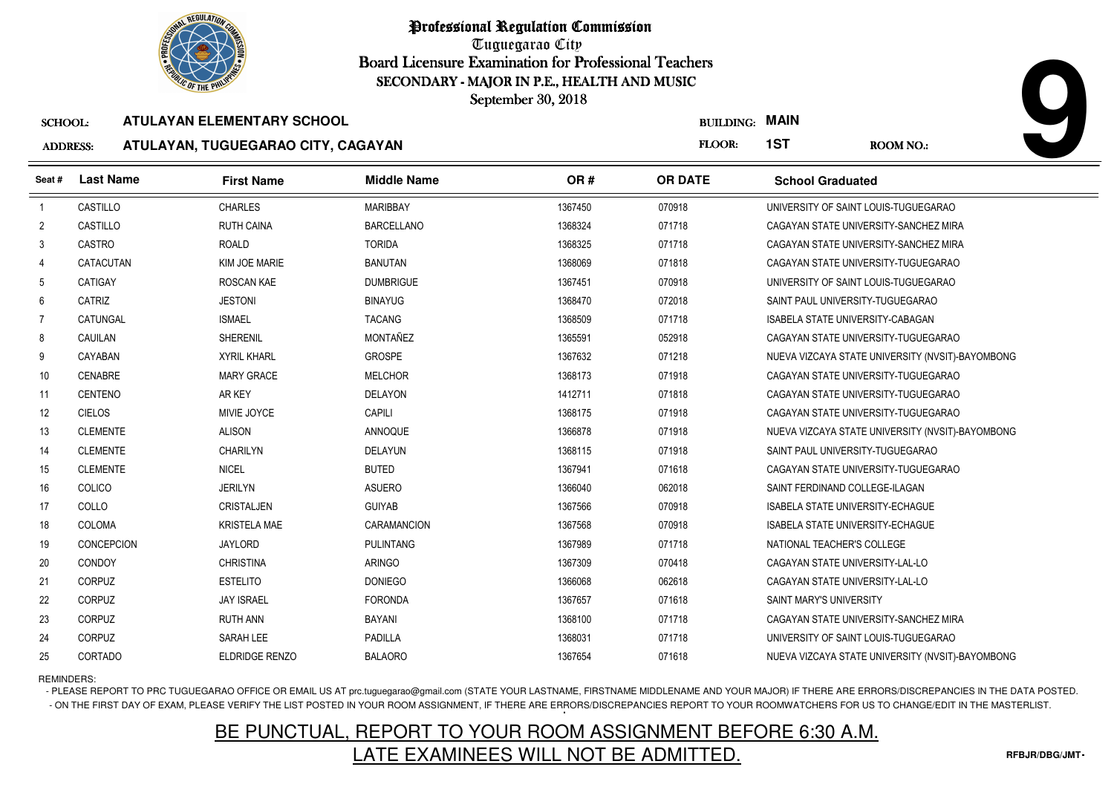

Tuguegarao City Board Licensure Examination for Professional Teachers September 30, 2018

## ADDRESS:**ATULAYAN, TUGUEGARAO CITY, CAGAYAN**

|                 | <b>OLIC OF THE PHILIP</b> |                                    | SECONDARY - MAJOR IN P.E., HEALTH AND MUSIC |         |                  |                                         |                                                  |
|-----------------|---------------------------|------------------------------------|---------------------------------------------|---------|------------------|-----------------------------------------|--------------------------------------------------|
|                 |                           |                                    | September 30, 2018                          |         |                  |                                         |                                                  |
| <b>SCHOOL:</b>  |                           | <b>ATULAYAN ELEMENTARY SCHOOL</b>  |                                             |         | <b>BUILDING:</b> | <b>MAIN</b>                             |                                                  |
| <b>ADDRESS:</b> |                           | ATULAYAN, TUGUEGARAO CITY, CAGAYAN |                                             |         | FLOOR:           | 1ST                                     | <b>ROOM NO.:</b>                                 |
| Seat #          | <b>Last Name</b>          | <b>First Name</b>                  | <b>Middle Name</b>                          | OR#     | <b>OR DATE</b>   | <b>School Graduated</b>                 |                                                  |
| $\overline{1}$  | CASTILLO                  | <b>CHARLES</b>                     | <b>MARIBBAY</b>                             | 1367450 | 070918           |                                         | UNIVERSITY OF SAINT LOUIS-TUGUEGARAO             |
| 2               | CASTILLO                  | <b>RUTH CAINA</b>                  | <b>BARCELLANO</b>                           | 1368324 | 071718           |                                         | CAGAYAN STATE UNIVERSITY-SANCHEZ MIRA            |
| 3               | CASTRO                    | ROALD                              | <b>TORIDA</b>                               | 1368325 | 071718           |                                         | CAGAYAN STATE UNIVERSITY-SANCHEZ MIRA            |
| 4               | <b>CATACUTAN</b>          | KIM JOE MARIE                      | <b>BANUTAN</b>                              | 1368069 | 071818           |                                         | CAGAYAN STATE UNIVERSITY-TUGUEGARAO              |
| 5               | CATIGAY                   | <b>ROSCAN KAE</b>                  | <b>DUMBRIGUE</b>                            | 1367451 | 070918           |                                         | UNIVERSITY OF SAINT LOUIS-TUGUEGARAO             |
| 6               | CATRIZ                    | <b>JESTONI</b>                     | <b>BINAYUG</b>                              | 1368470 | 072018           | SAINT PAUL UNIVERSITY-TUGUEGARAO        |                                                  |
| $\overline{7}$  | CATUNGAL                  | <b>ISMAEL</b>                      | <b>TACANG</b>                               | 1368509 | 071718           | ISABELA STATE UNIVERSITY-CABAGAN        |                                                  |
| 8               | CAUILAN                   | SHERENIL                           | MONTAÑEZ                                    | 1365591 | 052918           |                                         | CAGAYAN STATE UNIVERSITY-TUGUEGARAO              |
| 9               | CAYABAN                   | <b>XYRIL KHARL</b>                 | <b>GROSPE</b>                               | 1367632 | 071218           |                                         | NUEVA VIZCAYA STATE UNIVERSITY (NVSIT)-BAYOMBONG |
| 10 <sup>°</sup> | <b>CENABRE</b>            | <b>MARY GRACE</b>                  | <b>MELCHOR</b>                              | 1368173 | 071918           |                                         | CAGAYAN STATE UNIVERSITY-TUGUEGARAO              |
| 11              | <b>CENTENO</b>            | AR KEY                             | <b>DELAYON</b>                              | 1412711 | 071818           |                                         | CAGAYAN STATE UNIVERSITY-TUGUEGARAO              |
| 12              | <b>CIELOS</b>             | MIVIE JOYCE                        | <b>CAPILI</b>                               | 1368175 | 071918           |                                         | CAGAYAN STATE UNIVERSITY-TUGUEGARAO              |
| 13              | <b>CLEMENTE</b>           | <b>ALISON</b>                      | <b>ANNOQUE</b>                              | 1366878 | 071918           |                                         | NUEVA VIZCAYA STATE UNIVERSITY (NVSIT)-BAYOMBONG |
| 14              | <b>CLEMENTE</b>           | CHARILYN                           | DELAYUN                                     | 1368115 | 071918           | SAINT PAUL UNIVERSITY-TUGUEGARAO        |                                                  |
| 15              | <b>CLEMENTE</b>           | <b>NICEL</b>                       | <b>BUTED</b>                                | 1367941 | 071618           |                                         | CAGAYAN STATE UNIVERSITY-TUGUEGARAO              |
| 16              | <b>COLICO</b>             | <b>JERILYN</b>                     | <b>ASUERO</b>                               | 1366040 | 062018           | SAINT FERDINAND COLLEGE-ILAGAN          |                                                  |
| 17              | COLLO                     | <b>CRISTALJEN</b>                  | <b>GUIYAB</b>                               | 1367566 | 070918           | <b>ISABELA STATE UNIVERSITY-ECHAGUE</b> |                                                  |
| 18              | <b>COLOMA</b>             | <b>KRISTELA MAE</b>                | CARAMANCION                                 | 1367568 | 070918           | <b>ISABELA STATE UNIVERSITY-ECHAGUE</b> |                                                  |
| 19              | CONCEPCION                | JAYLORD                            | <b>PULINTANG</b>                            | 1367989 | 071718           | NATIONAL TEACHER'S COLLEGE              |                                                  |
| 20              | <b>CONDOY</b>             | <b>CHRISTINA</b>                   | <b>ARINGO</b>                               | 1367309 | 070418           | CAGAYAN STATE UNIVERSITY-LAL-LO         |                                                  |
| 21              | CORPUZ                    | <b>ESTELITO</b>                    | <b>DONIEGO</b>                              | 1366068 | 062618           | CAGAYAN STATE UNIVERSITY-LAL-LO         |                                                  |
| 22              | CORPUZ                    | <b>JAY ISRAEL</b>                  | <b>FORONDA</b>                              | 1367657 | 071618           | SAINT MARY'S UNIVERSITY                 |                                                  |
| 23              | <b>CORPUZ</b>             | <b>RUTH ANN</b>                    | BAYANI                                      | 1368100 | 071718           |                                         | CAGAYAN STATE UNIVERSITY-SANCHEZ MIRA            |
| 24              | CORPUZ                    | SARAH LEE                          | PADILLA                                     | 1368031 | 071718           | UNIVERSITY OF SAINT LOUIS-TUGUEGARAO    |                                                  |
| 25              | CORTADO                   | <b>ELDRIDGE RENZO</b>              | <b>BALAORO</b>                              | 1367654 | 071618           |                                         | NUEVA VIZCAYA STATE UNIVERSITY (NVSIT)-BAYOMBONG |

REMINDERS:

- PLEASE REPORT TO PRC TUGUEGARAO OFFICE OR EMAIL US AT prc.tuguegarao@gmail.com (STATE YOUR LASTNAME, FIRSTNAME MIDDLENAME AND YOUR MAJOR) IF THERE ARE ERRORS/DISCREPANCIES IN THE DATA POSTED. - ON THE FIRST DAY OF EXAM, PLEASE VERIFY THE LIST POSTED IN YOUR ROOM ASSIGNMENT, IF THERE ARE ERRORS/DISCREPANCIES REPORT TO YOUR ROOMWATCHERS FOR US TO CHANGE/EDIT IN THE MASTERLIST.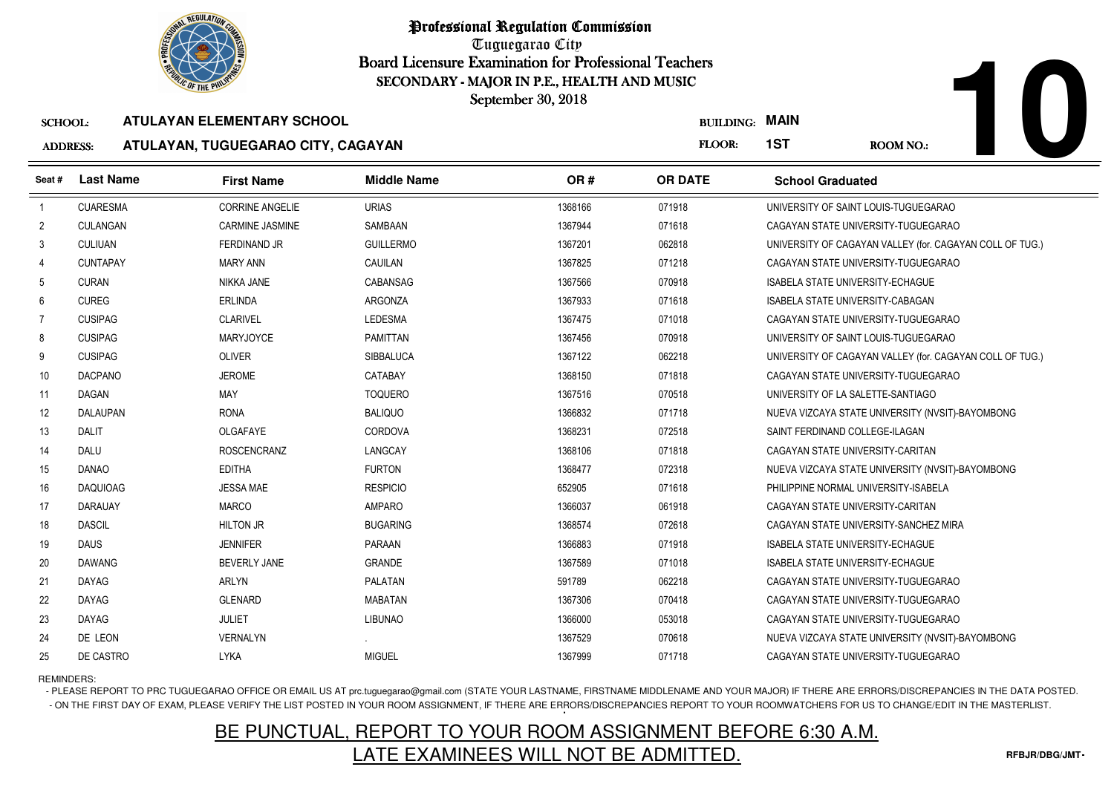

Tuguegarao City Board Licensure Examination for Professional Teachers September 30, 2018

#### SCHOOL:**ATULAYAN ELEMENTARY SCHOOL**

### ADDRESS:**ATULAYAN, TUGUEGARAO CITY, CAGAYAN**

|                 | <b>OLIC OF THE PHILIP</b><br>SECONDARY - MAJOR IN P.E., HEALTH AND MUSIC<br>September 30, 2018 |                                    |                    |         |                  |                         |                                                    |  |  |  |  |
|-----------------|------------------------------------------------------------------------------------------------|------------------------------------|--------------------|---------|------------------|-------------------------|----------------------------------------------------|--|--|--|--|
| <b>SCHOOL:</b>  |                                                                                                | ATULAYAN ELEMENTARY SCHOOL         |                    |         | <b>BUILDING:</b> | MAIN                    |                                                    |  |  |  |  |
| <b>ADDRESS:</b> |                                                                                                | ATULAYAN, TUGUEGARAO CITY, CAGAYAN |                    |         | <b>FLOOR:</b>    | 1ST                     | <b>ROOM NO.:</b>                                   |  |  |  |  |
| Seat#           | <b>Last Name</b>                                                                               | <b>First Name</b>                  | <b>Middle Name</b> | OR#     | <b>OR DATE</b>   | <b>School Graduated</b> |                                                    |  |  |  |  |
|                 | <b>CUARESMA</b>                                                                                | <b>CORRINE ANGELIE</b>             | <b>URIAS</b>       | 1368166 | 071918           |                         | UNIVERSITY OF SAINT LOUIS-TUGUEGARAO               |  |  |  |  |
|                 | CULANGAN                                                                                       | CARMINE JASMINE                    | SAMBAAN            | 1367944 | 071618           |                         | CAGAYAN STATE UNIVERSITY-TUGUEGARAO                |  |  |  |  |
|                 | <b>CULIUAN</b>                                                                                 | FERDINAND JR                       | <b>GUILLERMO</b>   | 1367201 | 062818           |                         | UNIVERSITY OF CAGAYAN VALLEY (for. CAGAYAN COLL OF |  |  |  |  |

| $\overline{2}$ | CULANGAN        | CARMINE JASMINE     | SAMBAAN          | 1367944 | 071618 | CAGAYAN STATE UNIVERSITY-TUGUEGARAO                      |
|----------------|-----------------|---------------------|------------------|---------|--------|----------------------------------------------------------|
| 3              | <b>CULIUAN</b>  | <b>FERDINAND JR</b> | <b>GUILLERMO</b> | 1367201 | 062818 | UNIVERSITY OF CAGAYAN VALLEY (for. CAGAYAN COLL OF TUG.) |
| $\overline{4}$ | <b>CUNTAPAY</b> | <b>MARY ANN</b>     | CAUILAN          | 1367825 | 071218 | CAGAYAN STATE UNIVERSITY-TUGUEGARAO                      |
| 5              | <b>CURAN</b>    | NIKKA JANE          | CABANSAG         | 1367566 | 070918 | <b>ISABELA STATE UNIVERSITY-ECHAGUE</b>                  |
| 6              | <b>CUREG</b>    | <b>ERLINDA</b>      | ARGONZA          | 1367933 | 071618 | <b>ISABELA STATE UNIVERSITY-CABAGAN</b>                  |
| $\overline{7}$ | <b>CUSIPAG</b>  | <b>CLARIVEL</b>     | <b>LEDESMA</b>   | 1367475 | 071018 | CAGAYAN STATE UNIVERSITY-TUGUEGARAO                      |
| 8              | <b>CUSIPAG</b>  | <b>MARYJOYCE</b>    | <b>PAMITTAN</b>  | 1367456 | 070918 | UNIVERSITY OF SAINT LOUIS-TUGUEGARAO                     |
| 9              | <b>CUSIPAG</b>  | <b>OLIVER</b>       | SIBBALUCA        | 1367122 | 062218 | UNIVERSITY OF CAGAYAN VALLEY (for. CAGAYAN COLL OF TUG.) |
| 10             | <b>DACPANO</b>  | <b>JEROME</b>       | CATABAY          | 1368150 | 071818 | CAGAYAN STATE UNIVERSITY-TUGUEGARAO                      |
| 11             | <b>DAGAN</b>    | MAY                 | <b>TOQUERO</b>   | 1367516 | 070518 | UNIVERSITY OF LA SALETTE-SANTIAGO                        |
| 12             | <b>DALAUPAN</b> | <b>RONA</b>         | <b>BALIQUO</b>   | 1366832 | 071718 | NUEVA VIZCAYA STATE UNIVERSITY (NVSIT)-BAYOMBONG         |
| 13             | <b>DALIT</b>    | OLGAFAYE            | CORDOVA          | 1368231 | 072518 | SAINT FERDINAND COLLEGE-ILAGAN                           |
| 14             | <b>DALU</b>     | <b>ROSCENCRANZ</b>  | LANGCAY          | 1368106 | 071818 | CAGAYAN STATE UNIVERSITY-CARITAN                         |
| 15             | <b>DANAO</b>    | <b>EDITHA</b>       | <b>FURTON</b>    | 1368477 | 072318 | NUEVA VIZCAYA STATE UNIVERSITY (NVSIT)-BAYOMBONG         |
| 16             | <b>DAQUIOAG</b> | <b>JESSA MAE</b>    | <b>RESPICIO</b>  | 652905  | 071618 | PHILIPPINE NORMAL UNIVERSITY-ISABELA                     |
| 17             | <b>DARAUAY</b>  | <b>MARCO</b>        | AMPARO           | 1366037 | 061918 | CAGAYAN STATE UNIVERSITY-CARITAN                         |
| 18             | <b>DASCIL</b>   | <b>HILTON JR</b>    | <b>BUGARING</b>  | 1368574 | 072618 | CAGAYAN STATE UNIVERSITY-SANCHEZ MIRA                    |
| 19             | <b>DAUS</b>     | <b>JENNIFER</b>     | PARAAN           | 1366883 | 071918 | <b>ISABELA STATE UNIVERSITY-ECHAGUE</b>                  |
| 20             | <b>DAWANG</b>   | <b>BEVERLY JANE</b> | <b>GRANDE</b>    | 1367589 | 071018 | <b>ISABELA STATE UNIVERSITY-ECHAGUE</b>                  |
| 21             | <b>DAYAG</b>    | <b>ARLYN</b>        | PALATAN          | 591789  | 062218 | CAGAYAN STATE UNIVERSITY-TUGUEGARAO                      |
| 22             | <b>DAYAG</b>    | <b>GLENARD</b>      | <b>MABATAN</b>   | 1367306 | 070418 | CAGAYAN STATE UNIVERSITY-TUGUEGARAO                      |
| 23             | <b>DAYAG</b>    | JULIET              | <b>LIBUNAO</b>   | 1366000 | 053018 | CAGAYAN STATE UNIVERSITY-TUGUEGARAO                      |
| 24             | DE LEON         | <b>VERNALYN</b>     |                  | 1367529 | 070618 | NUEVA VIZCAYA STATE UNIVERSITY (NVSIT)-BAYOMBONG         |
| 25             | DE CASTRO       | <b>LYKA</b>         | <b>MIGUEL</b>    | 1367999 | 071718 | CAGAYAN STATE UNIVERSITY-TUGUEGARAO                      |
|                |                 |                     |                  |         |        |                                                          |

REMINDERS:

- PLEASE REPORT TO PRC TUGUEGARAO OFFICE OR EMAIL US AT prc.tuguegarao@gmail.com (STATE YOUR LASTNAME, FIRSTNAME MIDDLENAME AND YOUR MAJOR) IF THERE ARE ERRORS/DISCREPANCIES IN THE DATA POSTED. - ON THE FIRST DAY OF EXAM, PLEASE VERIFY THE LIST POSTED IN YOUR ROOM ASSIGNMENT, IF THERE ARE ERRORS/DISCREPANCIES REPORT TO YOUR ROOMWATCHERS FOR US TO CHANGE/EDIT IN THE MASTERLIST.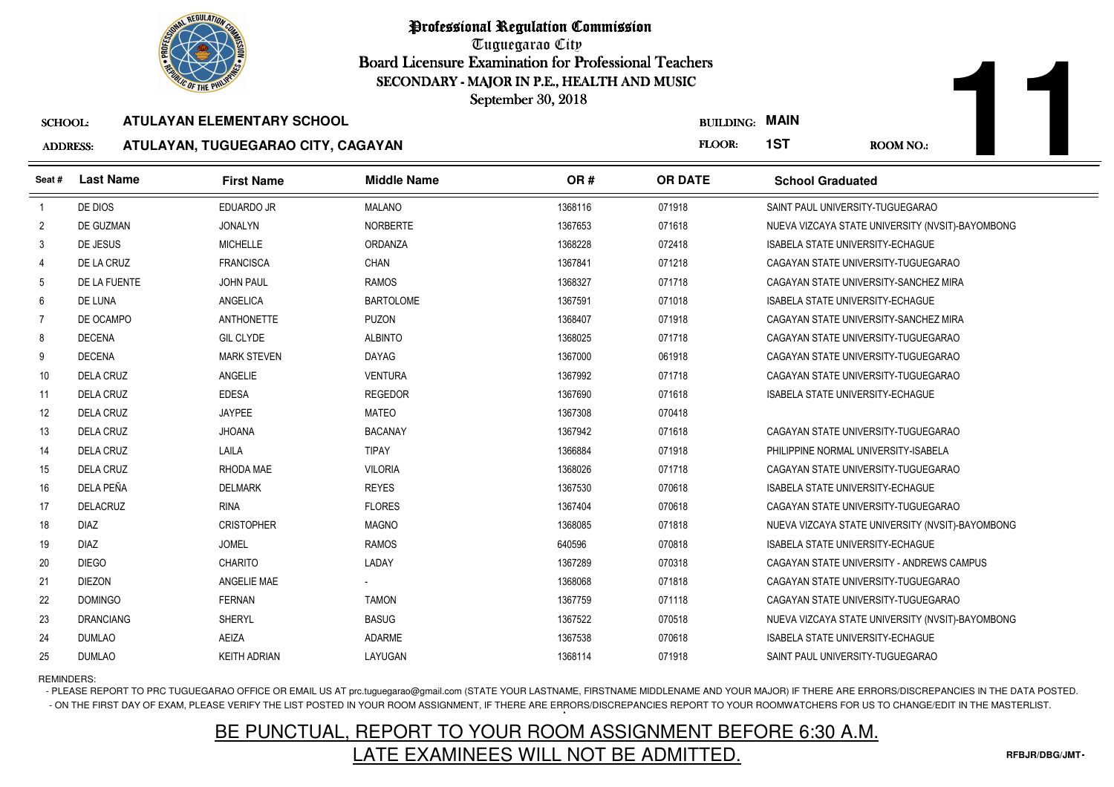

Tuguegarao City Board Licensure Examination for Professional Teachers September 30, 2018

### ADDRESS:**ATULAYAN, TUGUEGARAO CITY, CAGAYAN**

| <b>OLIC OF THE PHILIP</b><br>SECONDARY - MAJOR IN P.E., HEALTH AND MUSIC |                  |                                    |                    |         |                       |                                                  |
|--------------------------------------------------------------------------|------------------|------------------------------------|--------------------|---------|-----------------------|--------------------------------------------------|
|                                                                          |                  |                                    | September 30, 2018 |         |                       |                                                  |
| <b>SCHOOL:</b>                                                           |                  | <b>ATULAYAN ELEMENTARY SCHOOL</b>  |                    |         | <b>BUILDING: MAIN</b> |                                                  |
| <b>ADDRESS:</b>                                                          |                  | ATULAYAN, TUGUEGARAO CITY, CAGAYAN |                    |         | FLOOR:                | 1ST<br><b>ROOM NO.:</b>                          |
| Seat#                                                                    | <b>Last Name</b> | <b>First Name</b>                  | <b>Middle Name</b> | OR#     | <b>OR DATE</b>        | <b>School Graduated</b>                          |
|                                                                          | DE DIOS          | <b>EDUARDO JR</b>                  | <b>MALANO</b>      | 1368116 | 071918                | SAINT PAUL UNIVERSITY-TUGUEGARAO                 |
| $\overline{2}$                                                           | DE GUZMAN        | <b>JONALYN</b>                     | <b>NORBERTE</b>    | 1367653 | 071618                | NUEVA VIZCAYA STATE UNIVERSITY (NVSIT)-BAYOMBONG |
| 3                                                                        | DE JESUS         | <b>MICHELLE</b>                    | ORDANZA            | 1368228 | 072418                | <b>ISABELA STATE UNIVERSITY-ECHAGUE</b>          |
| 4                                                                        | DE LA CRUZ       | <b>FRANCISCA</b>                   | CHAN               | 1367841 | 071218                | CAGAYAN STATE UNIVERSITY-TUGUEGARAO              |
| 5                                                                        | DE LA FUENTE     | <b>JOHN PAUL</b>                   | <b>RAMOS</b>       | 1368327 | 071718                | CAGAYAN STATE UNIVERSITY-SANCHEZ MIRA            |
| 6                                                                        | DE LUNA          | ANGELICA                           | <b>BARTOLOME</b>   | 1367591 | 071018                | <b>ISABELA STATE UNIVERSITY-ECHAGUE</b>          |
| -7                                                                       | DE OCAMPO        | <b>ANTHONETTE</b>                  | <b>PUZON</b>       | 1368407 | 071918                | CAGAYAN STATE UNIVERSITY-SANCHEZ MIRA            |
| 8                                                                        | <b>DECENA</b>    | <b>GIL CLYDE</b>                   | <b>ALBINTO</b>     | 1368025 | 071718                | CAGAYAN STATE UNIVERSITY-TUGUEGARAO              |
| 9                                                                        | <b>DECENA</b>    | <b>MARK STEVEN</b>                 | <b>DAYAG</b>       | 1367000 | 061918                | CAGAYAN STATE UNIVERSITY-TUGUEGARAO              |
| 10                                                                       | <b>DELA CRUZ</b> | ANGELIE                            | <b>VENTURA</b>     | 1367992 | 071718                | CAGAYAN STATE UNIVERSITY-TUGUEGARAO              |
| 11                                                                       | <b>DELA CRUZ</b> | <b>EDESA</b>                       | <b>REGEDOR</b>     | 1367690 | 071618                | <b>ISABELA STATE UNIVERSITY-ECHAGUE</b>          |
| 12                                                                       | <b>DELA CRUZ</b> | <b>JAYPEE</b>                      | <b>MATEO</b>       | 1367308 | 070418                |                                                  |
| 13                                                                       | <b>DELA CRUZ</b> | <b>JHOANA</b>                      | <b>BACANAY</b>     | 1367942 | 071618                | CAGAYAN STATE UNIVERSITY-TUGUEGARAO              |
| 14                                                                       | <b>DELA CRUZ</b> | LAILA                              | <b>TIPAY</b>       | 1366884 | 071918                | PHILIPPINE NORMAL UNIVERSITY-ISABELA             |
| 15                                                                       | <b>DELA CRUZ</b> | RHODA MAE                          | <b>VILORIA</b>     | 1368026 | 071718                | CAGAYAN STATE UNIVERSITY-TUGUEGARAO              |
| 16                                                                       | DELA PEÑA        | <b>DELMARK</b>                     | <b>REYES</b>       | 1367530 | 070618                | ISABELA STATE UNIVERSITY-ECHAGUE                 |
| 17                                                                       | <b>DELACRUZ</b>  | <b>RINA</b>                        | <b>FLORES</b>      | 1367404 | 070618                | CAGAYAN STATE UNIVERSITY-TUGUEGARAO              |
| 18                                                                       | <b>DIAZ</b>      | <b>CRISTOPHER</b>                  | <b>MAGNO</b>       | 1368085 | 071818                | NUEVA VIZCAYA STATE UNIVERSITY (NVSIT)-BAYOMBONG |
| 19                                                                       | <b>DIAZ</b>      | <b>JOMEL</b>                       | <b>RAMOS</b>       | 640596  | 070818                | <b>ISABELA STATE UNIVERSITY-ECHAGUE</b>          |
| 20                                                                       | <b>DIEGO</b>     | <b>CHARITO</b>                     | LADAY              | 1367289 | 070318                | CAGAYAN STATE UNIVERSITY - ANDREWS CAMPUS        |
| 21                                                                       | <b>DIEZON</b>    | ANGELIE MAE                        |                    | 1368068 | 071818                | CAGAYAN STATE UNIVERSITY-TUGUEGARAO              |
| 22                                                                       | <b>DOMINGO</b>   | <b>FERNAN</b>                      | <b>TAMON</b>       | 1367759 | 071118                | CAGAYAN STATE UNIVERSITY-TUGUEGARAO              |
| 23                                                                       | <b>DRANCIANG</b> | SHERYL                             | <b>BASUG</b>       | 1367522 | 070518                | NUEVA VIZCAYA STATE UNIVERSITY (NVSIT)-BAYOMBONG |
| 24                                                                       | <b>DUMLAO</b>    | AEIZA                              | <b>ADARME</b>      | 1367538 | 070618                | <b>ISABELA STATE UNIVERSITY-ECHAGUE</b>          |
| 25                                                                       | <b>DUMLAO</b>    | <b>KEITH ADRIAN</b>                | LAYUGAN            | 1368114 | 071918                | SAINT PAUL UNIVERSITY-TUGUEGARAO                 |

REMINDERS:

- PLEASE REPORT TO PRC TUGUEGARAO OFFICE OR EMAIL US AT prc.tuguegarao@gmail.com (STATE YOUR LASTNAME, FIRSTNAME MIDDLENAME AND YOUR MAJOR) IF THERE ARE ERRORS/DISCREPANCIES IN THE DATA POSTED. - ON THE FIRST DAY OF EXAM, PLEASE VERIFY THE LIST POSTED IN YOUR ROOM ASSIGNMENT, IF THERE ARE ERRORS/DISCREPANCIES REPORT TO YOUR ROOMWATCHERS FOR US TO CHANGE/EDIT IN THE MASTERLIST.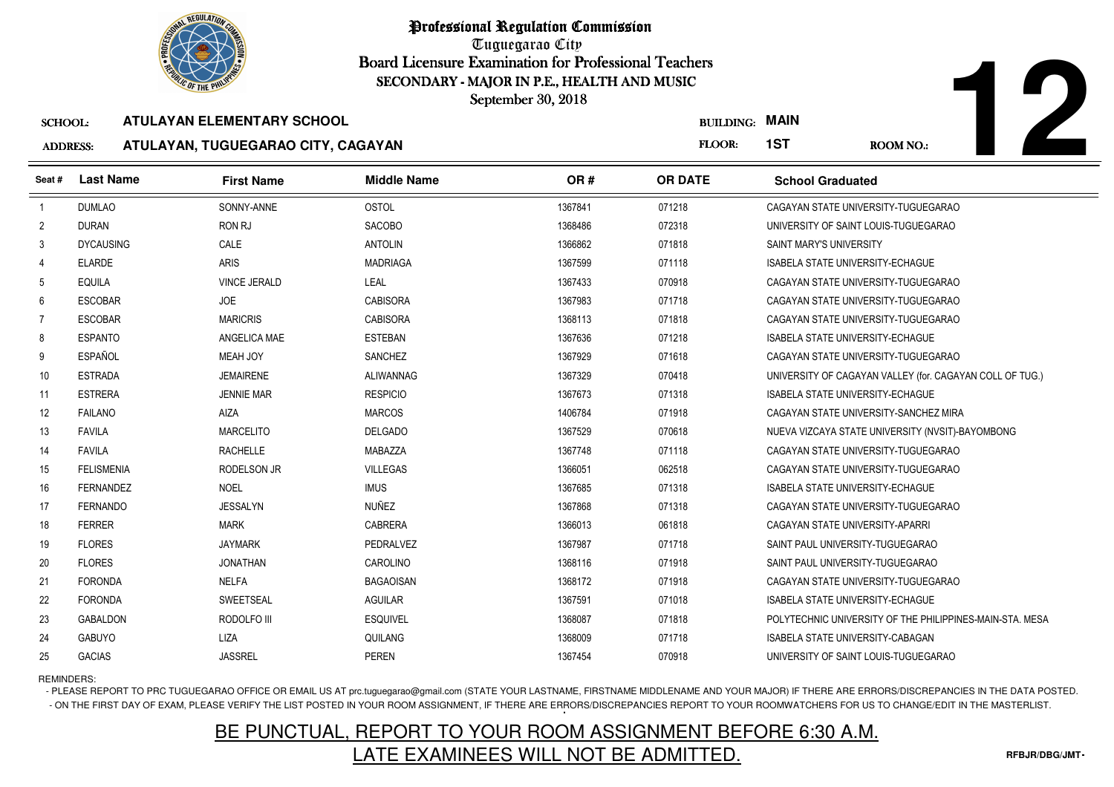

Tuguegarao City Board Licensure Examination for Professional Teachers September 30, 2018

### SCHOOL:**ATULAYAN ELEMENTARY SCHOOL**

## ADDRESS:**ATULAYAN, TUGUEGARAO CITY, CAGAYAN**

| <b>OF THE PHILIP</b><br>SECONDARY - MAJOR IN P.E., HEALTH AND MUSIC |                   |                                    |                    |         |                  |                                                          |
|---------------------------------------------------------------------|-------------------|------------------------------------|--------------------|---------|------------------|----------------------------------------------------------|
|                                                                     |                   |                                    | September 30, 2018 |         |                  |                                                          |
| <b>SCHOOL:</b>                                                      |                   | <b>ATULAYAN ELEMENTARY SCHOOL</b>  |                    |         | <b>BUILDING:</b> | <b>MAIN</b>                                              |
| <b>ADDRESS:</b>                                                     |                   | ATULAYAN, TUGUEGARAO CITY, CAGAYAN |                    |         | FLOOR:           | 1ST<br><b>ROOM NO.:</b>                                  |
| Seat#                                                               | <b>Last Name</b>  | <b>First Name</b>                  | <b>Middle Name</b> | OR#     | <b>OR DATE</b>   | <b>School Graduated</b>                                  |
| $\overline{1}$                                                      | <b>DUMLAO</b>     | SONNY-ANNE                         | <b>OSTOL</b>       | 1367841 | 071218           | CAGAYAN STATE UNIVERSITY-TUGUEGARAO                      |
| $\overline{2}$                                                      | <b>DURAN</b>      | RON RJ                             | <b>SACOBO</b>      | 1368486 | 072318           | UNIVERSITY OF SAINT LOUIS-TUGUEGARAO                     |
| 3                                                                   | <b>DYCAUSING</b>  | CALE                               | <b>ANTOLIN</b>     | 1366862 | 071818           | SAINT MARY'S UNIVERSITY                                  |
| 4                                                                   | <b>ELARDE</b>     | <b>ARIS</b>                        | <b>MADRIAGA</b>    | 1367599 | 071118           | <b>ISABELA STATE UNIVERSITY-ECHAGUE</b>                  |
| 5                                                                   | EQUILA            | <b>VINCE JERALD</b>                | LEAL               | 1367433 | 070918           | CAGAYAN STATE UNIVERSITY-TUGUEGARAO                      |
| 6                                                                   | <b>ESCOBAR</b>    | <b>JOE</b>                         | <b>CABISORA</b>    | 1367983 | 071718           | CAGAYAN STATE UNIVERSITY-TUGUEGARAO                      |
| 7                                                                   | <b>ESCOBAR</b>    | <b>MARICRIS</b>                    | <b>CABISORA</b>    | 1368113 | 071818           | CAGAYAN STATE UNIVERSITY-TUGUEGARAO                      |
| 8                                                                   | <b>ESPANTO</b>    | ANGELICA MAE                       | <b>ESTEBAN</b>     | 1367636 | 071218           | ISABELA STATE UNIVERSITY-ECHAGUE                         |
| 9                                                                   | <b>ESPAÑOL</b>    | MEAH JOY                           | <b>SANCHEZ</b>     | 1367929 | 071618           | CAGAYAN STATE UNIVERSITY-TUGUEGARAO                      |
| 10                                                                  | <b>ESTRADA</b>    | <b>JEMAIRENE</b>                   | ALIWANNAG          | 1367329 | 070418           | UNIVERSITY OF CAGAYAN VALLEY (for. CAGAYAN COLL OF TUG.) |
| 11                                                                  | <b>ESTRERA</b>    | <b>JENNIE MAR</b>                  | <b>RESPICIO</b>    | 1367673 | 071318           | <b>ISABELA STATE UNIVERSITY-ECHAGUE</b>                  |
| 12                                                                  | <b>FAILANO</b>    | AIZA                               | <b>MARCOS</b>      | 1406784 | 071918           | CAGAYAN STATE UNIVERSITY-SANCHEZ MIRA                    |
| 13                                                                  | <b>FAVILA</b>     | <b>MARCELITO</b>                   | <b>DELGADO</b>     | 1367529 | 070618           | NUEVA VIZCAYA STATE UNIVERSITY (NVSIT)-BAYOMBONG         |
| 14                                                                  | <b>FAVILA</b>     | <b>RACHELLE</b>                    | MABAZZA            | 1367748 | 071118           | CAGAYAN STATE UNIVERSITY-TUGUEGARAO                      |
| 15                                                                  | <b>FELISMENIA</b> | RODELSON JR                        | <b>VILLEGAS</b>    | 1366051 | 062518           | CAGAYAN STATE UNIVERSITY-TUGUEGARAO                      |
| 16                                                                  | <b>FERNANDEZ</b>  | <b>NOEL</b>                        | <b>IMUS</b>        | 1367685 | 071318           | ISABELA STATE UNIVERSITY-ECHAGUE                         |
| 17                                                                  | <b>FERNANDO</b>   | <b>JESSALYN</b>                    | <b>NUÑEZ</b>       | 1367868 | 071318           | CAGAYAN STATE UNIVERSITY-TUGUEGARAO                      |
| 18                                                                  | <b>FERRER</b>     | <b>MARK</b>                        | <b>CABRERA</b>     | 1366013 | 061818           | CAGAYAN STATE UNIVERSITY-APARRI                          |
| 19                                                                  | <b>FLORES</b>     | <b>JAYMARK</b>                     | PEDRALVEZ          | 1367987 | 071718           | SAINT PAUL UNIVERSITY-TUGUEGARAO                         |
| 20                                                                  | <b>FLORES</b>     | <b>JONATHAN</b>                    | CAROLINO           | 1368116 | 071918           | SAINT PAUL UNIVERSITY-TUGUEGARAO                         |
| 21                                                                  | <b>FORONDA</b>    | <b>NELFA</b>                       | <b>BAGAOISAN</b>   | 1368172 | 071918           | CAGAYAN STATE UNIVERSITY-TUGUEGARAO                      |
| 22                                                                  | <b>FORONDA</b>    | <b>SWEETSEAL</b>                   | <b>AGUILAR</b>     | 1367591 | 071018           | ISABELA STATE UNIVERSITY-ECHAGUE                         |
| 23                                                                  | <b>GABALDON</b>   | RODOLFO III                        | <b>ESQUIVEL</b>    | 1368087 | 071818           | POLYTECHNIC UNIVERSITY OF THE PHILIPPINES-MAIN-STA. MESA |
| 24                                                                  | <b>GABUYO</b>     | LIZA                               | QUILANG            | 1368009 | 071718           | <b>ISABELA STATE UNIVERSITY-CABAGAN</b>                  |
| 25                                                                  | <b>GACIAS</b>     | <b>JASSREL</b>                     | <b>PEREN</b>       | 1367454 | 070918           | UNIVERSITY OF SAINT LOUIS-TUGUEGARAO                     |

REMINDERS:

- PLEASE REPORT TO PRC TUGUEGARAO OFFICE OR EMAIL US AT prc.tuguegarao@gmail.com (STATE YOUR LASTNAME, FIRSTNAME MIDDLENAME AND YOUR MAJOR) IF THERE ARE ERRORS/DISCREPANCIES IN THE DATA POSTED. - ON THE FIRST DAY OF EXAM, PLEASE VERIFY THE LIST POSTED IN YOUR ROOM ASSIGNMENT, IF THERE ARE ERRORS/DISCREPANCIES REPORT TO YOUR ROOMWATCHERS FOR US TO CHANGE/EDIT IN THE MASTERLIST.

## BE PUNCTUAL, REPORT TO YOUR ROOM ASSIGNMENT BEFORE 6:30 A.M.LATE EXAMINEES WILL NOT BE ADMITTED.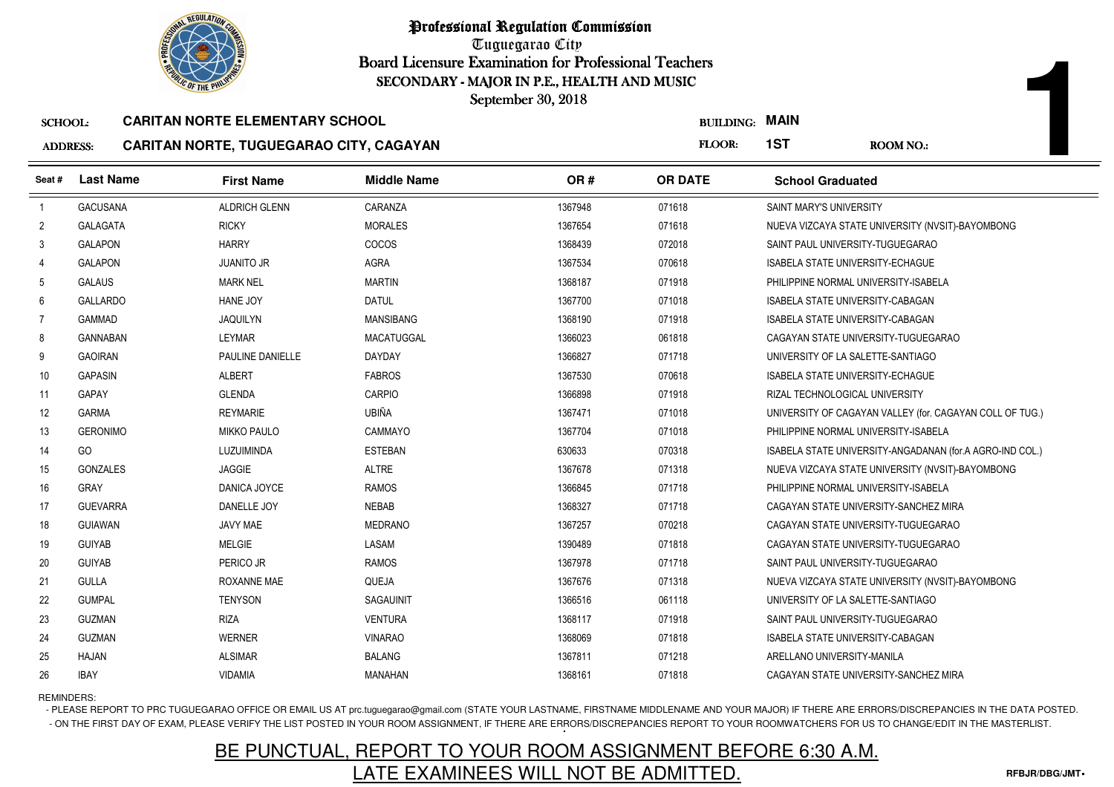

Tuguegarao City Board Licensure Examination for Professional Teachers September 30, 2018

#### SCHOOL:**CARITAN NORTE ELEMENTARY SCHOOL**

## ADDRESS:**CARITAN NORTE, TUGUEGARAO CITY, CAGAYAN**

| <b>OLIC OF THE PHILIP</b><br>SECONDARY - MAJOR IN P.E., HEALTH AND MUSIC<br>September 30, 2018 |                  |                                                                                   |                    |         |                                 |                                         |                                                          |
|------------------------------------------------------------------------------------------------|------------------|-----------------------------------------------------------------------------------|--------------------|---------|---------------------------------|-----------------------------------------|----------------------------------------------------------|
| <b>SCHOOL:</b><br><b>ADDRESS:</b>                                                              |                  | <b>CARITAN NORTE ELEMENTARY SCHOOL</b><br>CARITAN NORTE, TUGUEGARAO CITY, CAGAYAN |                    |         | <b>BUILDING: MAIN</b><br>FLOOR: | 1ST                                     | <b>ROOM NO.:</b>                                         |
| Seat#                                                                                          | <b>Last Name</b> | <b>First Name</b>                                                                 | <b>Middle Name</b> | OR#     | <b>OR DATE</b>                  | <b>School Graduated</b>                 |                                                          |
| $\overline{1}$                                                                                 | <b>GACUSANA</b>  | <b>ALDRICH GLENN</b>                                                              | CARANZA            | 1367948 | 071618                          | SAINT MARY'S UNIVERSITY                 |                                                          |
| $\overline{2}$                                                                                 | <b>GALAGATA</b>  | <b>RICKY</b>                                                                      | <b>MORALES</b>     | 1367654 | 071618                          |                                         | NUEVA VIZCAYA STATE UNIVERSITY (NVSIT)-BAYOMBONG         |
| 3                                                                                              | <b>GALAPON</b>   | <b>HARRY</b>                                                                      | <b>COCOS</b>       | 1368439 | 072018                          | SAINT PAUL UNIVERSITY-TUGUEGARAO        |                                                          |
| $\overline{4}$                                                                                 | <b>GALAPON</b>   | <b>JUANITO JR</b>                                                                 | AGRA               | 1367534 | 070618                          | <b>ISABELA STATE UNIVERSITY-ECHAGUE</b> |                                                          |
| 5                                                                                              | <b>GALAUS</b>    | <b>MARK NEL</b>                                                                   | <b>MARTIN</b>      | 1368187 | 071918                          | PHILIPPINE NORMAL UNIVERSITY-ISABELA    |                                                          |
| 6                                                                                              | <b>GALLARDO</b>  | HANE JOY                                                                          | <b>DATUL</b>       | 1367700 | 071018                          | ISABELA STATE UNIVERSITY-CABAGAN        |                                                          |
| 7                                                                                              | <b>GAMMAD</b>    | <b>JAQUILYN</b>                                                                   | <b>MANSIBANG</b>   | 1368190 | 071918                          | ISABELA STATE UNIVERSITY-CABAGAN        |                                                          |
| 8                                                                                              | <b>GANNABAN</b>  | LEYMAR                                                                            | MACATUGGAL         | 1366023 | 061818                          |                                         | CAGAYAN STATE UNIVERSITY-TUGUEGARAO                      |
| 9                                                                                              | <b>GAOIRAN</b>   | PAULINE DANIELLE                                                                  | <b>DAYDAY</b>      | 1366827 | 071718                          | UNIVERSITY OF LA SALETTE-SANTIAGO       |                                                          |
| 10                                                                                             | <b>GAPASIN</b>   | <b>ALBERT</b>                                                                     | <b>FABROS</b>      | 1367530 | 070618                          | ISABELA STATE UNIVERSITY-ECHAGUE        |                                                          |
| 11                                                                                             | <b>GAPAY</b>     | <b>GLENDA</b>                                                                     | CARPIO             | 1366898 | 071918                          | RIZAL TECHNOLOGICAL UNIVERSITY          |                                                          |
| 12                                                                                             | <b>GARMA</b>     | <b>REYMARIE</b>                                                                   | UBIÑA              | 1367471 | 071018                          |                                         | UNIVERSITY OF CAGAYAN VALLEY (for. CAGAYAN COLL OF TUG.) |
| 13                                                                                             | <b>GERONIMO</b>  | <b>MIKKO PAULO</b>                                                                | <b>CAMMAYO</b>     | 1367704 | 071018                          | PHILIPPINE NORMAL UNIVERSITY-ISABELA    |                                                          |
| 14                                                                                             | GO               | LUZUIMINDA                                                                        | <b>ESTEBAN</b>     | 630633  | 070318                          |                                         | ISABELA STATE UNIVERSITY-ANGADANAN (for A AGRO-IND COL.) |
| 15                                                                                             | <b>GONZALES</b>  | <b>JAGGIE</b>                                                                     | <b>ALTRE</b>       | 1367678 | 071318                          |                                         | NUEVA VIZCAYA STATE UNIVERSITY (NVSIT)-BAYOMBONG         |
| 16                                                                                             | <b>GRAY</b>      | DANICA JOYCE                                                                      | <b>RAMOS</b>       | 1366845 | 071718                          | PHILIPPINE NORMAL UNIVERSITY-ISABELA    |                                                          |
| 17                                                                                             | <b>GUEVARRA</b>  | DANELLE JOY                                                                       | <b>NEBAB</b>       | 1368327 | 071718                          |                                         | CAGAYAN STATE UNIVERSITY-SANCHEZ MIRA                    |
| 18                                                                                             | <b>GUIAWAN</b>   | JAVY MAE                                                                          | <b>MEDRANO</b>     | 1367257 | 070218                          |                                         | CAGAYAN STATE UNIVERSITY-TUGUEGARAO                      |
| 19                                                                                             | <b>GUIYAB</b>    | <b>MELGIE</b>                                                                     | LASAM              | 1390489 | 071818                          |                                         | CAGAYAN STATE UNIVERSITY-TUGUEGARAO                      |
| 20                                                                                             | <b>GUIYAB</b>    | PERICO JR                                                                         | <b>RAMOS</b>       | 1367978 | 071718                          | SAINT PAUL UNIVERSITY-TUGUEGARAO        |                                                          |
| 21                                                                                             | <b>GULLA</b>     | <b>ROXANNE MAE</b>                                                                | QUEJA              | 1367676 | 071318                          |                                         | NUEVA VIZCAYA STATE UNIVERSITY (NVSIT)-BAYOMBONG         |
| 22                                                                                             | <b>GUMPAL</b>    | <b>TENYSON</b>                                                                    | <b>SAGAUINIT</b>   | 1366516 | 061118                          | UNIVERSITY OF LA SALETTE-SANTIAGO       |                                                          |
| 23                                                                                             | <b>GUZMAN</b>    | <b>RIZA</b>                                                                       | <b>VENTURA</b>     | 1368117 | 071918                          | SAINT PAUL UNIVERSITY-TUGUEGARAO        |                                                          |
| 24                                                                                             | <b>GUZMAN</b>    | <b>WERNER</b>                                                                     | <b>VINARAO</b>     | 1368069 | 071818                          | ISABELA STATE UNIVERSITY-CABAGAN        |                                                          |
| 25                                                                                             | HAJAN            | <b>ALSIMAR</b>                                                                    | <b>BALANG</b>      | 1367811 | 071218                          | ARELLANO UNIVERSITY-MANILA              |                                                          |
| 26                                                                                             | <b>IBAY</b>      | <b>VIDAMIA</b>                                                                    | <b>MANAHAN</b>     | 1368161 | 071818                          |                                         | CAGAYAN STATE UNIVERSITY-SANCHEZ MIRA                    |

REMINDERS:

- PLEASE REPORT TO PRC TUGUEGARAO OFFICE OR EMAIL US AT prc.tuguegarao@gmail.com (STATE YOUR LASTNAME, FIRSTNAME MIDDLENAME AND YOUR MAJOR) IF THERE ARE ERRORS/DISCREPANCIES IN THE DATA POSTED. - ON THE FIRST DAY OF EXAM, PLEASE VERIFY THE LIST POSTED IN YOUR ROOM ASSIGNMENT, IF THERE ARE ERRORS/DISCREPANCIES REPORT TO YOUR ROOMWATCHERS FOR US TO CHANGE/EDIT IN THE MASTERLIST.

# BE PUNCTUAL, REPORT TO YOUR ROOM ASSIGNMENT BEFORE 6:30 A.M.LATE EXAMINEES WILL NOT BE ADMITTED.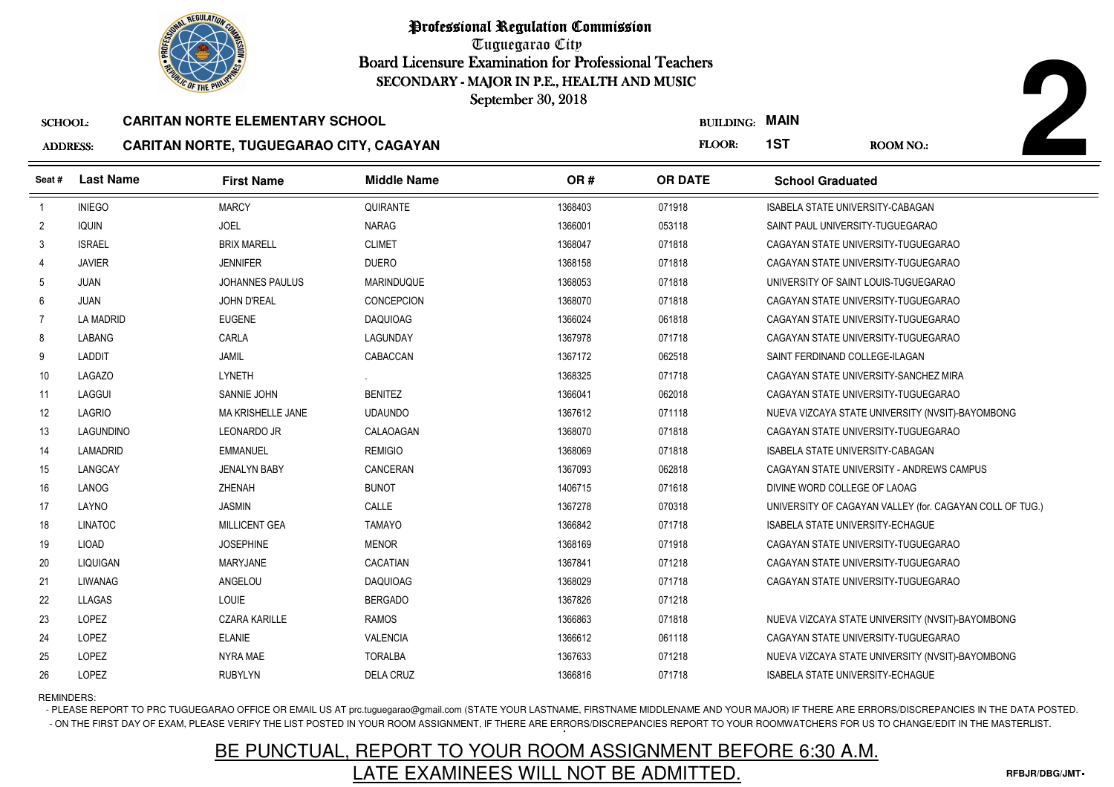

Tuguegarao City Board Licensure Examination for Professional Teachers September 30, 2018

### SCHOOL:**CARITAN NORTE ELEMENTARY SCHOOL**

## ADDRESS:**CARITAN NORTE, TUGUEGARAO CITY, CAGAYAN**

|                 | <b>OLIC OF THE PHILIP</b> |                                         | SECONDARY - MAJOR IN P.E., HEALTH AND MUSIC<br>September 30, 2018 |         |                       |                                         |                                                          |
|-----------------|---------------------------|-----------------------------------------|-------------------------------------------------------------------|---------|-----------------------|-----------------------------------------|----------------------------------------------------------|
| <b>SCHOOL:</b>  |                           | <b>CARITAN NORTE ELEMENTARY SCHOOL</b>  |                                                                   |         | <b>BUILDING: MAIN</b> |                                         |                                                          |
| <b>ADDRESS:</b> |                           | CARITAN NORTE, TUGUEGARAO CITY, CAGAYAN |                                                                   |         | FLOOR:                | 1ST                                     | <b>ROOM NO.:</b>                                         |
| Seat#           | <b>Last Name</b>          | <b>First Name</b>                       | <b>Middle Name</b>                                                | OR#     | <b>OR DATE</b>        | <b>School Graduated</b>                 |                                                          |
| $\overline{1}$  | <b>INIEGO</b>             | <b>MARCY</b>                            | QUIRANTE                                                          | 1368403 | 071918                | ISABELA STATE UNIVERSITY-CABAGAN        |                                                          |
| $\overline{2}$  | <b>IQUIN</b>              | <b>JOEL</b>                             | <b>NARAG</b>                                                      | 1366001 | 053118                | SAINT PAUL UNIVERSITY-TUGUEGARAO        |                                                          |
| 3               | <b>ISRAEL</b>             | <b>BRIX MARELL</b>                      | <b>CLIMET</b>                                                     | 1368047 | 071818                |                                         | CAGAYAN STATE UNIVERSITY-TUGUEGARAO                      |
| 4               | <b>JAVIER</b>             | <b>JENNIFER</b>                         | <b>DUERO</b>                                                      | 1368158 | 071818                |                                         | CAGAYAN STATE UNIVERSITY-TUGUEGARAO                      |
| 5               | <b>JUAN</b>               | <b>JOHANNES PAULUS</b>                  | <b>MARINDUQUE</b>                                                 | 1368053 | 071818                |                                         | UNIVERSITY OF SAINT LOUIS-TUGUEGARAO                     |
| 6               | <b>JUAN</b>               | <b>JOHN D'REAL</b>                      | <b>CONCEPCION</b>                                                 | 1368070 | 071818                |                                         | CAGAYAN STATE UNIVERSITY-TUGUEGARAO                      |
| 7               | <b>LA MADRID</b>          | <b>EUGENE</b>                           | <b>DAQUIOAG</b>                                                   | 1366024 | 061818                |                                         | CAGAYAN STATE UNIVERSITY-TUGUEGARAO                      |
| 8               | LABANG                    | CARLA                                   | LAGUNDAY                                                          | 1367978 | 071718                |                                         | CAGAYAN STATE UNIVERSITY-TUGUEGARAO                      |
| 9               | LADDIT                    | <b>JAMIL</b>                            | CABACCAN                                                          | 1367172 | 062518                | SAINT FERDINAND COLLEGE-ILAGAN          |                                                          |
| 10              | <b>LAGAZO</b>             | LYNETH                                  |                                                                   | 1368325 | 071718                |                                         | CAGAYAN STATE UNIVERSITY-SANCHEZ MIRA                    |
| 11              | LAGGUI                    | SANNIE JOHN                             | <b>BENITEZ</b>                                                    | 1366041 | 062018                |                                         | CAGAYAN STATE UNIVERSITY-TUGUEGARAO                      |
| 12              | LAGRIO                    | <b>MA KRISHELLE JANE</b>                | <b>UDAUNDO</b>                                                    | 1367612 | 071118                |                                         | NUEVA VIZCAYA STATE UNIVERSITY (NVSIT)-BAYOMBONG         |
| 13              | LAGUNDINO                 | <b>LEONARDO JR</b>                      | CALAOAGAN                                                         | 1368070 | 071818                |                                         | CAGAYAN STATE UNIVERSITY-TUGUEGARAO                      |
| 14              | LAMADRID                  | <b>EMMANUEL</b>                         | <b>REMIGIO</b>                                                    | 1368069 | 071818                | <b>ISABELA STATE UNIVERSITY-CABAGAN</b> |                                                          |
| 15              | LANGCAY                   | <b>JENALYN BABY</b>                     | CANCERAN                                                          | 1367093 | 062818                |                                         | CAGAYAN STATE UNIVERSITY - ANDREWS CAMPUS                |
| 16              | LANOG                     | ZHENAH                                  | <b>BUNOT</b>                                                      | 1406715 | 071618                | DIVINE WORD COLLEGE OF LAOAG            |                                                          |
| 17              | LAYNO                     | <b>JASMIN</b>                           | CALLE                                                             | 1367278 | 070318                |                                         | UNIVERSITY OF CAGAYAN VALLEY (for. CAGAYAN COLL OF TUG.) |
| 18              | <b>LINATOC</b>            | <b>MILLICENT GEA</b>                    | <b>TAMAYO</b>                                                     | 1366842 | 071718                | <b>ISABELA STATE UNIVERSITY-ECHAGUE</b> |                                                          |
| 19              | <b>LIOAD</b>              | <b>JOSEPHINE</b>                        | <b>MENOR</b>                                                      | 1368169 | 071918                |                                         | CAGAYAN STATE UNIVERSITY-TUGUEGARAO                      |
| 20              | LIQUIGAN                  | <b>MARYJANE</b>                         | CACATIAN                                                          | 1367841 | 071218                |                                         | CAGAYAN STATE UNIVERSITY-TUGUEGARAO                      |
| 21              | LIWANAG                   | ANGELOU                                 | <b>DAQUIOAG</b>                                                   | 1368029 | 071718                |                                         | CAGAYAN STATE UNIVERSITY-TUGUEGARAO                      |
| 22              | LLAGAS                    | <b>LOUIE</b>                            | <b>BERGADO</b>                                                    | 1367826 | 071218                |                                         |                                                          |
| 23              | LOPEZ                     | <b>CZARA KARILLE</b>                    | <b>RAMOS</b>                                                      | 1366863 | 071818                |                                         | NUEVA VIZCAYA STATE UNIVERSITY (NVSIT)-BAYOMBONG         |
| 24              | LOPEZ                     | <b>ELANIE</b>                           | <b>VALENCIA</b>                                                   | 1366612 | 061118                |                                         | CAGAYAN STATE UNIVERSITY-TUGUEGARAO                      |
| 25              | LOPEZ                     | NYRA MAE                                | <b>TORALBA</b>                                                    | 1367633 | 071218                |                                         | NUEVA VIZCAYA STATE UNIVERSITY (NVSIT)-BAYOMBONG         |
| 26              | LOPEZ                     | <b>RUBYLYN</b>                          | <b>DELA CRUZ</b>                                                  | 1366816 | 071718                | <b>ISABELA STATE UNIVERSITY-ECHAGUE</b> |                                                          |

## REMINDERS:

- PLEASE REPORT TO PRC TUGUEGARAO OFFICE OR EMAIL US AT prc.tuguegarao@gmail.com (STATE YOUR LASTNAME, FIRSTNAME MIDDLENAME AND YOUR MAJOR) IF THERE ARE ERRORS/DISCREPANCIES IN THE DATA POSTED. - ON THE FIRST DAY OF EXAM, PLEASE VERIFY THE LIST POSTED IN YOUR ROOM ASSIGNMENT, IF THERE ARE ERRORS/DISCREPANCIES REPORT TO YOUR ROOMWATCHERS FOR US TO CHANGE/EDIT IN THE MASTERLIST.

## BE PUNCTUAL, REPORT TO YOUR ROOM ASSIGNMENT BEFORE 6:30 A.M.LATE EXAMINEES WILL NOT BE ADMITTED.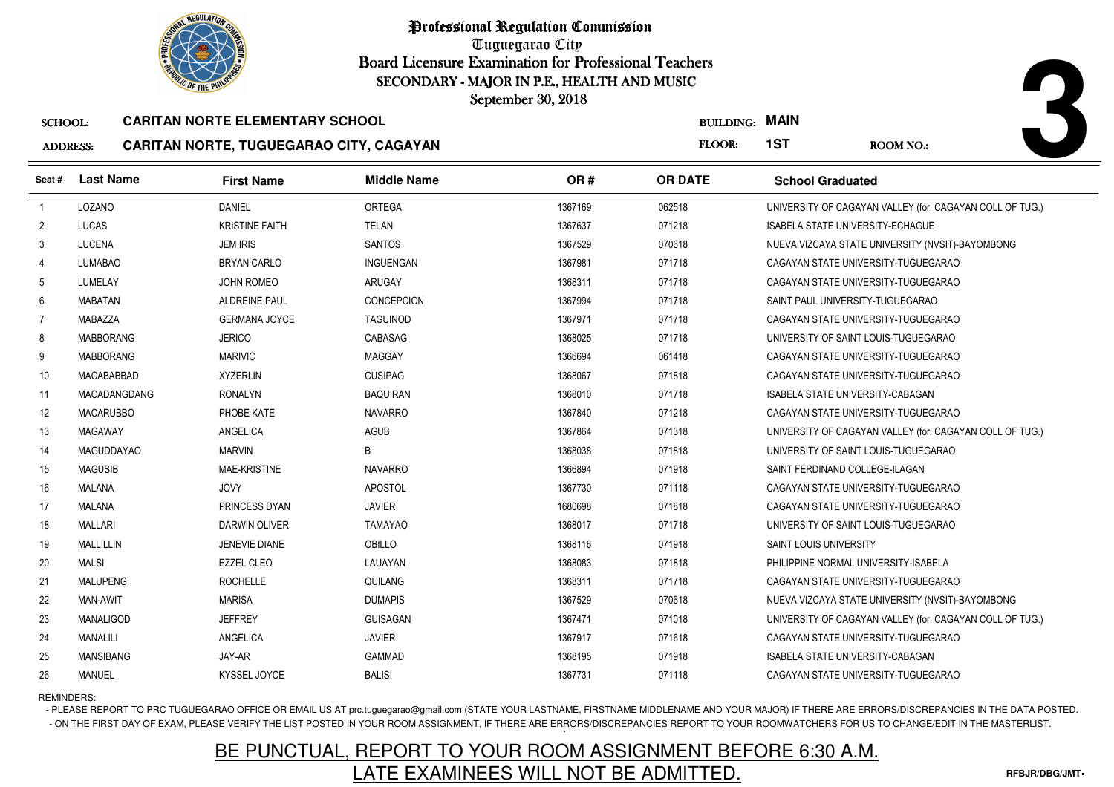

Tuguegarao City Board Licensure Examination for Professional Teachers September 30, 2018

### SCHOOL:**CARITAN NORTE ELEMENTARY SCHOOL**

## ADDRESS:**CARITAN NORTE, TUGUEGARAO CITY, CAGAYAN**

|                                   | <b>OF THE PHILIP</b><br>SECONDARY - MAJOR IN P.E., HEALTH AND MUSIC<br>September 30, 2018 |                                                                                   |                    |         |                            |                                         |                                                          |  |
|-----------------------------------|-------------------------------------------------------------------------------------------|-----------------------------------------------------------------------------------|--------------------|---------|----------------------------|-----------------------------------------|----------------------------------------------------------|--|
| <b>SCHOOL:</b><br><b>ADDRESS:</b> |                                                                                           | <b>CARITAN NORTE ELEMENTARY SCHOOL</b><br>CARITAN NORTE, TUGUEGARAO CITY, CAGAYAN |                    |         | <b>BUILDING:</b><br>FLOOR: | <b>MAIN</b><br>1ST                      | <b>ROOM NO.:</b>                                         |  |
| Seat #                            | <b>Last Name</b>                                                                          | <b>First Name</b>                                                                 | <b>Middle Name</b> | OR#     | <b>OR DATE</b>             | <b>School Graduated</b>                 |                                                          |  |
| $\overline{1}$                    | LOZANO                                                                                    | <b>DANIEL</b>                                                                     | <b>ORTEGA</b>      | 1367169 | 062518                     |                                         | UNIVERSITY OF CAGAYAN VALLEY (for. CAGAYAN COLL OF TUG.) |  |
| $\overline{2}$                    | <b>LUCAS</b>                                                                              | <b>KRISTINE FAITH</b>                                                             | <b>TELAN</b>       | 1367637 | 071218                     | <b>ISABELA STATE UNIVERSITY-ECHAGUE</b> |                                                          |  |
| 3                                 | <b>LUCENA</b>                                                                             | <b>JEM IRIS</b>                                                                   | <b>SANTOS</b>      | 1367529 | 070618                     |                                         | NUEVA VIZCAYA STATE UNIVERSITY (NVSIT)-BAYOMBONG         |  |
| 4                                 | <b>LUMABAO</b>                                                                            | <b>BRYAN CARLO</b>                                                                | INGUENGAN          | 1367981 | 071718                     |                                         | CAGAYAN STATE UNIVERSITY-TUGUEGARAO                      |  |
| 5                                 | LUMELAY                                                                                   | <b>JOHN ROMEO</b>                                                                 | ARUGAY             | 1368311 | 071718                     |                                         | CAGAYAN STATE UNIVERSITY-TUGUEGARAO                      |  |
| 6                                 | <b>MABATAN</b>                                                                            | <b>ALDREINE PAUL</b>                                                              | <b>CONCEPCION</b>  | 1367994 | 071718                     | SAINT PAUL UNIVERSITY-TUGUEGARAO        |                                                          |  |
| 7                                 | <b>MABAZZA</b>                                                                            | <b>GERMANA JOYCE</b>                                                              | <b>TAGUINOD</b>    | 1367971 | 071718                     |                                         | CAGAYAN STATE UNIVERSITY-TUGUEGARAO                      |  |
| 8                                 | <b>MABBORANG</b>                                                                          | <b>JERICO</b>                                                                     | CABASAG            | 1368025 | 071718                     | UNIVERSITY OF SAINT LOUIS-TUGUEGARAO    |                                                          |  |
| 9                                 | <b>MABBORANG</b>                                                                          | <b>MARIVIC</b>                                                                    | <b>MAGGAY</b>      | 1366694 | 061418                     |                                         | CAGAYAN STATE UNIVERSITY-TUGUEGARAO                      |  |
| 10                                | MACABABBAD                                                                                | <b>XYZERLIN</b>                                                                   | <b>CUSIPAG</b>     | 1368067 | 071818                     |                                         | CAGAYAN STATE UNIVERSITY-TUGUEGARAO                      |  |
| 11                                | <b>MACADANGDANG</b>                                                                       | <b>RONALYN</b>                                                                    | <b>BAQUIRAN</b>    | 1368010 | 071718                     | ISABELA STATE UNIVERSITY-CABAGAN        |                                                          |  |
| 12                                | <b>MACARUBBO</b>                                                                          | PHOBE KATE                                                                        | <b>NAVARRO</b>     | 1367840 | 071218                     |                                         | CAGAYAN STATE UNIVERSITY-TUGUEGARAO                      |  |
| 13                                | <b>MAGAWAY</b>                                                                            | ANGELICA                                                                          | AGUB               | 1367864 | 071318                     |                                         | UNIVERSITY OF CAGAYAN VALLEY (for. CAGAYAN COLL OF TUG.) |  |
| 14                                | <b>MAGUDDAYAO</b>                                                                         | <b>MARVIN</b>                                                                     | B                  | 1368038 | 071818                     | UNIVERSITY OF SAINT LOUIS-TUGUEGARAO    |                                                          |  |
| 15                                | <b>MAGUSIB</b>                                                                            | <b>MAE-KRISTINE</b>                                                               | <b>NAVARRO</b>     | 1366894 | 071918                     | SAINT FERDINAND COLLEGE-ILAGAN          |                                                          |  |
| 16                                | MALANA                                                                                    | <b>JOVY</b>                                                                       | <b>APOSTOL</b>     | 1367730 | 071118                     |                                         | CAGAYAN STATE UNIVERSITY-TUGUEGARAO                      |  |
| 17                                | <b>MALANA</b>                                                                             | <b>PRINCESS DYAN</b>                                                              | <b>JAVIER</b>      | 1680698 | 071818                     |                                         | CAGAYAN STATE UNIVERSITY-TUGUEGARAO                      |  |
| 18                                | <b>MALLARI</b>                                                                            | <b>DARWIN OLIVER</b>                                                              | <b>TAMAYAO</b>     | 1368017 | 071718                     | UNIVERSITY OF SAINT LOUIS-TUGUEGARAO    |                                                          |  |
| 19                                | <b>MALLILLIN</b>                                                                          | JENEVIE DIANE                                                                     | OBILLO             | 1368116 | 071918                     | SAINT LOUIS UNIVERSITY                  |                                                          |  |
| 20                                | MALSI                                                                                     | <b>EZZEL CLEO</b>                                                                 | LAUAYAN            | 1368083 | 071818                     | PHILIPPINE NORMAL UNIVERSITY-ISABELA    |                                                          |  |
| 21                                | <b>MALUPENG</b>                                                                           | <b>ROCHELLE</b>                                                                   | QUILANG            | 1368311 | 071718                     |                                         | CAGAYAN STATE UNIVERSITY-TUGUEGARAO                      |  |
| 22                                | <b>MAN-AWIT</b>                                                                           | <b>MARISA</b>                                                                     | <b>DUMAPIS</b>     | 1367529 | 070618                     |                                         | NUEVA VIZCAYA STATE UNIVERSITY (NVSIT)-BAYOMBONG         |  |
| 23                                | <b>MANALIGOD</b>                                                                          | <b>JEFFREY</b>                                                                    | <b>GUISAGAN</b>    | 1367471 | 071018                     |                                         | UNIVERSITY OF CAGAYAN VALLEY (for. CAGAYAN COLL OF TUG.) |  |
| 24                                | MANALILI                                                                                  | ANGELICA                                                                          | <b>JAVIER</b>      | 1367917 | 071618                     |                                         | CAGAYAN STATE UNIVERSITY-TUGUEGARAO                      |  |
| 25                                | <b>MANSIBANG</b>                                                                          | JAY-AR                                                                            | <b>GAMMAD</b>      | 1368195 | 071918                     | ISABELA STATE UNIVERSITY-CABAGAN        |                                                          |  |
| 26                                | <b>MANUEL</b>                                                                             | KYSSEL JOYCE                                                                      | <b>BALISI</b>      | 1367731 | 071118                     |                                         | CAGAYAN STATE UNIVERSITY-TUGUEGARAO                      |  |

## REMINDERS:

- PLEASE REPORT TO PRC TUGUEGARAO OFFICE OR EMAIL US AT prc.tuguegarao@gmail.com (STATE YOUR LASTNAME, FIRSTNAME MIDDLENAME AND YOUR MAJOR) IF THERE ARE ERRORS/DISCREPANCIES IN THE DATA POSTED. - ON THE FIRST DAY OF EXAM, PLEASE VERIFY THE LIST POSTED IN YOUR ROOM ASSIGNMENT, IF THERE ARE ERRORS/DISCREPANCIES REPORT TO YOUR ROOMWATCHERS FOR US TO CHANGE/EDIT IN THE MASTERLIST.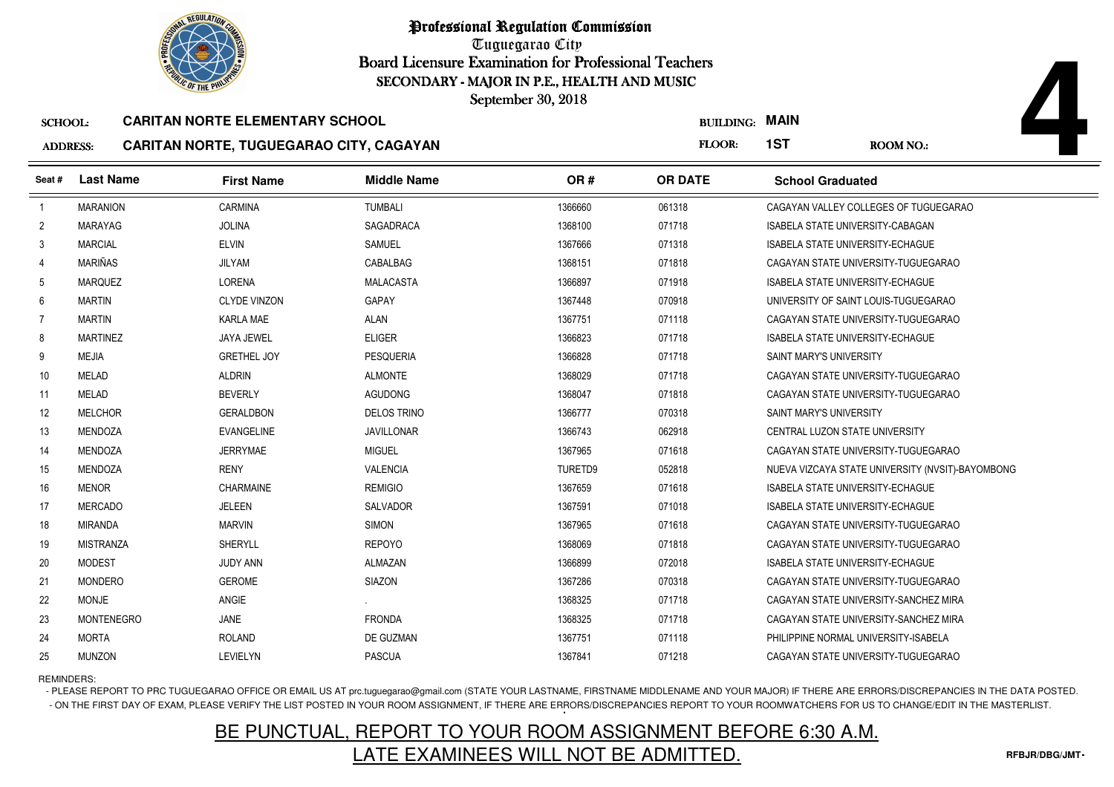

Tuguegarao City Board Licensure Examination for Professional Teachers September 30, 2018

### SCHOOL:**CARITAN NORTE ELEMENTARY SCHOOL**

## ADDRESS:**CARITAN NORTE, TUGUEGARAO CITY, CAGAYAN**

| <b><i>OLIC OF THE PHILIP</i></b><br>SECONDARY - MAJOR IN P.E., HEALTH AND MUSIC |                   |                                         |                    |         |                       |                                         |                                                  |
|---------------------------------------------------------------------------------|-------------------|-----------------------------------------|--------------------|---------|-----------------------|-----------------------------------------|--------------------------------------------------|
|                                                                                 |                   |                                         | September 30, 2018 |         |                       |                                         |                                                  |
| <b>SCHOOL:</b>                                                                  |                   | <b>CARITAN NORTE ELEMENTARY SCHOOL</b>  |                    |         | <b>BUILDING: MAIN</b> |                                         |                                                  |
| <b>ADDRESS:</b>                                                                 |                   | CARITAN NORTE, TUGUEGARAO CITY, CAGAYAN |                    |         | FLOOR:                | 1ST                                     | ROOM NO.:                                        |
| Seat#                                                                           | <b>Last Name</b>  | <b>First Name</b>                       | <b>Middle Name</b> | OR#     | <b>OR DATE</b>        | <b>School Graduated</b>                 |                                                  |
|                                                                                 | <b>MARANION</b>   | CARMINA                                 | <b>TUMBALI</b>     | 1366660 | 061318                |                                         | CAGAYAN VALLEY COLLEGES OF TUGUEGARAO            |
| $\overline{2}$                                                                  | <b>MARAYAG</b>    | <b>JOLINA</b>                           | <b>SAGADRACA</b>   | 1368100 | 071718                | ISABELA STATE UNIVERSITY-CABAGAN        |                                                  |
| 3                                                                               | <b>MARCIAL</b>    | <b>ELVIN</b>                            | <b>SAMUEL</b>      | 1367666 | 071318                | <b>ISABELA STATE UNIVERSITY-ECHAGUE</b> |                                                  |
| 4                                                                               | MARIÑAS           | JILYAM                                  | CABALBAG           | 1368151 | 071818                |                                         | CAGAYAN STATE UNIVERSITY-TUGUEGARAO              |
| 5                                                                               | <b>MARQUEZ</b>    | <b>LORENA</b>                           | MALACASTA          | 1366897 | 071918                | ISABELA STATE UNIVERSITY-ECHAGUE        |                                                  |
| 6                                                                               | <b>MARTIN</b>     | <b>CLYDE VINZON</b>                     | <b>GAPAY</b>       | 1367448 | 070918                | UNIVERSITY OF SAINT LOUIS-TUGUEGARAO    |                                                  |
| -7                                                                              | <b>MARTIN</b>     | <b>KARLA MAE</b>                        | <b>ALAN</b>        | 1367751 | 071118                |                                         | CAGAYAN STATE UNIVERSITY-TUGUEGARAO              |
| 8                                                                               | <b>MARTINEZ</b>   | JAYA JEWEL                              | <b>ELIGER</b>      | 1366823 | 071718                | ISABELA STATE UNIVERSITY-ECHAGUE        |                                                  |
| 9                                                                               | <b>MEJIA</b>      | <b>GRETHEL JOY</b>                      | <b>PESQUERIA</b>   | 1366828 | 071718                | <b>SAINT MARY'S UNIVERSITY</b>          |                                                  |
| 10                                                                              | <b>MELAD</b>      | <b>ALDRIN</b>                           | <b>ALMONTE</b>     | 1368029 | 071718                |                                         | CAGAYAN STATE UNIVERSITY-TUGUEGARAO              |
| 11                                                                              | MELAD             | <b>BEVERLY</b>                          | <b>AGUDONG</b>     | 1368047 | 071818                |                                         | CAGAYAN STATE UNIVERSITY-TUGUEGARAO              |
| 12                                                                              | <b>MELCHOR</b>    | <b>GERALDBON</b>                        | <b>DELOS TRINO</b> | 1366777 | 070318                | SAINT MARY'S UNIVERSITY                 |                                                  |
| 13                                                                              | MENDOZA           | <b>EVANGELINE</b>                       | <b>JAVILLONAR</b>  | 1366743 | 062918                | CENTRAL LUZON STATE UNIVERSITY          |                                                  |
| 14                                                                              | <b>MENDOZA</b>    | <b>JERRYMAE</b>                         | <b>MIGUEL</b>      | 1367965 | 071618                |                                         | CAGAYAN STATE UNIVERSITY-TUGUEGARAO              |
| 15                                                                              | <b>MENDOZA</b>    | <b>RENY</b>                             | <b>VALENCIA</b>    | TURETD9 | 052818                |                                         | NUEVA VIZCAYA STATE UNIVERSITY (NVSIT)-BAYOMBONG |
| 16                                                                              | <b>MENOR</b>      | CHARMAINE                               | <b>REMIGIO</b>     | 1367659 | 071618                | ISABELA STATE UNIVERSITY-ECHAGUE        |                                                  |
| 17                                                                              | <b>MERCADO</b>    | <b>JELEEN</b>                           | <b>SALVADOR</b>    | 1367591 | 071018                | <b>ISABELA STATE UNIVERSITY-ECHAGUE</b> |                                                  |
| 18                                                                              | <b>MIRANDA</b>    | <b>MARVIN</b>                           | <b>SIMON</b>       | 1367965 | 071618                |                                         | CAGAYAN STATE UNIVERSITY-TUGUEGARAO              |
| 19                                                                              | <b>MISTRANZA</b>  | <b>SHERYLL</b>                          | <b>REPOYO</b>      | 1368069 | 071818                |                                         | CAGAYAN STATE UNIVERSITY-TUGUEGARAO              |
| 20                                                                              | <b>MODEST</b>     | <b>JUDY ANN</b>                         | <b>ALMAZAN</b>     | 1366899 | 072018                | ISABELA STATE UNIVERSITY-ECHAGUE        |                                                  |
| 21                                                                              | <b>MONDERO</b>    | <b>GEROME</b>                           | <b>SIAZON</b>      | 1367286 | 070318                | CAGAYAN STATE UNIVERSITY-TUGUEGARAO     |                                                  |
| 22                                                                              | <b>MONJE</b>      | ANGIE                                   |                    | 1368325 | 071718                |                                         | CAGAYAN STATE UNIVERSITY-SANCHEZ MIRA            |
| 23                                                                              | <b>MONTENEGRO</b> | JANE                                    | <b>FRONDA</b>      | 1368325 | 071718                |                                         | CAGAYAN STATE UNIVERSITY-SANCHEZ MIRA            |
| 24                                                                              | <b>MORTA</b>      | <b>ROLAND</b>                           | DE GUZMAN          | 1367751 | 071118                | PHILIPPINE NORMAL UNIVERSITY-ISABELA    |                                                  |
| 25                                                                              | <b>MUNZON</b>     | LEVIELYN                                | <b>PASCUA</b>      | 1367841 | 071218                |                                         | CAGAYAN STATE UNIVERSITY-TUGUEGARAO              |

REMINDERS:

- PLEASE REPORT TO PRC TUGUEGARAO OFFICE OR EMAIL US AT prc.tuguegarao@gmail.com (STATE YOUR LASTNAME, FIRSTNAME MIDDLENAME AND YOUR MAJOR) IF THERE ARE ERRORS/DISCREPANCIES IN THE DATA POSTED. - ON THE FIRST DAY OF EXAM, PLEASE VERIFY THE LIST POSTED IN YOUR ROOM ASSIGNMENT, IF THERE ARE ERRORS/DISCREPANCIES REPORT TO YOUR ROOMWATCHERS FOR US TO CHANGE/EDIT IN THE MASTERLIST.

## BE PUNCTUAL, REPORT TO YOUR ROOM ASSIGNMENT BEFORE 6:30 A.M.LATE EXAMINEES WILL NOT BE ADMITTED.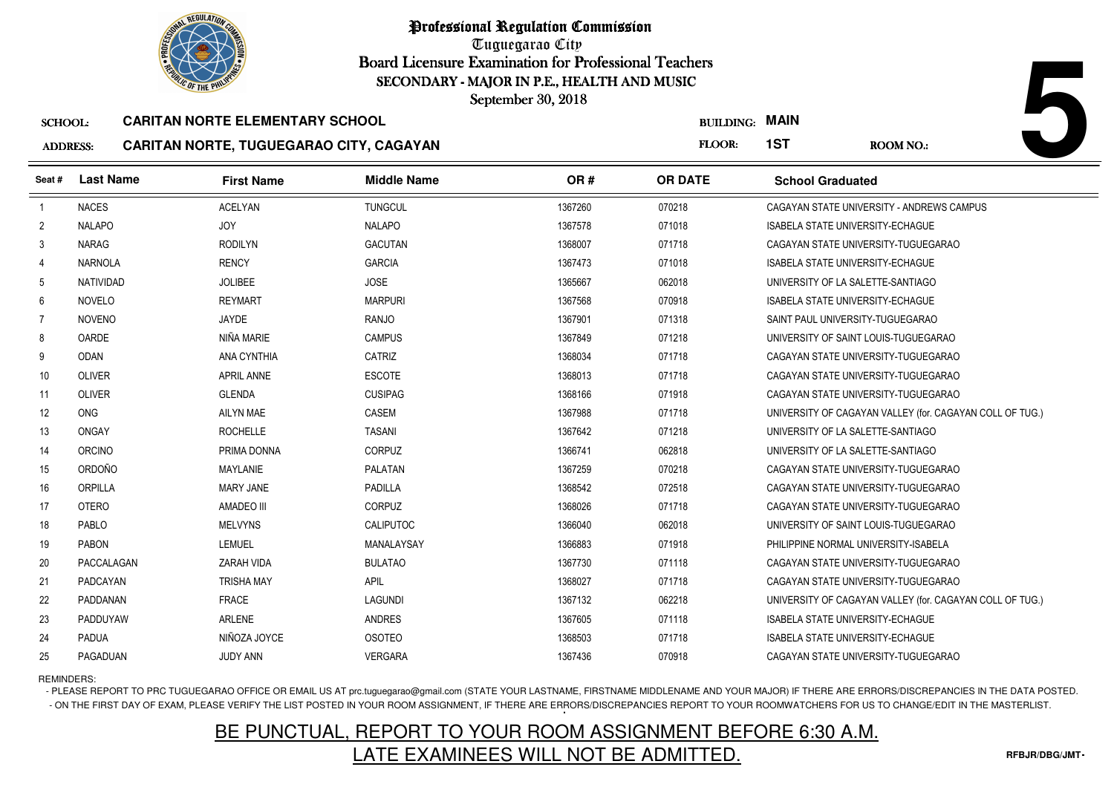

Tuguegarao City Board Licensure Examination for Professional Teachers September 30, 2018

### SCHOOL:**CARITAN NORTE ELEMENTARY SCHOOL**

### ADDRESS:**CARITAN NORTE, TUGUEGARAO CITY, CAGAYAN**

|                 | <b>OF THE PHILIP</b><br>SECONDARY - MAJOR IN P.E., HEALTH AND MUSIC<br>September 30, 2018 |                                                |                    |         |                |                         |                                                          |  |
|-----------------|-------------------------------------------------------------------------------------------|------------------------------------------------|--------------------|---------|----------------|-------------------------|----------------------------------------------------------|--|
| <b>SCHOOL:</b>  |                                                                                           | <b>CARITAN NORTE ELEMENTARY SCHOOL</b>         |                    |         |                | <b>BUILDING: MAIN</b>   |                                                          |  |
| <b>ADDRESS:</b> |                                                                                           | <b>CARITAN NORTE, TUGUEGARAO CITY, CAGAYAN</b> |                    |         | FLOOR:         | 1ST                     | <b>ROOM NO.:</b>                                         |  |
| Seat #          | <b>Last Name</b>                                                                          | <b>First Name</b>                              | <b>Middle Name</b> | OR#     | <b>OR DATE</b> | <b>School Graduated</b> |                                                          |  |
| $\overline{1}$  | <b>NACES</b>                                                                              | <b>ACELYAN</b>                                 | <b>TUNGCUL</b>     | 1367260 | 070218         |                         | CAGAYAN STATE UNIVERSITY - ANDREWS CAMPUS                |  |
| $\overline{2}$  | <b>NALAPO</b>                                                                             | <b>JOY</b>                                     | <b>NALAPO</b>      | 1367578 | 071018         |                         | ISABELA STATE UNIVERSITY-ECHAGUE                         |  |
| 3               | NARAG                                                                                     | <b>RODILYN</b>                                 | <b>GACUTAN</b>     | 1368007 | 071718         |                         | CAGAYAN STATE UNIVERSITY-TUGUEGARAO                      |  |
| 4               | <b>NARNOLA</b>                                                                            | <b>RENCY</b>                                   | <b>GARCIA</b>      | 1367473 | 071018         |                         | <b>ISABELA STATE UNIVERSITY-ECHAGUE</b>                  |  |
| 5               | <b>NATIVIDAD</b>                                                                          | <b>JOLIBEE</b>                                 | <b>JOSE</b>        | 1365667 | 062018         |                         | UNIVERSITY OF LA SALETTE-SANTIAGO                        |  |
| 6               | <b>NOVELO</b>                                                                             | <b>REYMART</b>                                 | <b>MARPURI</b>     | 1367568 | 070918         |                         | ISABELA STATE UNIVERSITY-ECHAGUE                         |  |
| 7               | <b>NOVENO</b>                                                                             | JAYDE                                          | <b>RANJO</b>       | 1367901 | 071318         |                         | SAINT PAUL UNIVERSITY-TUGUEGARAO                         |  |
| 8               | OARDE                                                                                     | NIÑA MARIE                                     | <b>CAMPUS</b>      | 1367849 | 071218         |                         | UNIVERSITY OF SAINT LOUIS-TUGUEGARAO                     |  |
| 9               | <b>ODAN</b>                                                                               | ANA CYNTHIA                                    | CATRIZ             | 1368034 | 071718         |                         | CAGAYAN STATE UNIVERSITY-TUGUEGARAO                      |  |
| 10              | <b>OLIVER</b>                                                                             | <b>APRIL ANNE</b>                              | <b>ESCOTE</b>      | 1368013 | 071718         |                         | CAGAYAN STATE UNIVERSITY-TUGUEGARAO                      |  |
| 11              | <b>OLIVER</b>                                                                             | <b>GLENDA</b>                                  | <b>CUSIPAG</b>     | 1368166 | 071918         |                         | CAGAYAN STATE UNIVERSITY-TUGUEGARAO                      |  |
| 12              | <b>ONG</b>                                                                                | <b>AILYN MAE</b>                               | CASEM              | 1367988 | 071718         |                         | UNIVERSITY OF CAGAYAN VALLEY (for. CAGAYAN COLL OF TUG.) |  |
| 13              | <b>ONGAY</b>                                                                              | <b>ROCHELLE</b>                                | <b>TASANI</b>      | 1367642 | 071218         |                         | UNIVERSITY OF LA SALETTE-SANTIAGO                        |  |
| 14              | <b>ORCINO</b>                                                                             | PRIMA DONNA                                    | <b>CORPUZ</b>      | 1366741 | 062818         |                         | UNIVERSITY OF LA SALETTE-SANTIAGO                        |  |
| 15              | ORDOÑO                                                                                    | MAYLANIE                                       | PALATAN            | 1367259 | 070218         |                         | CAGAYAN STATE UNIVERSITY-TUGUEGARAO                      |  |
| 16              | ORPILLA                                                                                   | <b>MARY JANE</b>                               | <b>PADILLA</b>     | 1368542 | 072518         |                         | CAGAYAN STATE UNIVERSITY-TUGUEGARAO                      |  |
| 17              | <b>OTERO</b>                                                                              | AMADEO III                                     | CORPUZ             | 1368026 | 071718         |                         | CAGAYAN STATE UNIVERSITY-TUGUEGARAO                      |  |
| 18              | PABLO                                                                                     | <b>MELVYNS</b>                                 | <b>CALIPUTOC</b>   | 1366040 | 062018         |                         | UNIVERSITY OF SAINT LOUIS-TUGUEGARAO                     |  |
| 19              | <b>PABON</b>                                                                              | <b>LEMUEL</b>                                  | MANALAYSAY         | 1366883 | 071918         |                         | PHILIPPINE NORMAL UNIVERSITY-ISABELA                     |  |
| 20              | PACCALAGAN                                                                                | ZARAH VIDA                                     | <b>BULATAO</b>     | 1367730 | 071118         |                         | CAGAYAN STATE UNIVERSITY-TUGUEGARAO                      |  |
| 21              | PADCAYAN                                                                                  | <b>TRISHA MAY</b>                              | <b>APIL</b>        | 1368027 | 071718         |                         | CAGAYAN STATE UNIVERSITY-TUGUEGARAO                      |  |
| 22              | PADDANAN                                                                                  | <b>FRACE</b>                                   | <b>LAGUNDI</b>     | 1367132 | 062218         |                         | UNIVERSITY OF CAGAYAN VALLEY (for. CAGAYAN COLL OF TUG.) |  |
| 23              | PADDUYAW                                                                                  | ARLENE                                         | <b>ANDRES</b>      | 1367605 | 071118         |                         | ISABELA STATE UNIVERSITY-ECHAGUE                         |  |
| 24              | <b>PADUA</b>                                                                              | NIÑOZA JOYCE                                   | <b>OSOTEO</b>      | 1368503 | 071718         |                         | ISABELA STATE UNIVERSITY-ECHAGUE                         |  |
| 25              | PAGADUAN                                                                                  | JUDY ANN                                       | <b>VERGARA</b>     | 1367436 | 070918         |                         | CAGAYAN STATE UNIVERSITY-TUGUEGARAO                      |  |

REMINDERS:

- PLEASE REPORT TO PRC TUGUEGARAO OFFICE OR EMAIL US AT prc.tuguegarao@gmail.com (STATE YOUR LASTNAME, FIRSTNAME MIDDLENAME AND YOUR MAJOR) IF THERE ARE ERRORS/DISCREPANCIES IN THE DATA POSTED. - ON THE FIRST DAY OF EXAM, PLEASE VERIFY THE LIST POSTED IN YOUR ROOM ASSIGNMENT, IF THERE ARE ERRORS/DISCREPANCIES REPORT TO YOUR ROOMWATCHERS FOR US TO CHANGE/EDIT IN THE MASTERLIST.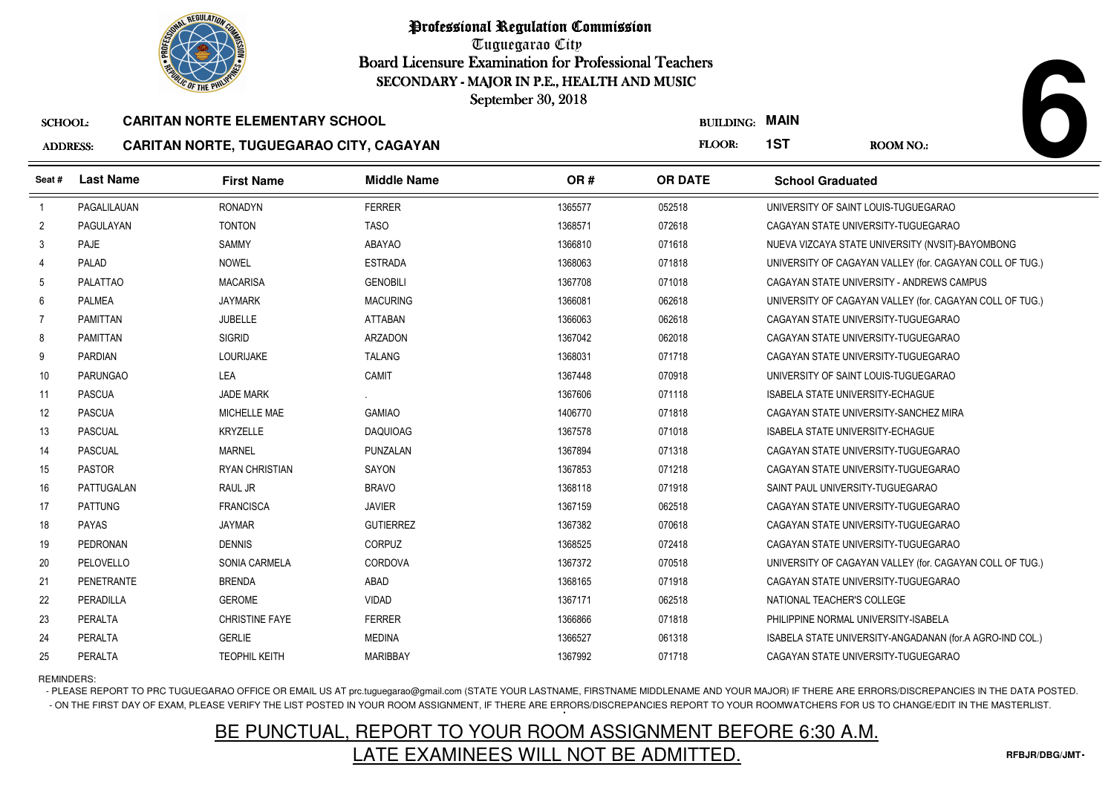

Tuguegarao City Board Licensure Examination for Professional Teachers September 30, 2018

### SCHOOL:**CARITAN NORTE ELEMENTARY SCHOOL**

## ADDRESS:**CARITAN NORTE, TUGUEGARAO CITY, CAGAYAN**

|                 | <b>OLIC OF THE PHILIP</b><br>SECONDARY - MAJOR IN P.E., HEALTH AND MUSIC<br>September 30, 2018 |                                                |                    |         |                  |                                         |                                                          |  |
|-----------------|------------------------------------------------------------------------------------------------|------------------------------------------------|--------------------|---------|------------------|-----------------------------------------|----------------------------------------------------------|--|
| <b>SCHOOL:</b>  |                                                                                                | <b>CARITAN NORTE ELEMENTARY SCHOOL</b>         |                    |         | <b>BUILDING:</b> | <b>MAIN</b>                             |                                                          |  |
| <b>ADDRESS:</b> |                                                                                                | <b>CARITAN NORTE, TUGUEGARAO CITY, CAGAYAN</b> |                    |         | FLOOR:           | 1ST                                     | <b>ROOM NO.:</b>                                         |  |
| Seat #          | <b>Last Name</b>                                                                               | <b>First Name</b>                              | <b>Middle Name</b> | OR#     | <b>OR DATE</b>   | <b>School Graduated</b>                 |                                                          |  |
| $\overline{1}$  | PAGALILAUAN                                                                                    | <b>RONADYN</b>                                 | <b>FERRER</b>      | 1365577 | 052518           | UNIVERSITY OF SAINT LOUIS-TUGUEGARAO    |                                                          |  |
| $\overline{c}$  | PAGULAYAN                                                                                      | <b>TONTON</b>                                  | <b>TASO</b>        | 1368571 | 072618           |                                         | CAGAYAN STATE UNIVERSITY-TUGUEGARAO                      |  |
| 3               | PAJE                                                                                           | SAMMY                                          | <b>ABAYAO</b>      | 1366810 | 071618           |                                         | NUEVA VIZCAYA STATE UNIVERSITY (NVSIT)-BAYOMBONG         |  |
| 4               | PALAD                                                                                          | <b>NOWEL</b>                                   | <b>ESTRADA</b>     | 1368063 | 071818           |                                         | UNIVERSITY OF CAGAYAN VALLEY (for. CAGAYAN COLL OF TUG.) |  |
| 5               | <b>PALATTAO</b>                                                                                | <b>MACARISA</b>                                | <b>GENOBILI</b>    | 1367708 | 071018           |                                         | CAGAYAN STATE UNIVERSITY - ANDREWS CAMPUS                |  |
| 6               | <b>PALMEA</b>                                                                                  | <b>JAYMARK</b>                                 | <b>MACURING</b>    | 1366081 | 062618           |                                         | UNIVERSITY OF CAGAYAN VALLEY (for. CAGAYAN COLL OF TUG.) |  |
| $\overline{7}$  | <b>PAMITTAN</b>                                                                                | <b>JUBELLE</b>                                 | <b>ATTABAN</b>     | 1366063 | 062618           |                                         | CAGAYAN STATE UNIVERSITY-TUGUEGARAO                      |  |
| 8               | <b>PAMITTAN</b>                                                                                | <b>SIGRID</b>                                  | ARZADON            | 1367042 | 062018           |                                         | CAGAYAN STATE UNIVERSITY-TUGUEGARAO                      |  |
| 9               | <b>PARDIAN</b>                                                                                 | <b>LOURIJAKE</b>                               | <b>TALANG</b>      | 1368031 | 071718           |                                         | CAGAYAN STATE UNIVERSITY-TUGUEGARAO                      |  |
| 10 <sup>°</sup> | <b>PARUNGAO</b>                                                                                | LEA                                            | CAMIT              | 1367448 | 070918           | UNIVERSITY OF SAINT LOUIS-TUGUEGARAO    |                                                          |  |
| 11              | <b>PASCUA</b>                                                                                  | <b>JADE MARK</b>                               |                    | 1367606 | 071118           | ISABELA STATE UNIVERSITY-ECHAGUE        |                                                          |  |
| 12              | <b>PASCUA</b>                                                                                  | MICHELLE MAE                                   | <b>GAMIAO</b>      | 1406770 | 071818           |                                         | CAGAYAN STATE UNIVERSITY-SANCHEZ MIRA                    |  |
| 13              | <b>PASCUAL</b>                                                                                 | <b>KRYZELLE</b>                                | <b>DAQUIOAG</b>    | 1367578 | 071018           | <b>ISABELA STATE UNIVERSITY-ECHAGUE</b> |                                                          |  |
| 14              | <b>PASCUAL</b>                                                                                 | <b>MARNEL</b>                                  | PUNZALAN           | 1367894 | 071318           |                                         | CAGAYAN STATE UNIVERSITY-TUGUEGARAO                      |  |
| 15              | <b>PASTOR</b>                                                                                  | <b>RYAN CHRISTIAN</b>                          | SAYON              | 1367853 | 071218           |                                         | CAGAYAN STATE UNIVERSITY-TUGUEGARAO                      |  |
| 16              | PATTUGALAN                                                                                     | RAUL JR                                        | <b>BRAVO</b>       | 1368118 | 071918           | SAINT PAUL UNIVERSITY-TUGUEGARAO        |                                                          |  |
| 17              | <b>PATTUNG</b>                                                                                 | <b>FRANCISCA</b>                               | <b>JAVIER</b>      | 1367159 | 062518           |                                         | CAGAYAN STATE UNIVERSITY-TUGUEGARAO                      |  |
| 18              | <b>PAYAS</b>                                                                                   | <b>JAYMAR</b>                                  | <b>GUTIERREZ</b>   | 1367382 | 070618           |                                         | CAGAYAN STATE UNIVERSITY-TUGUEGARAO                      |  |
| 19              | <b>PEDRONAN</b>                                                                                | <b>DENNIS</b>                                  | <b>CORPUZ</b>      | 1368525 | 072418           |                                         | CAGAYAN STATE UNIVERSITY-TUGUEGARAO                      |  |
| 20              | PELOVELLO                                                                                      | SONIA CARMELA                                  | <b>CORDOVA</b>     | 1367372 | 070518           |                                         | UNIVERSITY OF CAGAYAN VALLEY (for. CAGAYAN COLL OF TUG.) |  |
| 21              | <b>PENETRANTE</b>                                                                              | <b>BRENDA</b>                                  | ABAD               | 1368165 | 071918           |                                         | CAGAYAN STATE UNIVERSITY-TUGUEGARAO                      |  |
| 22              | PERADILLA                                                                                      | <b>GEROME</b>                                  | VIDAD              | 1367171 | 062518           | NATIONAL TEACHER'S COLLEGE              |                                                          |  |
| 23              | <b>PERALTA</b>                                                                                 | <b>CHRISTINE FAYE</b>                          | <b>FERRER</b>      | 1366866 | 071818           | PHILIPPINE NORMAL UNIVERSITY-ISABELA    |                                                          |  |
| 24              | PERALTA                                                                                        | <b>GERLIE</b>                                  | <b>MEDINA</b>      | 1366527 | 061318           |                                         | ISABELA STATE UNIVERSITY-ANGADANAN (for.A AGRO-IND COL.) |  |
| 25              | PERALTA                                                                                        | <b>TEOPHIL KEITH</b>                           | <b>MARIBBAY</b>    | 1367992 | 071718           |                                         | CAGAYAN STATE UNIVERSITY-TUGUEGARAO                      |  |

REMINDERS:

- PLEASE REPORT TO PRC TUGUEGARAO OFFICE OR EMAIL US AT prc.tuguegarao@gmail.com (STATE YOUR LASTNAME, FIRSTNAME MIDDLENAME AND YOUR MAJOR) IF THERE ARE ERRORS/DISCREPANCIES IN THE DATA POSTED. - ON THE FIRST DAY OF EXAM, PLEASE VERIFY THE LIST POSTED IN YOUR ROOM ASSIGNMENT, IF THERE ARE ERRORS/DISCREPANCIES REPORT TO YOUR ROOMWATCHERS FOR US TO CHANGE/EDIT IN THE MASTERLIST.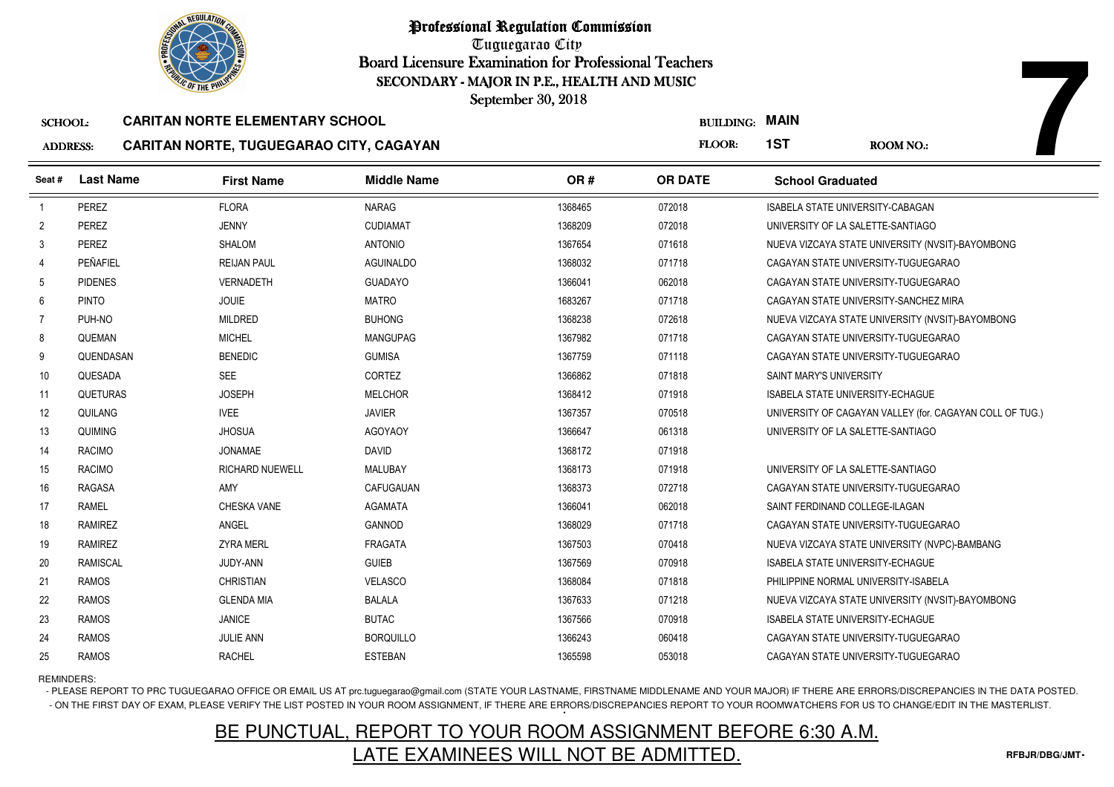

Tuguegarao City Board Licensure Examination for Professional Teachers September 30, 2018

### SCHOOL:**CARITAN NORTE ELEMENTARY SCHOOL**

## ADDRESS:**CARITAN NORTE, TUGUEGARAO CITY, CAGAYAN**

|                 | <b>OF THE PHILIP</b> |                                         | SECONDARY - MAJOR IN P.E., HEALTH AND MUSIC |         |                  |                                         |                                                          |
|-----------------|----------------------|-----------------------------------------|---------------------------------------------|---------|------------------|-----------------------------------------|----------------------------------------------------------|
|                 |                      |                                         | September 30, 2018                          |         |                  |                                         |                                                          |
| <b>SCHOOL:</b>  |                      | <b>CARITAN NORTE ELEMENTARY SCHOOL</b>  |                                             |         | <b>BUILDING:</b> | <b>MAIN</b>                             |                                                          |
| <b>ADDRESS:</b> |                      | CARITAN NORTE, TUGUEGARAO CITY, CAGAYAN |                                             |         | FLOOR:           | 1ST                                     | <b>ROOM NO.:</b>                                         |
| Seat#           | <b>Last Name</b>     | <b>First Name</b>                       | <b>Middle Name</b>                          | OR#     | <b>OR DATE</b>   | <b>School Graduated</b>                 |                                                          |
| $\overline{1}$  | PEREZ                | <b>FLORA</b>                            | <b>NARAG</b>                                | 1368465 | 072018           | ISABELA STATE UNIVERSITY-CABAGAN        |                                                          |
| $\overline{2}$  | PEREZ                | <b>JENNY</b>                            | <b>CUDIAMAT</b>                             | 1368209 | 072018           | UNIVERSITY OF LA SALETTE-SANTIAGO       |                                                          |
| 3               | PEREZ                | SHALOM                                  | <b>ANTONIO</b>                              | 1367654 | 071618           |                                         | NUEVA VIZCAYA STATE UNIVERSITY (NVSIT)-BAYOMBONG         |
| 4               | PEÑAFIEL             | <b>REIJAN PAUL</b>                      | <b>AGUINALDO</b>                            | 1368032 | 071718           |                                         | CAGAYAN STATE UNIVERSITY-TUGUEGARAO                      |
| 5               | <b>PIDENES</b>       | <b>VERNADETH</b>                        | <b>GUADAYO</b>                              | 1366041 | 062018           |                                         | CAGAYAN STATE UNIVERSITY-TUGUEGARAO                      |
| 6               | <b>PINTO</b>         | <b>JOUIE</b>                            | <b>MATRO</b>                                | 1683267 | 071718           |                                         | CAGAYAN STATE UNIVERSITY-SANCHEZ MIRA                    |
| 7               | PUH-NO               | <b>MILDRED</b>                          | <b>BUHONG</b>                               | 1368238 | 072618           |                                         | NUEVA VIZCAYA STATE UNIVERSITY (NVSIT)-BAYOMBONG         |
| 8               | QUEMAN               | <b>MICHEL</b>                           | <b>MANGUPAG</b>                             | 1367982 | 071718           | CAGAYAN STATE UNIVERSITY-TUGUEGARAO     |                                                          |
| 9               | QUENDASAN            | <b>BENEDIC</b>                          | <b>GUMISA</b>                               | 1367759 | 071118           |                                         | CAGAYAN STATE UNIVERSITY-TUGUEGARAO                      |
| 10              | QUESADA              | SEE                                     | CORTEZ                                      | 1366862 | 071818           | SAINT MARY'S UNIVERSITY                 |                                                          |
| 11              | <b>QUETURAS</b>      | <b>JOSEPH</b>                           | <b>MELCHOR</b>                              | 1368412 | 071918           | <b>ISABELA STATE UNIVERSITY-ECHAGUE</b> |                                                          |
| 12              | QUILANG              | <b>IVEE</b>                             | <b>JAVIER</b>                               | 1367357 | 070518           |                                         | UNIVERSITY OF CAGAYAN VALLEY (for. CAGAYAN COLL OF TUG.) |
| 13              | QUIMING              | <b>JHOSUA</b>                           | <b>AGOYAOY</b>                              | 1366647 | 061318           | UNIVERSITY OF LA SALETTE-SANTIAGO       |                                                          |
| 14              | <b>RACIMO</b>        | <b>JONAMAE</b>                          | <b>DAVID</b>                                | 1368172 | 071918           |                                         |                                                          |
| 15              | <b>RACIMO</b>        | <b>RICHARD NUEWELL</b>                  | MALUBAY                                     | 1368173 | 071918           | UNIVERSITY OF LA SALETTE-SANTIAGO       |                                                          |
| 16              | <b>RAGASA</b>        | AMY                                     | CAFUGAUAN                                   | 1368373 | 072718           |                                         | CAGAYAN STATE UNIVERSITY-TUGUEGARAO                      |
| 17              | <b>RAMEL</b>         | <b>CHESKA VANE</b>                      | <b>AGAMATA</b>                              | 1366041 | 062018           | SAINT FERDINAND COLLEGE-ILAGAN          |                                                          |
| 18              | <b>RAMIREZ</b>       | ANGEL                                   | <b>GANNOD</b>                               | 1368029 | 071718           | CAGAYAN STATE UNIVERSITY-TUGUEGARAO     |                                                          |
| 19              | <b>RAMIREZ</b>       | <b>ZYRA MERL</b>                        | <b>FRAGATA</b>                              | 1367503 | 070418           |                                         | NUEVA VIZCAYA STATE UNIVERSITY (NVPC)-BAMBANG            |
| 20              | <b>RAMISCAL</b>      | JUDY-ANN                                | <b>GUIEB</b>                                | 1367569 | 070918           | <b>ISABELA STATE UNIVERSITY-ECHAGUE</b> |                                                          |
| 21              | <b>RAMOS</b>         | <b>CHRISTIAN</b>                        | <b>VELASCO</b>                              | 1368084 | 071818           | PHILIPPINE NORMAL UNIVERSITY-ISABELA    |                                                          |
| 22              | <b>RAMOS</b>         | <b>GLENDA MIA</b>                       | <b>BALALA</b>                               | 1367633 | 071218           |                                         | NUEVA VIZCAYA STATE UNIVERSITY (NVSIT)-BAYOMBONG         |
| 23              | <b>RAMOS</b>         | <b>JANICE</b>                           | <b>BUTAC</b>                                | 1367566 | 070918           | <b>ISABELA STATE UNIVERSITY-ECHAGUE</b> |                                                          |
| 24              | <b>RAMOS</b>         | <b>JULIE ANN</b>                        | <b>BORQUILLO</b>                            | 1366243 | 060418           |                                         | CAGAYAN STATE UNIVERSITY-TUGUEGARAO                      |
| 25              | <b>RAMOS</b>         | <b>RACHEL</b>                           | <b>ESTEBAN</b>                              | 1365598 | 053018           |                                         | CAGAYAN STATE UNIVERSITY-TUGUEGARAO                      |

REMINDERS:

- PLEASE REPORT TO PRC TUGUEGARAO OFFICE OR EMAIL US AT prc.tuguegarao@gmail.com (STATE YOUR LASTNAME, FIRSTNAME MIDDLENAME AND YOUR MAJOR) IF THERE ARE ERRORS/DISCREPANCIES IN THE DATA POSTED. - ON THE FIRST DAY OF EXAM, PLEASE VERIFY THE LIST POSTED IN YOUR ROOM ASSIGNMENT, IF THERE ARE ERRORS/DISCREPANCIES REPORT TO YOUR ROOMWATCHERS FOR US TO CHANGE/EDIT IN THE MASTERLIST.

## BE PUNCTUAL, REPORT TO YOUR ROOM ASSIGNMENT BEFORE 6:30 A.M.LATE EXAMINEES WILL NOT BE ADMITTED.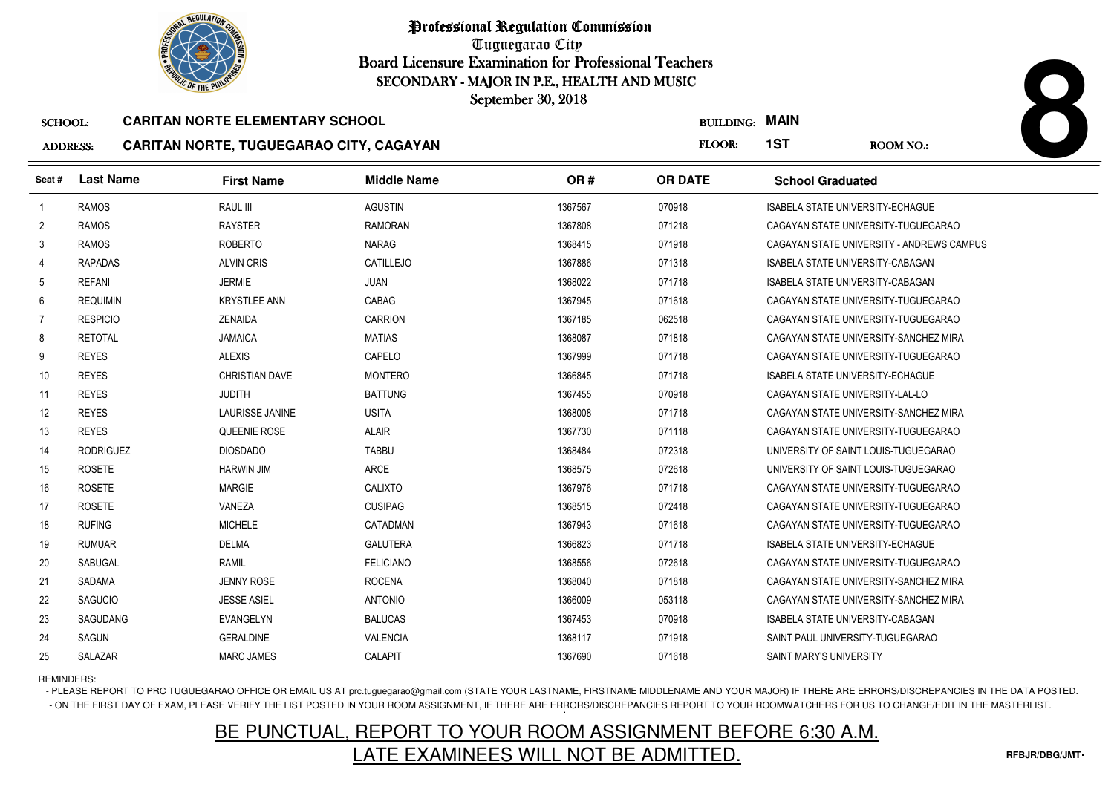

Tuguegarao City Board Licensure Examination for Professional Teachers September 30, 2018

### SCHOOL:**CARITAN NORTE ELEMENTARY SCHOOL**

|                 |                  | <b>OF THE PHILIP</b>                    |                    | SECONDARY - MAJOR IN P.E., HEALTH AND MUSIC<br>September 30, 2018 |                  |                                 |                                           |
|-----------------|------------------|-----------------------------------------|--------------------|-------------------------------------------------------------------|------------------|---------------------------------|-------------------------------------------|
| <b>SCHOOL:</b>  |                  | <b>CARITAN NORTE ELEMENTARY SCHOOL</b>  |                    |                                                                   | <b>BUILDING:</b> | <b>MAIN</b>                     |                                           |
| <b>ADDRESS:</b> |                  | CARITAN NORTE, TUGUEGARAO CITY, CAGAYAN |                    |                                                                   | FLOOR:           | 1ST                             | <b>ROOM NO.:</b>                          |
| Seat#           | <b>Last Name</b> | <b>First Name</b>                       | <b>Middle Name</b> | OR#                                                               | <b>OR DATE</b>   | <b>School Graduated</b>         |                                           |
| $\mathbf{1}$    | <b>RAMOS</b>     | RAUL III                                | <b>AGUSTIN</b>     | 1367567                                                           | 070918           |                                 | <b>ISABELA STATE UNIVERSITY-ECHAGUE</b>   |
| 2               | <b>RAMOS</b>     | <b>RAYSTER</b>                          | <b>RAMORAN</b>     | 1367808                                                           | 071218           |                                 | CAGAYAN STATE UNIVERSITY-TUGUEGARAO       |
| 3               | <b>RAMOS</b>     | <b>ROBERTO</b>                          | <b>NARAG</b>       | 1368415                                                           | 071918           |                                 | CAGAYAN STATE UNIVERSITY - ANDREWS CAMPUS |
| 4               | <b>RAPADAS</b>   | <b>ALVIN CRIS</b>                       | CATILLEJO          | 1367886                                                           | 071318           |                                 | <b>ISABELA STATE UNIVERSITY-CABAGAN</b>   |
| 5               | <b>REFANI</b>    | <b>JERMIE</b>                           | <b>JUAN</b>        | 1368022                                                           | 071718           |                                 | <b>ISABELA STATE UNIVERSITY-CABAGAN</b>   |
| 6               | <b>REQUIMIN</b>  | <b>KRYSTLEE ANN</b>                     | CABAG              | 1367945                                                           | 071618           |                                 | CAGAYAN STATE UNIVERSITY-TUGUEGARAO       |
| $\overline{7}$  | <b>RESPICIO</b>  | <b>ZENAIDA</b>                          | CARRION            | 1367185                                                           | 062518           |                                 | CAGAYAN STATE UNIVERSITY-TUGUEGARAO       |
| 8               | <b>RETOTAL</b>   | <b>JAMAICA</b>                          | <b>MATIAS</b>      | 1368087                                                           | 071818           |                                 | CAGAYAN STATE UNIVERSITY-SANCHEZ MIRA     |
| 9               | <b>REYES</b>     | <b>ALEXIS</b>                           | CAPELO             | 1367999                                                           | 071718           |                                 | CAGAYAN STATE UNIVERSITY-TUGUEGARAO       |
| 10              | <b>REYES</b>     | CHRISTIAN DAVE                          | <b>MONTERO</b>     | 1366845                                                           | 071718           |                                 | <b>ISABELA STATE UNIVERSITY-ECHAGUE</b>   |
| 11              | <b>REYES</b>     | <b>JUDITH</b>                           | <b>BATTUNG</b>     | 1367455                                                           | 070918           | CAGAYAN STATE UNIVERSITY-LAL-LO |                                           |
| 12              | <b>REYES</b>     | <b>LAURISSE JANINE</b>                  | <b>USITA</b>       | 1368008                                                           | 071718           |                                 | CAGAYAN STATE UNIVERSITY-SANCHEZ MIRA     |
| 13              | <b>REYES</b>     | QUEENIE ROSE                            | <b>ALAIR</b>       | 1367730                                                           | 071118           |                                 | CAGAYAN STATE UNIVERSITY-TUGUEGARAO       |
| 14              | <b>RODRIGUEZ</b> | <b>DIOSDADO</b>                         | <b>TABBU</b>       | 1368484                                                           | 072318           |                                 | UNIVERSITY OF SAINT LOUIS-TUGUEGARAO      |
| 15              | <b>ROSETE</b>    | <b>HARWIN JIM</b>                       | <b>ARCE</b>        | 1368575                                                           | 072618           |                                 | UNIVERSITY OF SAINT LOUIS-TUGUEGARAO      |
| 16              | <b>ROSETE</b>    | <b>MARGIE</b>                           | <b>CALIXTO</b>     | 1367976                                                           | 071718           |                                 | CAGAYAN STATE UNIVERSITY-TUGUEGARAO       |
| 17              | <b>ROSETE</b>    | VANEZA                                  | <b>CUSIPAG</b>     | 1368515                                                           | 072418           |                                 | CAGAYAN STATE UNIVERSITY-TUGUEGARAO       |
| 18              | <b>RUFING</b>    | <b>MICHELE</b>                          | CATADMAN           | 1367943                                                           | 071618           |                                 | CAGAYAN STATE UNIVERSITY-TUGUEGARAO       |
| 19              | <b>RUMUAR</b>    | <b>DELMA</b>                            | <b>GALUTERA</b>    | 1366823                                                           | 071718           |                                 | <b>ISABELA STATE UNIVERSITY-ECHAGUE</b>   |
| 20              | <b>SABUGAL</b>   | <b>RAMIL</b>                            | <b>FELICIANO</b>   | 1368556                                                           | 072618           |                                 | CAGAYAN STATE UNIVERSITY-TUGUEGARAO       |
| 21              | <b>SADAMA</b>    | <b>JENNY ROSE</b>                       | <b>ROCENA</b>      | 1368040                                                           | 071818           |                                 | CAGAYAN STATE UNIVERSITY-SANCHEZ MIRA     |
| 22              | <b>SAGUCIO</b>   | <b>JESSE ASIEL</b>                      | <b>ANTONIO</b>     | 1366009                                                           | 053118           |                                 | CAGAYAN STATE UNIVERSITY-SANCHEZ MIRA     |
| 23              | <b>SAGUDANG</b>  | <b>EVANGELYN</b>                        | <b>BALUCAS</b>     | 1367453                                                           | 070918           |                                 | ISABELA STATE UNIVERSITY-CABAGAN          |
| 24              | SAGUN            | <b>GERALDINE</b>                        | <b>VALENCIA</b>    | 1368117                                                           | 071918           |                                 | SAINT PAUL UNIVERSITY-TUGUEGARAO          |
| 25              | SALAZAR          | <b>MARC JAMES</b>                       | CALAPIT            | 1367690                                                           | 071618           | SAINT MARY'S UNIVERSITY         |                                           |

REMINDERS:

- PLEASE REPORT TO PRC TUGUEGARAO OFFICE OR EMAIL US AT prc.tuguegarao@gmail.com (STATE YOUR LASTNAME, FIRSTNAME MIDDLENAME AND YOUR MAJOR) IF THERE ARE ERRORS/DISCREPANCIES IN THE DATA POSTED. - ON THE FIRST DAY OF EXAM, PLEASE VERIFY THE LIST POSTED IN YOUR ROOM ASSIGNMENT, IF THERE ARE ERRORS/DISCREPANCIES REPORT TO YOUR ROOMWATCHERS FOR US TO CHANGE/EDIT IN THE MASTERLIST.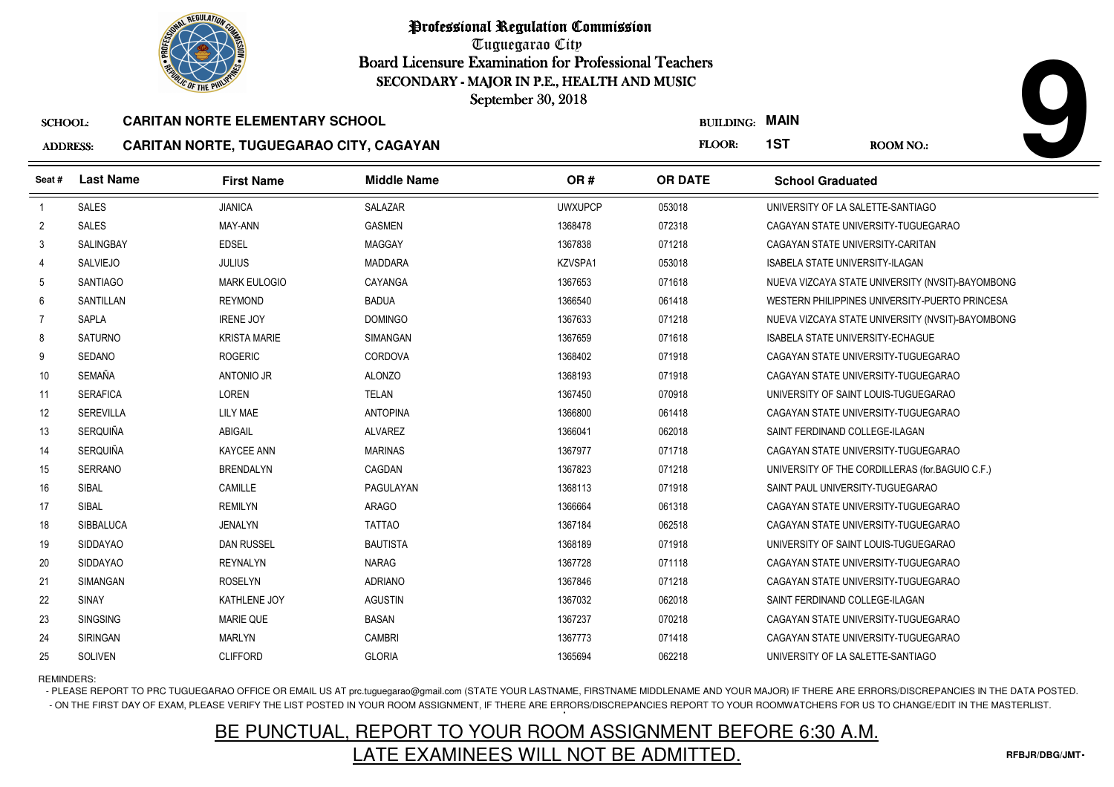

Tuguegarao City Board Licensure Examination for Professional Teachers September 30, 2018

### SCHOOL:**CARITAN NORTE ELEMENTARY SCHOOL**

#### AD<sub>1</sub> **CARITAN NORTE, TUGUEGARAO CITY, CAGAYAN**

| <b>DRESS:</b> | CARITAN NORTE, TUGUEGARAO CITY, CAGAYAN |  |  |
|---------------|-----------------------------------------|--|--|
|               |                                         |  |  |

|                 | <b><i>OLIC OF THE PHILIP</i></b> |                                         | SECONDARY - MAJOR IN P.E., HEALTH AND MUSIC |                |                  |                                      |                                                  |
|-----------------|----------------------------------|-----------------------------------------|---------------------------------------------|----------------|------------------|--------------------------------------|--------------------------------------------------|
|                 |                                  |                                         | September 30, 2018                          |                |                  |                                      |                                                  |
| <b>SCHOOL:</b>  |                                  | <b>CARITAN NORTE ELEMENTARY SCHOOL</b>  |                                             |                | <b>BUILDING:</b> | <b>MAIN</b>                          |                                                  |
| <b>ADDRESS:</b> |                                  | CARITAN NORTE, TUGUEGARAO CITY, CAGAYAN |                                             |                | FLOOR:           | 1ST                                  | <b>ROOM NO.:</b>                                 |
| Seat#           | <b>Last Name</b>                 | <b>First Name</b>                       | <b>Middle Name</b>                          | OR#            | <b>OR DATE</b>   | <b>School Graduated</b>              |                                                  |
| $\overline{1}$  | <b>SALES</b>                     | <b>JIANICA</b>                          | <b>SALAZAR</b>                              | <b>UWXUPCP</b> | 053018           | UNIVERSITY OF LA SALETTE-SANTIAGO    |                                                  |
| $\overline{2}$  | <b>SALES</b>                     | MAY-ANN                                 | <b>GASMEN</b>                               | 1368478        | 072318           |                                      | CAGAYAN STATE UNIVERSITY-TUGUEGARAO              |
| 3               | SALINGBAY                        | <b>EDSEL</b>                            | <b>MAGGAY</b>                               | 1367838        | 071218           | CAGAYAN STATE UNIVERSITY-CARITAN     |                                                  |
| 4               | <b>SALVIEJO</b>                  | <b>JULIUS</b>                           | <b>MADDARA</b>                              | KZVSPA1        | 053018           | ISABELA STATE UNIVERSITY-ILAGAN      |                                                  |
| -5              | <b>SANTIAGO</b>                  | <b>MARK EULOGIO</b>                     | CAYANGA                                     | 1367653        | 071618           |                                      | NUEVA VIZCAYA STATE UNIVERSITY (NVSIT)-BAYOMBONG |
| 6               | SANTILLAN                        | <b>REYMOND</b>                          | <b>BADUA</b>                                | 1366540        | 061418           |                                      | WESTERN PHILIPPINES UNIVERSITY-PUERTO PRINCESA   |
| 7               | <b>SAPLA</b>                     | <b>IRENE JOY</b>                        | <b>DOMINGO</b>                              | 1367633        | 071218           |                                      | NUEVA VIZCAYA STATE UNIVERSITY (NVSIT)-BAYOMBONG |
| 8               | SATURNO                          | <b>KRISTA MARIE</b>                     | SIMANGAN                                    | 1367659        | 071618           | ISABELA STATE UNIVERSITY-ECHAGUE     |                                                  |
| 9               | <b>SEDANO</b>                    | <b>ROGERIC</b>                          | <b>CORDOVA</b>                              | 1368402        | 071918           |                                      | CAGAYAN STATE UNIVERSITY-TUGUEGARAO              |
| 10              | SEMAÑA                           | <b>ANTONIO JR</b>                       | <b>ALONZO</b>                               | 1368193        | 071918           |                                      | CAGAYAN STATE UNIVERSITY-TUGUEGARAO              |
| 11              | <b>SERAFICA</b>                  | <b>LOREN</b>                            | TELAN                                       | 1367450        | 070918           | UNIVERSITY OF SAINT LOUIS-TUGUEGARAO |                                                  |
| 12              | <b>SEREVILLA</b>                 | LILY MAE                                | <b>ANTOPINA</b>                             | 1366800        | 061418           |                                      | CAGAYAN STATE UNIVERSITY-TUGUEGARAO              |
| 13              | SERQUIÑA                         | ABIGAIL                                 | <b>ALVAREZ</b>                              | 1366041        | 062018           | SAINT FERDINAND COLLEGE-ILAGAN       |                                                  |
| 14              | SERQUIÑA                         | <b>KAYCEE ANN</b>                       | <b>MARINAS</b>                              | 1367977        | 071718           |                                      | CAGAYAN STATE UNIVERSITY-TUGUEGARAO              |
| 15              | <b>SERRANO</b>                   | <b>BRENDALYN</b>                        | CAGDAN                                      | 1367823        | 071218           |                                      | UNIVERSITY OF THE CORDILLERAS (for BAGUIO C.F.)  |
| 16              | SIBAL                            | CAMILLE                                 | PAGULAYAN                                   | 1368113        | 071918           | SAINT PAUL UNIVERSITY-TUGUEGARAO     |                                                  |
| 17              | <b>SIBAL</b>                     | <b>REMILYN</b>                          | <b>ARAGO</b>                                | 1366664        | 061318           |                                      | CAGAYAN STATE UNIVERSITY-TUGUEGARAO              |
| 18              | SIBBALUCA                        | <b>JENALYN</b>                          | <b>TATTAO</b>                               | 1367184        | 062518           |                                      | CAGAYAN STATE UNIVERSITY-TUGUEGARAO              |
| 19              | <b>SIDDAYAO</b>                  | <b>DAN RUSSEL</b>                       | <b>BAUTISTA</b>                             | 1368189        | 071918           | UNIVERSITY OF SAINT LOUIS-TUGUEGARAO |                                                  |
| 20              | <b>SIDDAYAO</b>                  | <b>REYNALYN</b>                         | <b>NARAG</b>                                | 1367728        | 071118           | CAGAYAN STATE UNIVERSITY-TUGUEGARAO  |                                                  |
| 21              | SIMANGAN                         | <b>ROSELYN</b>                          | <b>ADRIANO</b>                              | 1367846        | 071218           | CAGAYAN STATE UNIVERSITY-TUGUEGARAO  |                                                  |
| 22              | SINAY                            | KATHLENE JOY                            | <b>AGUSTIN</b>                              | 1367032        | 062018           | SAINT FERDINAND COLLEGE-ILAGAN       |                                                  |
| 23              | <b>SINGSING</b>                  | <b>MARIE QUE</b>                        | <b>BASAN</b>                                | 1367237        | 070218           | CAGAYAN STATE UNIVERSITY-TUGUEGARAO  |                                                  |
| 24              | <b>SIRINGAN</b>                  | <b>MARLYN</b>                           | <b>CAMBRI</b>                               | 1367773        | 071418           |                                      | CAGAYAN STATE UNIVERSITY-TUGUEGARAO              |
| 25              | SOLIVEN                          | <b>CLIFFORD</b>                         | <b>GLORIA</b>                               | 1365694        | 062218           | UNIVERSITY OF LA SALETTE-SANTIAGO    |                                                  |

REMINDERS:

- PLEASE REPORT TO PRC TUGUEGARAO OFFICE OR EMAIL US AT prc.tuguegarao@gmail.com (STATE YOUR LASTNAME, FIRSTNAME MIDDLENAME AND YOUR MAJOR) IF THERE ARE ERRORS/DISCREPANCIES IN THE DATA POSTED. - ON THE FIRST DAY OF EXAM, PLEASE VERIFY THE LIST POSTED IN YOUR ROOM ASSIGNMENT, IF THERE ARE ERRORS/DISCREPANCIES REPORT TO YOUR ROOMWATCHERS FOR US TO CHANGE/EDIT IN THE MASTERLIST.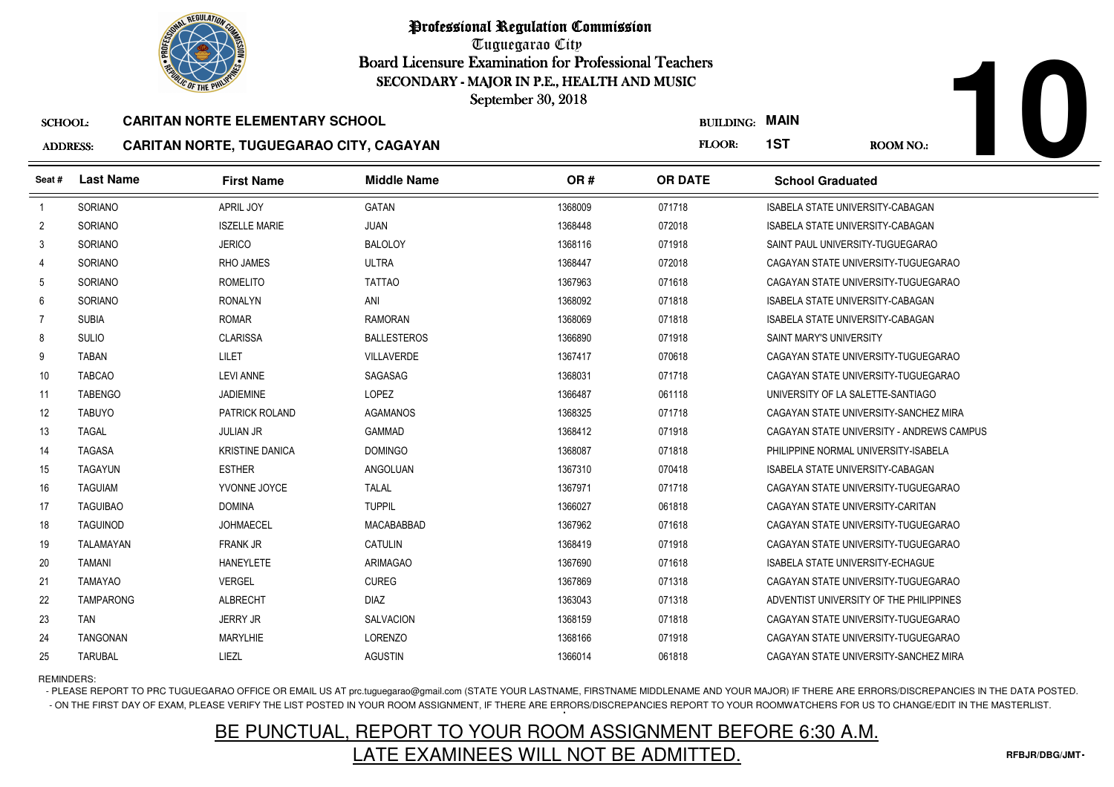

Tuguegarao City Board Licensure Examination for Professional Teachers September 30, 2018

## SCHOOL:**CARITAN NORTE ELEMENTARY SCHOOL**

### ADDRESS:**CARITAN NORTE, TUGUEGARAO CITY, CAGAYAN**

|                 | <b><i>OLIC OF THE PHILIP</i></b> |                                         | SECONDARY - MAJOR IN P.E., HEALTH AND MUSIC<br>September 30, 2018 |         |                       |                         |                                           |  |
|-----------------|----------------------------------|-----------------------------------------|-------------------------------------------------------------------|---------|-----------------------|-------------------------|-------------------------------------------|--|
| <b>SCHOOL:</b>  |                                  | <b>CARITAN NORTE ELEMENTARY SCHOOL</b>  |                                                                   |         | <b>BUILDING: MAIN</b> |                         |                                           |  |
| <b>ADDRESS:</b> |                                  | CARITAN NORTE, TUGUEGARAO CITY, CAGAYAN |                                                                   |         | <b>FLOOR:</b>         | 1ST                     | <b>ROOM NO.:</b>                          |  |
| Seat #          | <b>Last Name</b>                 | <b>First Name</b>                       | <b>Middle Name</b>                                                | OR#     | <b>OR DATE</b>        | <b>School Graduated</b> |                                           |  |
| -1              | SORIANO                          | APRIL JOY                               | <b>GATAN</b>                                                      | 1368009 | 071718                |                         | <b>ISABELA STATE UNIVERSITY-CABAGAN</b>   |  |
| $\overline{2}$  | <b>SORIANO</b>                   | <b>ISZELLE MARIE</b>                    | <b>JUAN</b>                                                       | 1368448 | 072018                |                         | ISABELA STATE UNIVERSITY-CABAGAN          |  |
| 3               | SORIANO                          | <b>JERICO</b>                           | <b>BALOLOY</b>                                                    | 1368116 | 071918                |                         | SAINT PAUL UNIVERSITY-TUGUEGARAO          |  |
| 4               | <b>SORIANO</b>                   | <b>RHO JAMES</b>                        | <b>ULTRA</b>                                                      | 1368447 | 072018                |                         | CAGAYAN STATE UNIVERSITY-TUGUEGARAO       |  |
| 5               | SORIANO                          | <b>ROMELITO</b>                         | <b>TATTAO</b>                                                     | 1367963 | 071618                |                         | CAGAYAN STATE UNIVERSITY-TUGUEGARAO       |  |
| 6               | <b>SORIANO</b>                   | <b>RONALYN</b>                          | ANI                                                               | 1368092 | 071818                |                         | ISABELA STATE UNIVERSITY-CABAGAN          |  |
| $\overline{7}$  | <b>SUBIA</b>                     | <b>ROMAR</b>                            | <b>RAMORAN</b>                                                    | 1368069 | 071818                |                         | <b>ISABELA STATE UNIVERSITY-CABAGAN</b>   |  |
| 8               | <b>SULIO</b>                     | <b>CLARISSA</b>                         | <b>BALLESTEROS</b>                                                | 1366890 | 071918                | SAINT MARY'S UNIVERSITY |                                           |  |
| 9               | <b>TABAN</b>                     | LILET                                   | <b>VILLAVERDE</b>                                                 | 1367417 | 070618                |                         | CAGAYAN STATE UNIVERSITY-TUGUEGARAO       |  |
| 10              | <b>TABCAO</b>                    | <b>LEVI ANNE</b>                        | SAGASAG                                                           | 1368031 | 071718                |                         | CAGAYAN STATE UNIVERSITY-TUGUEGARAO       |  |
| 11              | <b>TABENGO</b>                   | <b>JADIEMINE</b>                        | LOPEZ                                                             | 1366487 | 061118                |                         | UNIVERSITY OF LA SALETTE-SANTIAGO         |  |
| 12              | <b>TABUYO</b>                    | PATRICK ROLAND                          | <b>AGAMANOS</b>                                                   | 1368325 | 071718                |                         | CAGAYAN STATE UNIVERSITY-SANCHEZ MIRA     |  |
| 13              | TAGAL                            | <b>JULIAN JR</b>                        | <b>GAMMAD</b>                                                     | 1368412 | 071918                |                         | CAGAYAN STATE UNIVERSITY - ANDREWS CAMPUS |  |
| 14              | <b>TAGASA</b>                    | <b>KRISTINE DANICA</b>                  | <b>DOMINGO</b>                                                    | 1368087 | 071818                |                         | PHILIPPINE NORMAL UNIVERSITY-ISABELA      |  |
| 15              | <b>TAGAYUN</b>                   | <b>ESTHER</b>                           | <b>ANGOLUAN</b>                                                   | 1367310 | 070418                |                         | <b>ISABELA STATE UNIVERSITY-CABAGAN</b>   |  |
| 16              | <b>TAGUIAM</b>                   | YVONNE JOYCE                            | <b>TALAL</b>                                                      | 1367971 | 071718                |                         | CAGAYAN STATE UNIVERSITY-TUGUEGARAO       |  |
| 17              | <b>TAGUIBAO</b>                  | <b>DOMINA</b>                           | <b>TUPPIL</b>                                                     | 1366027 | 061818                |                         | CAGAYAN STATE UNIVERSITY-CARITAN          |  |
| 18              | <b>TAGUINOD</b>                  | <b>JOHMAECEL</b>                        | MACABABBAD                                                        | 1367962 | 071618                |                         | CAGAYAN STATE UNIVERSITY-TUGUEGARAO       |  |
| 19              | <b>TALAMAYAN</b>                 | <b>FRANK JR</b>                         | <b>CATULIN</b>                                                    | 1368419 | 071918                |                         | CAGAYAN STATE UNIVERSITY-TUGUEGARAO       |  |
| 20              | TAMANI                           | <b>HANEYLETE</b>                        | ARIMAGAO                                                          | 1367690 | 071618                |                         | <b>ISABELA STATE UNIVERSITY-ECHAGUE</b>   |  |
| 21              | TAMAYAO                          | <b>VERGEL</b>                           | <b>CUREG</b>                                                      | 1367869 | 071318                |                         | CAGAYAN STATE UNIVERSITY-TUGUEGARAO       |  |
| 22              | <b>TAMPARONG</b>                 | <b>ALBRECHT</b>                         | <b>DIAZ</b>                                                       | 1363043 | 071318                |                         | ADVENTIST UNIVERSITY OF THE PHILIPPINES   |  |
| 23              | <b>TAN</b>                       | <b>JERRY JR</b>                         | <b>SALVACION</b>                                                  | 1368159 | 071818                |                         | CAGAYAN STATE UNIVERSITY-TUGUEGARAO       |  |
| 24              | <b>TANGONAN</b>                  | <b>MARYLHIE</b>                         | <b>LORENZO</b>                                                    | 1368166 | 071918                |                         | CAGAYAN STATE UNIVERSITY-TUGUEGARAO       |  |
| 25              | <b>TARUBAL</b>                   | LIEZL                                   | <b>AGUSTIN</b>                                                    | 1366014 | 061818                |                         | CAGAYAN STATE UNIVERSITY-SANCHEZ MIRA     |  |

## REMINDERS:

- PLEASE REPORT TO PRC TUGUEGARAO OFFICE OR EMAIL US AT prc.tuguegarao@gmail.com (STATE YOUR LASTNAME, FIRSTNAME MIDDLENAME AND YOUR MAJOR) IF THERE ARE ERRORS/DISCREPANCIES IN THE DATA POSTED. - ON THE FIRST DAY OF EXAM, PLEASE VERIFY THE LIST POSTED IN YOUR ROOM ASSIGNMENT, IF THERE ARE ERRORS/DISCREPANCIES REPORT TO YOUR ROOMWATCHERS FOR US TO CHANGE/EDIT IN THE MASTERLIST.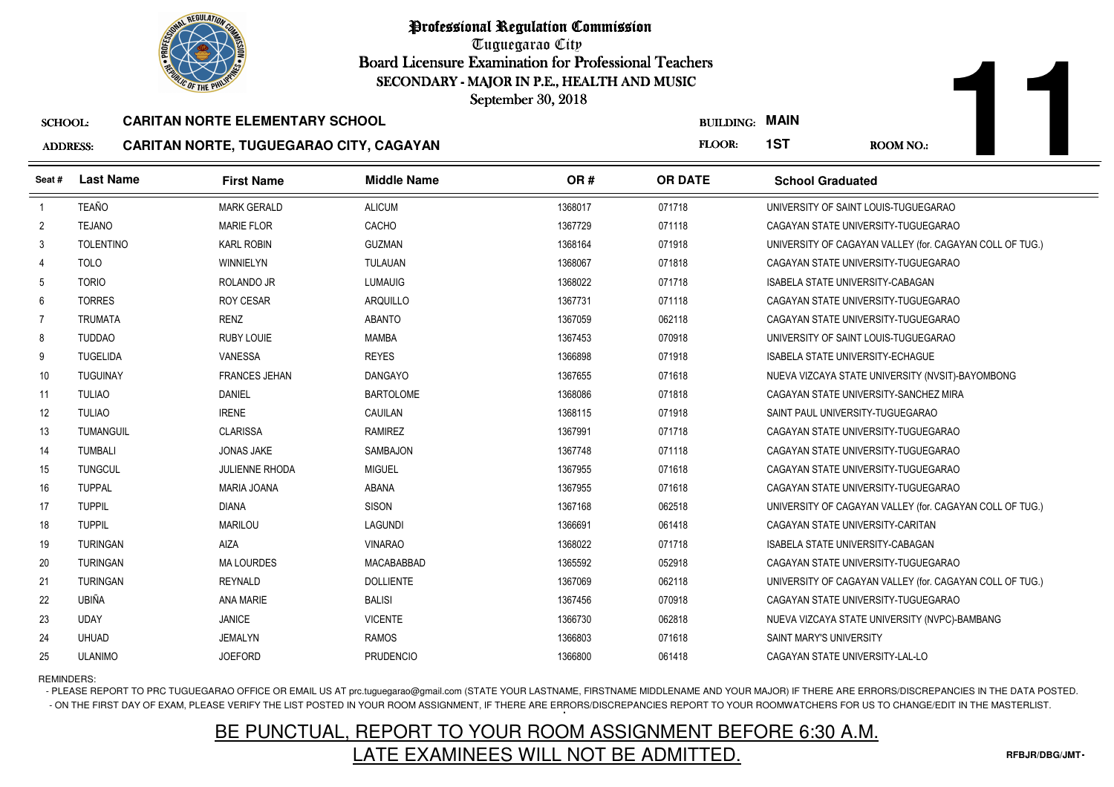

Tuguegarao City Board Licensure Examination for Professional Teachers September 30, 2018

### SCHOOL:**CARITAN NORTE ELEMENTARY SCHOOL**

## ADDRESS:**CARITAN NORTE, TUGUEGARAO CITY, CAGAYAN**

|                 |               | <b>OLIC OF THE PHILIP</b>                      |                    | SECONDARY - MAJOR IN P.E., HEALTH AND MUSIC<br>September 30, 2018 |                  |                         |                                      |  |
|-----------------|---------------|------------------------------------------------|--------------------|-------------------------------------------------------------------|------------------|-------------------------|--------------------------------------|--|
| <b>SCHOOL:</b>  |               | <b>CARITAN NORTE ELEMENTARY SCHOOL</b>         |                    |                                                                   | <b>BUILDING:</b> | <b>MAIN</b>             |                                      |  |
| <b>ADDRESS:</b> |               | <b>CARITAN NORTE, TUGUEGARAO CITY, CAGAYAN</b> |                    |                                                                   | <b>FLOOR:</b>    | 1ST                     | <b>ROOM NO.:</b>                     |  |
| Seat #          | Last Name     | <b>First Name</b>                              | <b>Middle Name</b> | OR #                                                              | <b>OR DATE</b>   | <b>School Graduated</b> |                                      |  |
|                 | TEAÑO         | MARK GERALD                                    | <b>ALICUM</b>      | 1368017                                                           | 071718           |                         | UNIVERSITY OF SAINT LOUIS-TUGUEGARAO |  |
|                 | <b>TFJANO</b> | MARIF FI OR                                    | CACHO              | 1367729                                                           | 071118           |                         | CAGAYAN STATE UNIVERSITY-TUGUEGARAO  |  |

|    | TEAÑO            | <b>MARK GERALD</b>    | <b>ALICUM</b>    | 1368017 | 071718 | UNIVERSITY OF SAINT LOUIS-TUGUEGARAO                     |
|----|------------------|-----------------------|------------------|---------|--------|----------------------------------------------------------|
| 2  | <b>TEJANO</b>    | <b>MARIE FLOR</b>     | CACHO            | 1367729 | 071118 | CAGAYAN STATE UNIVERSITY-TUGUEGARAO                      |
| 3  | <b>TOLENTINO</b> | <b>KARL ROBIN</b>     | <b>GUZMAN</b>    | 1368164 | 071918 | UNIVERSITY OF CAGAYAN VALLEY (for. CAGAYAN COLL OF TUG.) |
| 4  | <b>TOLO</b>      | WINNIELYN             | <b>TULAUAN</b>   | 1368067 | 071818 | CAGAYAN STATE UNIVERSITY-TUGUEGARAO                      |
| 5  | <b>TORIO</b>     | ROLANDO JR            | <b>LUMAUIG</b>   | 1368022 | 071718 | <b>ISABELA STATE UNIVERSITY-CABAGAN</b>                  |
| 6  | <b>TORRES</b>    | <b>ROY CESAR</b>      | <b>ARQUILLO</b>  | 1367731 | 071118 | CAGAYAN STATE UNIVERSITY-TUGUEGARAO                      |
|    | <b>TRUMATA</b>   | <b>RENZ</b>           | <b>ABANTO</b>    | 1367059 | 062118 | CAGAYAN STATE UNIVERSITY-TUGUEGARAO                      |
| 8  | <b>TUDDAO</b>    | <b>RUBY LOUIE</b>     | MAMBA            | 1367453 | 070918 | UNIVERSITY OF SAINT LOUIS-TUGUEGARAO                     |
| 9  | <b>TUGELIDA</b>  | VANESSA               | <b>REYES</b>     | 1366898 | 071918 | <b>ISABELA STATE UNIVERSITY-ECHAGUE</b>                  |
| 10 | <b>TUGUINAY</b>  | <b>FRANCES JEHAN</b>  | <b>DANGAYO</b>   | 1367655 | 071618 | NUEVA VIZCAYA STATE UNIVERSITY (NVSIT)-BAYOMBONG         |
| 11 | <b>TULIAO</b>    | <b>DANIEL</b>         | <b>BARTOLOME</b> | 1368086 | 071818 | CAGAYAN STATE UNIVERSITY-SANCHEZ MIRA                    |
| 12 | <b>TULIAO</b>    | <b>IRENE</b>          | CAUILAN          | 1368115 | 071918 | SAINT PAUL UNIVERSITY-TUGUEGARAO                         |
| 13 | TUMANGUIL        | <b>CLARISSA</b>       | <b>RAMIREZ</b>   | 1367991 | 071718 | CAGAYAN STATE UNIVERSITY-TUGUEGARAO                      |
| 14 | TUMBALI          | <b>JONAS JAKE</b>     | SAMBAJON         | 1367748 | 071118 | CAGAYAN STATE UNIVERSITY-TUGUEGARAO                      |
| 15 | <b>TUNGCUL</b>   | <b>JULIENNE RHODA</b> | <b>MIGUEL</b>    | 1367955 | 071618 | CAGAYAN STATE UNIVERSITY-TUGUEGARAO                      |
| 16 | <b>TUPPAL</b>    | MARIA JOANA           | ABANA            | 1367955 | 071618 | CAGAYAN STATE UNIVERSITY-TUGUEGARAO                      |
| 17 | <b>TUPPIL</b>    | <b>DIANA</b>          | <b>SISON</b>     | 1367168 | 062518 | UNIVERSITY OF CAGAYAN VALLEY (for. CAGAYAN COLL OF TUG.) |
| 18 | <b>TUPPIL</b>    | <b>MARILOU</b>        | <b>LAGUNDI</b>   | 1366691 | 061418 | CAGAYAN STATE UNIVERSITY-CARITAN                         |
| 19 | <b>TURINGAN</b>  | <b>AIZA</b>           | <b>VINARAO</b>   | 1368022 | 071718 | <b>ISABELA STATE UNIVERSITY-CABAGAN</b>                  |
| 20 | <b>TURINGAN</b>  | <b>MA LOURDES</b>     | MACABABBAD       | 1365592 | 052918 | CAGAYAN STATE UNIVERSITY-TUGUEGARAO                      |
| 21 | <b>TURINGAN</b>  | REYNALD               | <b>DOLLIENTE</b> | 1367069 | 062118 | UNIVERSITY OF CAGAYAN VALLEY (for. CAGAYAN COLL OF TUG.) |
| 22 | UBIÑA            | <b>ANA MARIE</b>      | <b>BALISI</b>    | 1367456 | 070918 | CAGAYAN STATE UNIVERSITY-TUGUEGARAO                      |
| 23 | <b>UDAY</b>      | <b>JANICE</b>         | <b>VICENTE</b>   | 1366730 | 062818 | NUEVA VIZCAYA STATE UNIVERSITY (NVPC)-BAMBANG            |
| 24 | <b>UHUAD</b>     | <b>JEMALYN</b>        | RAMOS            | 1366803 | 071618 | SAINT MARY'S UNIVERSITY                                  |
| 25 | <b>ULANIMO</b>   | <b>JOEFORD</b>        | <b>PRUDENCIO</b> | 1366800 | 061418 | CAGAYAN STATE UNIVERSITY-LAL-LO                          |
|    |                  |                       |                  |         |        |                                                          |

## REMINDERS:

- PLEASE REPORT TO PRC TUGUEGARAO OFFICE OR EMAIL US AT prc.tuguegarao@gmail.com (STATE YOUR LASTNAME, FIRSTNAME MIDDLENAME AND YOUR MAJOR) IF THERE ARE ERRORS/DISCREPANCIES IN THE DATA POSTED. - ON THE FIRST DAY OF EXAM, PLEASE VERIFY THE LIST POSTED IN YOUR ROOM ASSIGNMENT, IF THERE ARE ERRORS/DISCREPANCIES REPORT TO YOUR ROOMWATCHERS FOR US TO CHANGE/EDIT IN THE MASTERLIST.